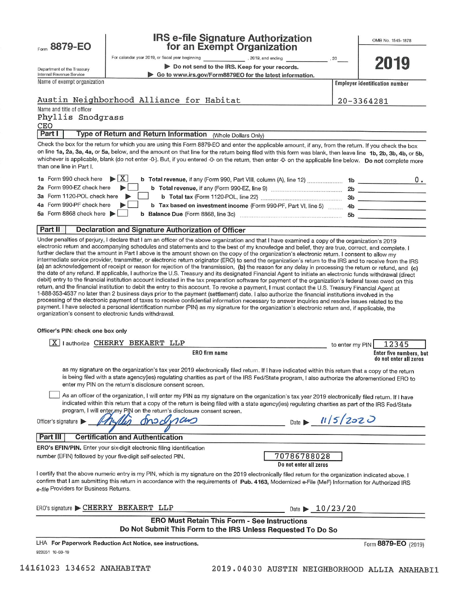Econo 8879-EO

# **IRS e-file Signature Authorization** for an Exempt Organization

OMB No. 1545-1878

2019

|                          |  | Department of the Treasury |
|--------------------------|--|----------------------------|
| Internal Revenue Service |  |                            |

, 2019, and ending

Do not send to the IRS. Keep for your records.

Go to www.irs.gov/Form8879EO for the latest information.

Name of exempt organization

## Austin Neighborhood Alliance for Habitat

20-3364281

**Employer identification number** 

 $20$ 

Name and title of officer Phyllis Snodgrass CEO Part I

Type of Return and Return Information (Whole Dollars Only)

For calendar year 2019, or fiscal year beginning

Check the box for the return for which you are using this Form 8879-EO and enter the applicable amount, if any, from the return. If you check the box on line 1a, 2a, 3a, 4a, or 5a, below, and the amount on that line for the return being filed with this form was blank, then leave line 1b, 2b, 3b, 4b, or 5b, whichever is applicable, blank (do not enter -0-). But, if you entered -0- on the return, then enter -0- on the applicable line below. Do not complete more than one line in Part I.

| 1a Form 990 check here $\triangleright$ $\vert X \vert$<br>b Total revenue, if any (Form 990, Part VIII, column (A), line 12) | 1b |  |
|-------------------------------------------------------------------------------------------------------------------------------|----|--|
| 2a Form 990-EZ check here<br>b Total revenue, if any (Form 990-EZ, line 9)                                                    | 2b |  |
| 3a Form 1120-POL check here                                                                                                   | 3b |  |
| 4a Form 990-PF check here<br><b>b</b> Tax based on investment income (Form 990-PF, Part VI, line 5)                           | 4b |  |
| 5a Form 8868 check here $\blacktriangleright$<br>b Balance Due (Form 8868, line 3c)                                           | 5b |  |

### Part II Declaration and Signature Authorization of Officer

Under penalties of perjury, I declare that I am an officer of the above organization and that I have examined a copy of the organization's 2019 electronic return and accompanying schedules and statements and to the best of my knowledge and belief, they are true, correct, and complete. I further declare that the amount in Part I above is the amount shown on the copy of the organization's electronic return. I consent to allow my intermediate service provider, transmitter, or electronic return originator (ERO) to send the organization's return to the IRS and to receive from the IRS (a) an acknowledgement of receipt or reason for rejection of the transmission, (b) the reason for any delay in processing the return or refund, and (c) the date of any refund. If applicable, I authorize the U.S. Treasury and its designated Financial Agent to initiate an electronic funds withdrawal (direct debit) entry to the financial institution account indicated in the tax preparation software for payment of the organization's federal taxes owed on this return, and the financial institution to debit the entry to this account. To revoke a payment, I must contact the U.S. Treasury Financial Agent at 1-888-353-4537 no later than 2 business days prior to the payment (settlement) date. I also authorize the financial institutions involved in the processing of the electronic payment of taxes to receive confidential information necessary to answer inquiries and resolve issues related to the payment. I have selected a personal identification number (PIN) as my signature for the organization's electronic return and, if applicable, the organization's consent to electronic funds withdrawal.

## Officer's PIN: check one box only

| l authorize CHERRY BEKAERT LLP<br>x                                                                                                                                                                                                                                                                                                                                                                     | to enter my PIN  | 12345                                             |
|---------------------------------------------------------------------------------------------------------------------------------------------------------------------------------------------------------------------------------------------------------------------------------------------------------------------------------------------------------------------------------------------------------|------------------|---------------------------------------------------|
| ERO firm name                                                                                                                                                                                                                                                                                                                                                                                           |                  | Enter five numbers, but<br>do not enter all zeros |
| as my signature on the organization's tax year 2019 electronically filed return. If I have indicated within this return that a copy of the return<br>is being filed with a state agency(ies) regulating charities as part of the IRS Fed/State program, I also authorize the aforementioned ERO to<br>enter my PIN on the return's disclosure consent screen.                                           |                  |                                                   |
| As an officer of the organization, I will enter my PIN as my signature on the organization's tax year 2019 electronically filed return. If I have<br>indicated within this return that a copy of the return is being filed with a state agency(ies) regulating charities as part of the IRS Fed/State<br>program, I will enter my PIN on the return's disclosure consent screen.<br>Officer's signature | Date $ 1/5/2020$ |                                                   |
| Part III<br><b>Certification and Authentication</b>                                                                                                                                                                                                                                                                                                                                                     |                  |                                                   |
| <b>ERO's EFIN/PIN.</b> Enter your six-digit electronic filing identification                                                                                                                                                                                                                                                                                                                            |                  |                                                   |
| 70786788028<br>number (EFIN) followed by your five-digit self-selected PIN.<br>Do not enter all zeros                                                                                                                                                                                                                                                                                                   |                  |                                                   |
| I certify that the above numeric entry is my PIN, which is my signature on the 2019 electronically filed return for the organization indicated above. I<br>confirm that I am submitting this return in accordance with the requirements of Pub. 4163, Modernized e-File (MeF) Information for Authorized IRS<br>e-file Providers for Business Returns.                                                  |                  |                                                   |
| $ERO's$ signature $\blacktriangleright$ CHERRY<br>BEKAERT LLP<br>Date $\blacktriangleright$                                                                                                                                                                                                                                                                                                             | 10/23/20         |                                                   |
|                                                                                                                                                                                                                                                                                                                                                                                                         |                  |                                                   |

**ERO Must Retain This Form - See Instructions** Do Not Submit This Form to the IRS Unless Requested To Do So

LHA For Paperwork Reduction Act Notice, see instructions. 923051 10-03-19

Form 8879-EO (2019)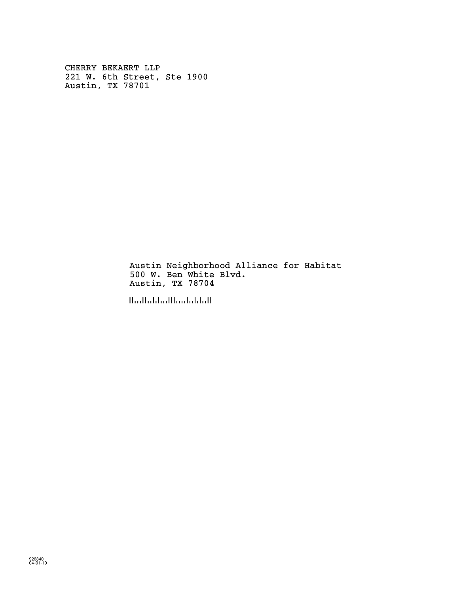CHERRY BEKAERT LLP 221 W. 6th Street, Ste 1900 Austin, TX 78701

> Austin Neighborhood Alliance for Habitat 500 W. Ben White Blvd. Austin, TX 78704

!787044!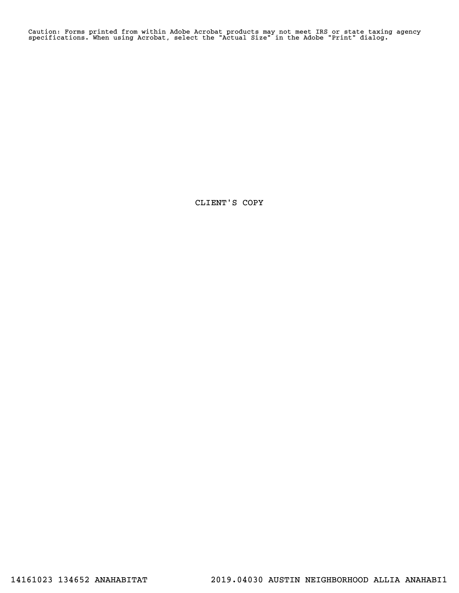Caution: Forms printed from within Adobe Acrobat products may not meet IRS or state taxing agency specifications. When using Acrobat, select the "Actual Size" in the Adobe "Print" dialog.

CLIENT'S COPY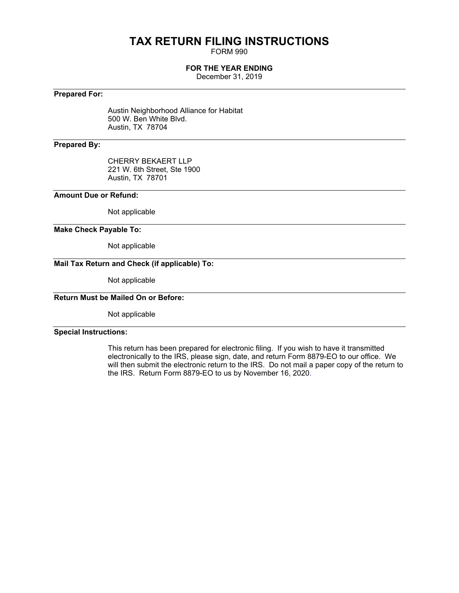# **TAX RETURN FILING INSTRUCTIONS**

FORM 990

# **FOR THE YEAR ENDING**

December 31, 2019

# **Prepared For:**

Austin Neighborhood Alliance for Habitat 500 W. Ben White Blvd. Austin, TX 78704

# **Prepared By:**

CHERRY BEKAERT LLP 221 W. 6th Street, Ste 1900 Austin, TX 78701

# **Amount Due or Refund:**

Not applicable

# **Make Check Payable To:**

Not applicable

# **Mail Tax Return and Check (if applicable) To:**

Not applicable

# **Return Must be Mailed On or Before:**

Not applicable

# **Special Instructions:**

This return has been prepared for electronic filing. If you wish to have it transmitted electronically to the IRS, please sign, date, and return Form 8879-EO to our office. We will then submit the electronic return to the IRS. Do not mail a paper copy of the return to the IRS. Return Form 8879-EO to us by November 16, 2020.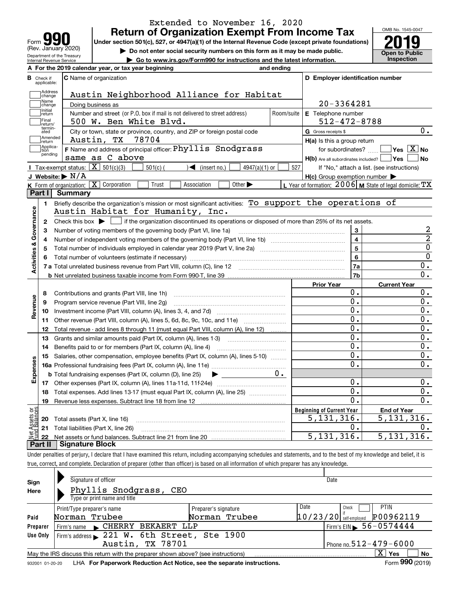| Form                                                   |
|--------------------------------------------------------|
| (Rev. January 2020)                                    |
| Department of the Treasury<br>Internal Revenue Service |

# **Return of Organization Exempt From Income Tax** Extended to November 16, 2020

Under section 501(c), 527, or 4947(a)(1) of the Internal Revenue Code (except private foundations) **2019** 

**| Do not enter social security numbers on this form as it may be made public.**

**| Go to www.irs.gov/Form990 for instructions and the latest information. Inspection**

OMB No. 1545-0047 **Open to Public** 

|                         |                                            | A For the 2019 calendar year, or tax year beginning                                                                                                                                                                            | and ending          |                                                         |                                                           |
|-------------------------|--------------------------------------------|--------------------------------------------------------------------------------------------------------------------------------------------------------------------------------------------------------------------------------|---------------------|---------------------------------------------------------|-----------------------------------------------------------|
| В<br>Check if           | applicable:                                | <b>C</b> Name of organization                                                                                                                                                                                                  |                     | D Employer identification number                        |                                                           |
|                         | Address<br>change                          | Austin Neighborhood Alliance for Habitat                                                                                                                                                                                       |                     |                                                         |                                                           |
|                         | Name<br>change                             | Doing business as                                                                                                                                                                                                              |                     | 20-3364281                                              |                                                           |
|                         | <br>  Initial<br>  return                  | Number and street (or P.O. box if mail is not delivered to street address)                                                                                                                                                     | Room/suite          | E Telephone number                                      |                                                           |
|                         | Final<br>500 W. Ben White Blvd.<br>return/ |                                                                                                                                                                                                                                |                     | $512 - 472 - 8788$                                      |                                                           |
|                         | termin-<br>ated                            | City or town, state or province, country, and ZIP or foreign postal code                                                                                                                                                       | G Gross receipts \$ | О.                                                      |                                                           |
|                         | Amended<br>return                          | Austin, TX<br>78704                                                                                                                                                                                                            |                     | $H(a)$ is this a group return                           |                                                           |
|                         | Applica-<br>tion                           | F Name and address of principal officer: Phyllis Snodgrass                                                                                                                                                                     |                     |                                                         | for subordinates? $\text{}$ $\Box$ Yes $\boxed{X}$ No     |
|                         | pending                                    | same as C above                                                                                                                                                                                                                |                     | $H(b)$ Are all subordinates included? $\Box$ Yes $\Box$ | ∣No                                                       |
|                         |                                            | Tax-exempt status: $\boxed{\mathbf{X}}$ 501(c)(3)<br>$501(c)$ (<br>$\mathcal{A}$ (insert no.)<br>$4947(a)(1)$ or                                                                                                               | 527                 |                                                         | If "No," attach a list. (see instructions)                |
|                         |                                            | J Website: $\triangleright$ N/A                                                                                                                                                                                                |                     | $H(c)$ Group exemption number $\blacktriangleright$     |                                                           |
|                         |                                            | K Form of organization: X Corporation<br>Trust<br>Association<br>Other $\blacktriangleright$                                                                                                                                   |                     |                                                         | L Year of formation: $2006$ M State of legal domicile: TX |
|                         | Part I                                     | <b>Summary</b>                                                                                                                                                                                                                 |                     |                                                         |                                                           |
|                         | 1                                          | Briefly describe the organization's mission or most significant activities: To support the operations of                                                                                                                       |                     |                                                         |                                                           |
|                         |                                            | Austin Habitat for Humanity, Inc.                                                                                                                                                                                              |                     |                                                         |                                                           |
|                         | $\mathbf{2}$                               | Check this box $\blacktriangleright$ $\blacksquare$ if the organization discontinued its operations or disposed of more than 25% of its net assets.                                                                            |                     |                                                         |                                                           |
| Activities & Governance | 3                                          |                                                                                                                                                                                                                                |                     | 3                                                       | 2                                                         |
|                         | 4                                          |                                                                                                                                                                                                                                |                     | $\overline{\mathbf{4}}$                                 | $\overline{2}$                                            |
|                         | 5                                          |                                                                                                                                                                                                                                |                     | 5                                                       | $\overline{0}$                                            |
|                         | 6                                          | Total number of volunteers (estimate if necessary) manufactured content content of the content of volunteers (estimate if necessary) manufactured content of the content of the content of the content of the content of the c | 6                   | $\overline{0}$                                          |                                                           |
|                         |                                            |                                                                                                                                                                                                                                | 7a                  | 0.                                                      |                                                           |
|                         |                                            |                                                                                                                                                                                                                                |                     | 7b                                                      | $\overline{0}$ .                                          |
|                         |                                            |                                                                                                                                                                                                                                |                     | Prior Year                                              | <b>Current Year</b>                                       |
|                         | 8                                          |                                                                                                                                                                                                                                |                     | 0.                                                      | О.                                                        |
| Revenue                 | 9                                          | Program service revenue (Part VIII, line 2g)                                                                                                                                                                                   |                     | $\overline{0}$ .                                        | 0.                                                        |
|                         | 10                                         |                                                                                                                                                                                                                                |                     | 0.                                                      | 0.                                                        |
|                         | 11                                         | Other revenue (Part VIII, column (A), lines 5, 6d, 8c, 9c, 10c, and 11e)                                                                                                                                                       |                     | 0.                                                      | $0$ .                                                     |
|                         | 12                                         | Total revenue - add lines 8 through 11 (must equal Part VIII, column (A), line 12)                                                                                                                                             |                     | 0.                                                      | 0.                                                        |
|                         | 13                                         | Grants and similar amounts paid (Part IX, column (A), lines 1-3)                                                                                                                                                               |                     | $\Omega$ .                                              | $0$ .                                                     |
|                         | 14                                         |                                                                                                                                                                                                                                |                     | $\overline{0}$ .                                        | 0.                                                        |
|                         | 15                                         | Salaries, other compensation, employee benefits (Part IX, column (A), lines 5-10)                                                                                                                                              |                     | 0.                                                      | 0.                                                        |
|                         |                                            |                                                                                                                                                                                                                                |                     | $\overline{0}$ .                                        | $\mathbf 0$ .                                             |
| Expenses                |                                            | <b>b</b> Total fundraising expenses (Part IX, column (D), line 25)<br>$\blacktriangleright$                                                                                                                                    | $0 \cdot$           |                                                         |                                                           |
|                         |                                            |                                                                                                                                                                                                                                |                     | Ο.                                                      | $0$ .                                                     |
|                         | 18                                         | Total expenses. Add lines 13-17 (must equal Part IX, column (A), line 25)                                                                                                                                                      |                     | 0.                                                      | 0.                                                        |
|                         | 19                                         |                                                                                                                                                                                                                                |                     | $0$ .                                                   | $\overline{0}$ .                                          |
| بَوْح                   |                                            |                                                                                                                                                                                                                                |                     | <b>Beginning of Current Year</b>                        | <b>End of Year</b>                                        |
|                         |                                            | <b>20</b> Total assets (Part X, line 16)                                                                                                                                                                                       |                     | 5, 131, 316.                                            | 5,131,316.                                                |
|                         |                                            | 21 Total liabilities (Part X, line 26)                                                                                                                                                                                         |                     | 0.                                                      | 0.                                                        |
|                         | 22                                         |                                                                                                                                                                                                                                |                     | 5, 131, 316.                                            | 5, 131, 316.                                              |
|                         |                                            | <b>Part II   Signature Block</b>                                                                                                                                                                                               |                     |                                                         |                                                           |

true, correct, and complete. Declaration of preparer (other than officer) is based on all information of which preparer has any knowledge.

| Sign            | Signature of officer                                                                                           |                      | Date                                  |  |  |  |  |  |
|-----------------|----------------------------------------------------------------------------------------------------------------|----------------------|---------------------------------------|--|--|--|--|--|
| Here            | Phyllis Snodgrass,<br>CEO                                                                                      |                      |                                       |  |  |  |  |  |
|                 | Type or print name and title                                                                                   |                      |                                       |  |  |  |  |  |
|                 | Print/Type preparer's name                                                                                     | Preparer's signature | Date<br><b>PTIN</b><br>Check          |  |  |  |  |  |
| Paid            | Norman Trubee                                                                                                  | Norman Trubee        | P00962119<br>$10/23/20$ self-employed |  |  |  |  |  |
| Preparer        | Firm's name CHERRY BEKAERT LLP                                                                                 |                      | Firm's EIN $\, 56 - 0574444$          |  |  |  |  |  |
| Use Only        | Firm's address 221 W. 6th Street, Ste 1900                                                                     |                      |                                       |  |  |  |  |  |
|                 | Austin, TX 78701                                                                                               |                      | Phone no. $512 - 479 - 6000$          |  |  |  |  |  |
|                 | $\mathbf{x}$<br>No<br>Yes<br>May the IRS discuss this return with the preparer shown above? (see instructions) |                      |                                       |  |  |  |  |  |
| 932001 01-20-20 | LHA For Paperwork Reduction Act Notice, see the separate instructions.                                         |                      | Form 990 (2019)                       |  |  |  |  |  |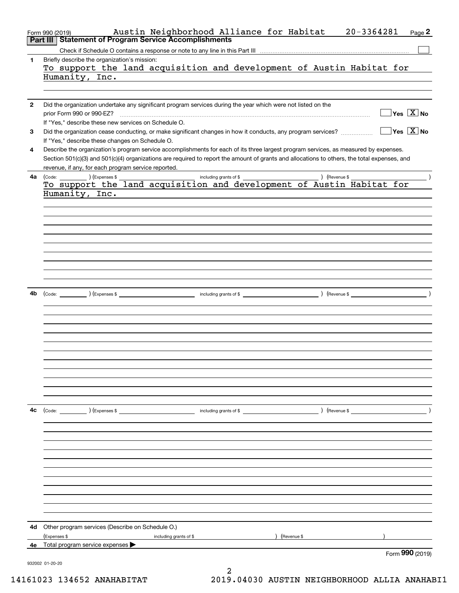|              | Austin Neighborhood Alliance for Habitat<br>$20 - 3364281$<br>Form 990 (2019)                                                                                                                                                   | Page 2                                 |
|--------------|---------------------------------------------------------------------------------------------------------------------------------------------------------------------------------------------------------------------------------|----------------------------------------|
| Part II      | <b>Statement of Program Service Accomplishments</b>                                                                                                                                                                             |                                        |
|              |                                                                                                                                                                                                                                 |                                        |
| 1            | Briefly describe the organization's mission:                                                                                                                                                                                    |                                        |
|              | To support the land acquisition and development of Austin Habitat for                                                                                                                                                           |                                        |
|              | Humanity, Inc.                                                                                                                                                                                                                  |                                        |
|              |                                                                                                                                                                                                                                 |                                        |
|              |                                                                                                                                                                                                                                 |                                        |
| $\mathbf{2}$ | Did the organization undertake any significant program services during the year which were not listed on the                                                                                                                    | $\sqrt{\ }$ Yes $\sqrt{\ \text{X}}$ No |
|              | prior Form 990 or 990-EZ?                                                                                                                                                                                                       |                                        |
|              | If "Yes," describe these new services on Schedule O.                                                                                                                                                                            |                                        |
| 3            | Did the organization cease conducting, or make significant changes in how it conducts, any program services?                                                                                                                    | $\sqrt{}$ Yes $\sqrt{}$ X $\sqrt{}$ No |
|              | If "Yes," describe these changes on Schedule O.                                                                                                                                                                                 |                                        |
| 4            | Describe the organization's program service accomplishments for each of its three largest program services, as measured by expenses.                                                                                            |                                        |
|              | Section 501(c)(3) and 501(c)(4) organizations are required to report the amount of grants and allocations to others, the total expenses, and                                                                                    |                                        |
|              | revenue, if any, for each program service reported.                                                                                                                                                                             |                                        |
| 4a           |                                                                                                                                                                                                                                 |                                        |
|              |                                                                                                                                                                                                                                 |                                        |
|              | Humanity, Inc.                                                                                                                                                                                                                  |                                        |
|              |                                                                                                                                                                                                                                 |                                        |
|              |                                                                                                                                                                                                                                 |                                        |
|              |                                                                                                                                                                                                                                 |                                        |
|              |                                                                                                                                                                                                                                 |                                        |
|              |                                                                                                                                                                                                                                 |                                        |
|              |                                                                                                                                                                                                                                 |                                        |
|              |                                                                                                                                                                                                                                 |                                        |
|              |                                                                                                                                                                                                                                 |                                        |
|              |                                                                                                                                                                                                                                 |                                        |
|              |                                                                                                                                                                                                                                 |                                        |
| 4b           |                                                                                                                                                                                                                                 |                                        |
|              |                                                                                                                                                                                                                                 |                                        |
|              |                                                                                                                                                                                                                                 |                                        |
|              |                                                                                                                                                                                                                                 |                                        |
|              |                                                                                                                                                                                                                                 |                                        |
|              |                                                                                                                                                                                                                                 |                                        |
|              |                                                                                                                                                                                                                                 |                                        |
|              |                                                                                                                                                                                                                                 |                                        |
|              |                                                                                                                                                                                                                                 |                                        |
|              |                                                                                                                                                                                                                                 |                                        |
|              |                                                                                                                                                                                                                                 |                                        |
|              |                                                                                                                                                                                                                                 |                                        |
|              |                                                                                                                                                                                                                                 |                                        |
|              |                                                                                                                                                                                                                                 |                                        |
| 4с           | (Code: ) (Expenses \$ (a) and the contract of the contract of the contract of the contract of the contract of the contract of the contract of the contract of the contract of the contract of the contract of the contract of t |                                        |
|              |                                                                                                                                                                                                                                 |                                        |
|              |                                                                                                                                                                                                                                 |                                        |
|              |                                                                                                                                                                                                                                 |                                        |
|              |                                                                                                                                                                                                                                 |                                        |
|              |                                                                                                                                                                                                                                 |                                        |
|              |                                                                                                                                                                                                                                 |                                        |
|              |                                                                                                                                                                                                                                 |                                        |
|              |                                                                                                                                                                                                                                 |                                        |
|              |                                                                                                                                                                                                                                 |                                        |
|              |                                                                                                                                                                                                                                 |                                        |
|              |                                                                                                                                                                                                                                 |                                        |
|              |                                                                                                                                                                                                                                 |                                        |
| 4d           | Other program services (Describe on Schedule O.)                                                                                                                                                                                |                                        |
|              | (Expenses \$<br>) (Revenue \$<br>including grants of \$                                                                                                                                                                         |                                        |
|              | 4e Total program service expenses                                                                                                                                                                                               |                                        |
|              |                                                                                                                                                                                                                                 | Form 990 (2019)                        |
|              | 932002 01-20-20                                                                                                                                                                                                                 |                                        |
|              |                                                                                                                                                                                                                                 |                                        |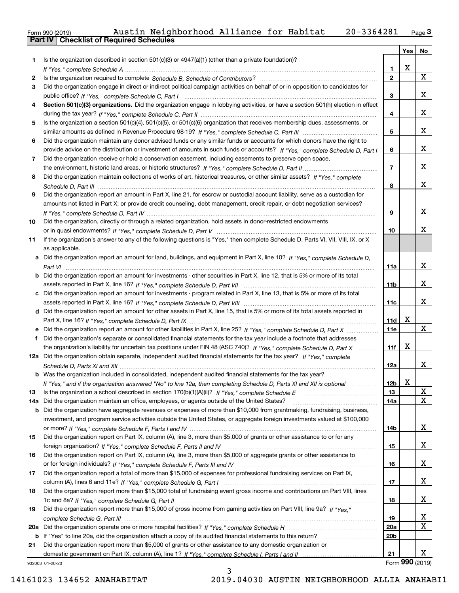| Form 990 (2019) |                                                | Austin Neighborhood Alliance for Habitat |  | 20-3364281 | Page $3$ |
|-----------------|------------------------------------------------|------------------------------------------|--|------------|----------|
|                 | <b>Part IV Checklist of Required Schedules</b> |                                          |  |            |          |

| Is the organization described in section $501(c)(3)$ or $4947(a)(1)$ (other than a private foundation)?<br>1<br>х<br>1<br>$\mathbf x$<br>$\mathbf{2}$<br>2<br>Did the organization engage in direct or indirect political campaign activities on behalf of or in opposition to candidates for<br>3<br>X<br>3<br>Section 501(c)(3) organizations. Did the organization engage in lobbying activities, or have a section 501(h) election in effect<br>4<br>X<br>4<br>Is the organization a section 501(c)(4), 501(c)(5), or 501(c)(6) organization that receives membership dues, assessments, or<br>5<br>x<br>5<br>Did the organization maintain any donor advised funds or any similar funds or accounts for which donors have the right to<br>6<br>x<br>provide advice on the distribution or investment of amounts in such funds or accounts? If "Yes," complete Schedule D, Part I<br>6<br>Did the organization receive or hold a conservation easement, including easements to preserve open space,<br>7<br>x<br>$\overline{7}$<br>Did the organization maintain collections of works of art, historical treasures, or other similar assets? If "Yes," complete<br>8<br>x<br>8<br>Did the organization report an amount in Part X, line 21, for escrow or custodial account liability, serve as a custodian for<br>9<br>amounts not listed in Part X; or provide credit counseling, debt management, credit repair, or debt negotiation services?<br>X<br>9<br>Did the organization, directly or through a related organization, hold assets in donor-restricted endowments<br>10<br>x<br>10<br>If the organization's answer to any of the following questions is "Yes," then complete Schedule D, Parts VI, VII, VIII, IX, or X<br>11<br>as applicable.<br>a Did the organization report an amount for land, buildings, and equipment in Part X, line 10? If "Yes," complete Schedule D,<br>X<br>11a<br><b>b</b> Did the organization report an amount for investments - other securities in Part X, line 12, that is 5% or more of its total<br>x<br>11b<br>c Did the organization report an amount for investments - program related in Part X, line 13, that is 5% or more of its total<br>x<br>11c<br>d Did the organization report an amount for other assets in Part X, line 15, that is 5% or more of its total assets reported in<br>X<br>11d<br>X<br>11e<br>f Did the organization's separate or consolidated financial statements for the tax year include a footnote that addresses<br>х<br>the organization's liability for uncertain tax positions under FIN 48 (ASC 740)? If "Yes," complete Schedule D, Part X<br>11f<br>12a Did the organization obtain separate, independent audited financial statements for the tax year? If "Yes," complete<br>X<br>12a<br><b>b</b> Was the organization included in consolidated, independent audited financial statements for the tax year?<br>X<br>If "Yes," and if the organization answered "No" to line 12a, then completing Schedule D, Parts XI and XII is optional<br>12b<br>х<br>13<br>13<br>$\mathbf X$<br>Did the organization maintain an office, employees, or agents outside of the United States?<br>14a<br>14a<br>Did the organization have aggregate revenues or expenses of more than \$10,000 from grantmaking, fundraising, business,<br>b<br>investment, and program service activities outside the United States, or aggregate foreign investments valued at \$100,000<br>x<br>14b<br>Did the organization report on Part IX, column (A), line 3, more than \$5,000 of grants or other assistance to or for any<br>15<br>x<br>15<br>Did the organization report on Part IX, column (A), line 3, more than \$5,000 of aggregate grants or other assistance to<br>16<br>x<br>16<br>Did the organization report a total of more than \$15,000 of expenses for professional fundraising services on Part IX,<br>17<br>x<br>17<br>Did the organization report more than \$15,000 total of fundraising event gross income and contributions on Part VIII, lines<br>18<br>x<br>18<br>Did the organization report more than \$15,000 of gross income from gaming activities on Part VIII, line 9a? If "Yes."<br>19<br>x<br>19<br>$\mathbf X$<br>20a<br>20a<br>If "Yes" to line 20a, did the organization attach a copy of its audited financial statements to this return?<br>20 <sub>b</sub><br>b<br>Did the organization report more than \$5,000 of grants or other assistance to any domestic organization or<br>21<br>х<br>21<br>932003 01-20-20 |  | <b>Yes</b> | No |
|-------------------------------------------------------------------------------------------------------------------------------------------------------------------------------------------------------------------------------------------------------------------------------------------------------------------------------------------------------------------------------------------------------------------------------------------------------------------------------------------------------------------------------------------------------------------------------------------------------------------------------------------------------------------------------------------------------------------------------------------------------------------------------------------------------------------------------------------------------------------------------------------------------------------------------------------------------------------------------------------------------------------------------------------------------------------------------------------------------------------------------------------------------------------------------------------------------------------------------------------------------------------------------------------------------------------------------------------------------------------------------------------------------------------------------------------------------------------------------------------------------------------------------------------------------------------------------------------------------------------------------------------------------------------------------------------------------------------------------------------------------------------------------------------------------------------------------------------------------------------------------------------------------------------------------------------------------------------------------------------------------------------------------------------------------------------------------------------------------------------------------------------------------------------------------------------------------------------------------------------------------------------------------------------------------------------------------------------------------------------------------------------------------------------------------------------------------------------------------------------------------------------------------------------------------------------------------------------------------------------------------------------------------------------------------------------------------------------------------------------------------------------------------------------------------------------------------------------------------------------------------------------------------------------------------------------------------------------------------------------------------------------------------------------------------------------------------------------------------------------------------------------------------------------------------------------------------------------------------------------------------------------------------------------------------------------------------------------------------------------------------------------------------------------------------------------------------------------------------------------------------------------------------------------------------------------------------------------------------------------------------------------------------------------------------------------------------------------------------------------------------------------------------------------------------------------------------------------------------------------------------------------------------------------------------------------------------------------------------------------------------------------------------------------------------------------------------------------------------------------------------------------------------------------------------------------------------------------------------------------------------------------------------------------------------------------------------------------------------------------------------------------------------------------------------------------------------------------------------------------------------------------------------|--|------------|----|
|                                                                                                                                                                                                                                                                                                                                                                                                                                                                                                                                                                                                                                                                                                                                                                                                                                                                                                                                                                                                                                                                                                                                                                                                                                                                                                                                                                                                                                                                                                                                                                                                                                                                                                                                                                                                                                                                                                                                                                                                                                                                                                                                                                                                                                                                                                                                                                                                                                                                                                                                                                                                                                                                                                                                                                                                                                                                                                                                                                                                                                                                                                                                                                                                                                                                                                                                                                                                                                                                                                                                                                                                                                                                                                                                                                                                                                                                                                                                                                                                                                                                                                                                                                                                                                                                                                                                                                                                                                                                                                                               |  |            |    |
| Form 990 (2019)                                                                                                                                                                                                                                                                                                                                                                                                                                                                                                                                                                                                                                                                                                                                                                                                                                                                                                                                                                                                                                                                                                                                                                                                                                                                                                                                                                                                                                                                                                                                                                                                                                                                                                                                                                                                                                                                                                                                                                                                                                                                                                                                                                                                                                                                                                                                                                                                                                                                                                                                                                                                                                                                                                                                                                                                                                                                                                                                                                                                                                                                                                                                                                                                                                                                                                                                                                                                                                                                                                                                                                                                                                                                                                                                                                                                                                                                                                                                                                                                                                                                                                                                                                                                                                                                                                                                                                                                                                                                                                               |  |            |    |
|                                                                                                                                                                                                                                                                                                                                                                                                                                                                                                                                                                                                                                                                                                                                                                                                                                                                                                                                                                                                                                                                                                                                                                                                                                                                                                                                                                                                                                                                                                                                                                                                                                                                                                                                                                                                                                                                                                                                                                                                                                                                                                                                                                                                                                                                                                                                                                                                                                                                                                                                                                                                                                                                                                                                                                                                                                                                                                                                                                                                                                                                                                                                                                                                                                                                                                                                                                                                                                                                                                                                                                                                                                                                                                                                                                                                                                                                                                                                                                                                                                                                                                                                                                                                                                                                                                                                                                                                                                                                                                                               |  |            |    |
|                                                                                                                                                                                                                                                                                                                                                                                                                                                                                                                                                                                                                                                                                                                                                                                                                                                                                                                                                                                                                                                                                                                                                                                                                                                                                                                                                                                                                                                                                                                                                                                                                                                                                                                                                                                                                                                                                                                                                                                                                                                                                                                                                                                                                                                                                                                                                                                                                                                                                                                                                                                                                                                                                                                                                                                                                                                                                                                                                                                                                                                                                                                                                                                                                                                                                                                                                                                                                                                                                                                                                                                                                                                                                                                                                                                                                                                                                                                                                                                                                                                                                                                                                                                                                                                                                                                                                                                                                                                                                                                               |  |            |    |
|                                                                                                                                                                                                                                                                                                                                                                                                                                                                                                                                                                                                                                                                                                                                                                                                                                                                                                                                                                                                                                                                                                                                                                                                                                                                                                                                                                                                                                                                                                                                                                                                                                                                                                                                                                                                                                                                                                                                                                                                                                                                                                                                                                                                                                                                                                                                                                                                                                                                                                                                                                                                                                                                                                                                                                                                                                                                                                                                                                                                                                                                                                                                                                                                                                                                                                                                                                                                                                                                                                                                                                                                                                                                                                                                                                                                                                                                                                                                                                                                                                                                                                                                                                                                                                                                                                                                                                                                                                                                                                                               |  |            |    |
|                                                                                                                                                                                                                                                                                                                                                                                                                                                                                                                                                                                                                                                                                                                                                                                                                                                                                                                                                                                                                                                                                                                                                                                                                                                                                                                                                                                                                                                                                                                                                                                                                                                                                                                                                                                                                                                                                                                                                                                                                                                                                                                                                                                                                                                                                                                                                                                                                                                                                                                                                                                                                                                                                                                                                                                                                                                                                                                                                                                                                                                                                                                                                                                                                                                                                                                                                                                                                                                                                                                                                                                                                                                                                                                                                                                                                                                                                                                                                                                                                                                                                                                                                                                                                                                                                                                                                                                                                                                                                                                               |  |            |    |
|                                                                                                                                                                                                                                                                                                                                                                                                                                                                                                                                                                                                                                                                                                                                                                                                                                                                                                                                                                                                                                                                                                                                                                                                                                                                                                                                                                                                                                                                                                                                                                                                                                                                                                                                                                                                                                                                                                                                                                                                                                                                                                                                                                                                                                                                                                                                                                                                                                                                                                                                                                                                                                                                                                                                                                                                                                                                                                                                                                                                                                                                                                                                                                                                                                                                                                                                                                                                                                                                                                                                                                                                                                                                                                                                                                                                                                                                                                                                                                                                                                                                                                                                                                                                                                                                                                                                                                                                                                                                                                                               |  |            |    |
|                                                                                                                                                                                                                                                                                                                                                                                                                                                                                                                                                                                                                                                                                                                                                                                                                                                                                                                                                                                                                                                                                                                                                                                                                                                                                                                                                                                                                                                                                                                                                                                                                                                                                                                                                                                                                                                                                                                                                                                                                                                                                                                                                                                                                                                                                                                                                                                                                                                                                                                                                                                                                                                                                                                                                                                                                                                                                                                                                                                                                                                                                                                                                                                                                                                                                                                                                                                                                                                                                                                                                                                                                                                                                                                                                                                                                                                                                                                                                                                                                                                                                                                                                                                                                                                                                                                                                                                                                                                                                                                               |  |            |    |
|                                                                                                                                                                                                                                                                                                                                                                                                                                                                                                                                                                                                                                                                                                                                                                                                                                                                                                                                                                                                                                                                                                                                                                                                                                                                                                                                                                                                                                                                                                                                                                                                                                                                                                                                                                                                                                                                                                                                                                                                                                                                                                                                                                                                                                                                                                                                                                                                                                                                                                                                                                                                                                                                                                                                                                                                                                                                                                                                                                                                                                                                                                                                                                                                                                                                                                                                                                                                                                                                                                                                                                                                                                                                                                                                                                                                                                                                                                                                                                                                                                                                                                                                                                                                                                                                                                                                                                                                                                                                                                                               |  |            |    |
|                                                                                                                                                                                                                                                                                                                                                                                                                                                                                                                                                                                                                                                                                                                                                                                                                                                                                                                                                                                                                                                                                                                                                                                                                                                                                                                                                                                                                                                                                                                                                                                                                                                                                                                                                                                                                                                                                                                                                                                                                                                                                                                                                                                                                                                                                                                                                                                                                                                                                                                                                                                                                                                                                                                                                                                                                                                                                                                                                                                                                                                                                                                                                                                                                                                                                                                                                                                                                                                                                                                                                                                                                                                                                                                                                                                                                                                                                                                                                                                                                                                                                                                                                                                                                                                                                                                                                                                                                                                                                                                               |  |            |    |
|                                                                                                                                                                                                                                                                                                                                                                                                                                                                                                                                                                                                                                                                                                                                                                                                                                                                                                                                                                                                                                                                                                                                                                                                                                                                                                                                                                                                                                                                                                                                                                                                                                                                                                                                                                                                                                                                                                                                                                                                                                                                                                                                                                                                                                                                                                                                                                                                                                                                                                                                                                                                                                                                                                                                                                                                                                                                                                                                                                                                                                                                                                                                                                                                                                                                                                                                                                                                                                                                                                                                                                                                                                                                                                                                                                                                                                                                                                                                                                                                                                                                                                                                                                                                                                                                                                                                                                                                                                                                                                                               |  |            |    |
|                                                                                                                                                                                                                                                                                                                                                                                                                                                                                                                                                                                                                                                                                                                                                                                                                                                                                                                                                                                                                                                                                                                                                                                                                                                                                                                                                                                                                                                                                                                                                                                                                                                                                                                                                                                                                                                                                                                                                                                                                                                                                                                                                                                                                                                                                                                                                                                                                                                                                                                                                                                                                                                                                                                                                                                                                                                                                                                                                                                                                                                                                                                                                                                                                                                                                                                                                                                                                                                                                                                                                                                                                                                                                                                                                                                                                                                                                                                                                                                                                                                                                                                                                                                                                                                                                                                                                                                                                                                                                                                               |  |            |    |
|                                                                                                                                                                                                                                                                                                                                                                                                                                                                                                                                                                                                                                                                                                                                                                                                                                                                                                                                                                                                                                                                                                                                                                                                                                                                                                                                                                                                                                                                                                                                                                                                                                                                                                                                                                                                                                                                                                                                                                                                                                                                                                                                                                                                                                                                                                                                                                                                                                                                                                                                                                                                                                                                                                                                                                                                                                                                                                                                                                                                                                                                                                                                                                                                                                                                                                                                                                                                                                                                                                                                                                                                                                                                                                                                                                                                                                                                                                                                                                                                                                                                                                                                                                                                                                                                                                                                                                                                                                                                                                                               |  |            |    |
|                                                                                                                                                                                                                                                                                                                                                                                                                                                                                                                                                                                                                                                                                                                                                                                                                                                                                                                                                                                                                                                                                                                                                                                                                                                                                                                                                                                                                                                                                                                                                                                                                                                                                                                                                                                                                                                                                                                                                                                                                                                                                                                                                                                                                                                                                                                                                                                                                                                                                                                                                                                                                                                                                                                                                                                                                                                                                                                                                                                                                                                                                                                                                                                                                                                                                                                                                                                                                                                                                                                                                                                                                                                                                                                                                                                                                                                                                                                                                                                                                                                                                                                                                                                                                                                                                                                                                                                                                                                                                                                               |  |            |    |
|                                                                                                                                                                                                                                                                                                                                                                                                                                                                                                                                                                                                                                                                                                                                                                                                                                                                                                                                                                                                                                                                                                                                                                                                                                                                                                                                                                                                                                                                                                                                                                                                                                                                                                                                                                                                                                                                                                                                                                                                                                                                                                                                                                                                                                                                                                                                                                                                                                                                                                                                                                                                                                                                                                                                                                                                                                                                                                                                                                                                                                                                                                                                                                                                                                                                                                                                                                                                                                                                                                                                                                                                                                                                                                                                                                                                                                                                                                                                                                                                                                                                                                                                                                                                                                                                                                                                                                                                                                                                                                                               |  |            |    |
|                                                                                                                                                                                                                                                                                                                                                                                                                                                                                                                                                                                                                                                                                                                                                                                                                                                                                                                                                                                                                                                                                                                                                                                                                                                                                                                                                                                                                                                                                                                                                                                                                                                                                                                                                                                                                                                                                                                                                                                                                                                                                                                                                                                                                                                                                                                                                                                                                                                                                                                                                                                                                                                                                                                                                                                                                                                                                                                                                                                                                                                                                                                                                                                                                                                                                                                                                                                                                                                                                                                                                                                                                                                                                                                                                                                                                                                                                                                                                                                                                                                                                                                                                                                                                                                                                                                                                                                                                                                                                                                               |  |            |    |
|                                                                                                                                                                                                                                                                                                                                                                                                                                                                                                                                                                                                                                                                                                                                                                                                                                                                                                                                                                                                                                                                                                                                                                                                                                                                                                                                                                                                                                                                                                                                                                                                                                                                                                                                                                                                                                                                                                                                                                                                                                                                                                                                                                                                                                                                                                                                                                                                                                                                                                                                                                                                                                                                                                                                                                                                                                                                                                                                                                                                                                                                                                                                                                                                                                                                                                                                                                                                                                                                                                                                                                                                                                                                                                                                                                                                                                                                                                                                                                                                                                                                                                                                                                                                                                                                                                                                                                                                                                                                                                                               |  |            |    |
|                                                                                                                                                                                                                                                                                                                                                                                                                                                                                                                                                                                                                                                                                                                                                                                                                                                                                                                                                                                                                                                                                                                                                                                                                                                                                                                                                                                                                                                                                                                                                                                                                                                                                                                                                                                                                                                                                                                                                                                                                                                                                                                                                                                                                                                                                                                                                                                                                                                                                                                                                                                                                                                                                                                                                                                                                                                                                                                                                                                                                                                                                                                                                                                                                                                                                                                                                                                                                                                                                                                                                                                                                                                                                                                                                                                                                                                                                                                                                                                                                                                                                                                                                                                                                                                                                                                                                                                                                                                                                                                               |  |            |    |
|                                                                                                                                                                                                                                                                                                                                                                                                                                                                                                                                                                                                                                                                                                                                                                                                                                                                                                                                                                                                                                                                                                                                                                                                                                                                                                                                                                                                                                                                                                                                                                                                                                                                                                                                                                                                                                                                                                                                                                                                                                                                                                                                                                                                                                                                                                                                                                                                                                                                                                                                                                                                                                                                                                                                                                                                                                                                                                                                                                                                                                                                                                                                                                                                                                                                                                                                                                                                                                                                                                                                                                                                                                                                                                                                                                                                                                                                                                                                                                                                                                                                                                                                                                                                                                                                                                                                                                                                                                                                                                                               |  |            |    |
|                                                                                                                                                                                                                                                                                                                                                                                                                                                                                                                                                                                                                                                                                                                                                                                                                                                                                                                                                                                                                                                                                                                                                                                                                                                                                                                                                                                                                                                                                                                                                                                                                                                                                                                                                                                                                                                                                                                                                                                                                                                                                                                                                                                                                                                                                                                                                                                                                                                                                                                                                                                                                                                                                                                                                                                                                                                                                                                                                                                                                                                                                                                                                                                                                                                                                                                                                                                                                                                                                                                                                                                                                                                                                                                                                                                                                                                                                                                                                                                                                                                                                                                                                                                                                                                                                                                                                                                                                                                                                                                               |  |            |    |
|                                                                                                                                                                                                                                                                                                                                                                                                                                                                                                                                                                                                                                                                                                                                                                                                                                                                                                                                                                                                                                                                                                                                                                                                                                                                                                                                                                                                                                                                                                                                                                                                                                                                                                                                                                                                                                                                                                                                                                                                                                                                                                                                                                                                                                                                                                                                                                                                                                                                                                                                                                                                                                                                                                                                                                                                                                                                                                                                                                                                                                                                                                                                                                                                                                                                                                                                                                                                                                                                                                                                                                                                                                                                                                                                                                                                                                                                                                                                                                                                                                                                                                                                                                                                                                                                                                                                                                                                                                                                                                                               |  |            |    |
|                                                                                                                                                                                                                                                                                                                                                                                                                                                                                                                                                                                                                                                                                                                                                                                                                                                                                                                                                                                                                                                                                                                                                                                                                                                                                                                                                                                                                                                                                                                                                                                                                                                                                                                                                                                                                                                                                                                                                                                                                                                                                                                                                                                                                                                                                                                                                                                                                                                                                                                                                                                                                                                                                                                                                                                                                                                                                                                                                                                                                                                                                                                                                                                                                                                                                                                                                                                                                                                                                                                                                                                                                                                                                                                                                                                                                                                                                                                                                                                                                                                                                                                                                                                                                                                                                                                                                                                                                                                                                                                               |  |            |    |
|                                                                                                                                                                                                                                                                                                                                                                                                                                                                                                                                                                                                                                                                                                                                                                                                                                                                                                                                                                                                                                                                                                                                                                                                                                                                                                                                                                                                                                                                                                                                                                                                                                                                                                                                                                                                                                                                                                                                                                                                                                                                                                                                                                                                                                                                                                                                                                                                                                                                                                                                                                                                                                                                                                                                                                                                                                                                                                                                                                                                                                                                                                                                                                                                                                                                                                                                                                                                                                                                                                                                                                                                                                                                                                                                                                                                                                                                                                                                                                                                                                                                                                                                                                                                                                                                                                                                                                                                                                                                                                                               |  |            |    |
|                                                                                                                                                                                                                                                                                                                                                                                                                                                                                                                                                                                                                                                                                                                                                                                                                                                                                                                                                                                                                                                                                                                                                                                                                                                                                                                                                                                                                                                                                                                                                                                                                                                                                                                                                                                                                                                                                                                                                                                                                                                                                                                                                                                                                                                                                                                                                                                                                                                                                                                                                                                                                                                                                                                                                                                                                                                                                                                                                                                                                                                                                                                                                                                                                                                                                                                                                                                                                                                                                                                                                                                                                                                                                                                                                                                                                                                                                                                                                                                                                                                                                                                                                                                                                                                                                                                                                                                                                                                                                                                               |  |            |    |
|                                                                                                                                                                                                                                                                                                                                                                                                                                                                                                                                                                                                                                                                                                                                                                                                                                                                                                                                                                                                                                                                                                                                                                                                                                                                                                                                                                                                                                                                                                                                                                                                                                                                                                                                                                                                                                                                                                                                                                                                                                                                                                                                                                                                                                                                                                                                                                                                                                                                                                                                                                                                                                                                                                                                                                                                                                                                                                                                                                                                                                                                                                                                                                                                                                                                                                                                                                                                                                                                                                                                                                                                                                                                                                                                                                                                                                                                                                                                                                                                                                                                                                                                                                                                                                                                                                                                                                                                                                                                                                                               |  |            |    |
|                                                                                                                                                                                                                                                                                                                                                                                                                                                                                                                                                                                                                                                                                                                                                                                                                                                                                                                                                                                                                                                                                                                                                                                                                                                                                                                                                                                                                                                                                                                                                                                                                                                                                                                                                                                                                                                                                                                                                                                                                                                                                                                                                                                                                                                                                                                                                                                                                                                                                                                                                                                                                                                                                                                                                                                                                                                                                                                                                                                                                                                                                                                                                                                                                                                                                                                                                                                                                                                                                                                                                                                                                                                                                                                                                                                                                                                                                                                                                                                                                                                                                                                                                                                                                                                                                                                                                                                                                                                                                                                               |  |            |    |
|                                                                                                                                                                                                                                                                                                                                                                                                                                                                                                                                                                                                                                                                                                                                                                                                                                                                                                                                                                                                                                                                                                                                                                                                                                                                                                                                                                                                                                                                                                                                                                                                                                                                                                                                                                                                                                                                                                                                                                                                                                                                                                                                                                                                                                                                                                                                                                                                                                                                                                                                                                                                                                                                                                                                                                                                                                                                                                                                                                                                                                                                                                                                                                                                                                                                                                                                                                                                                                                                                                                                                                                                                                                                                                                                                                                                                                                                                                                                                                                                                                                                                                                                                                                                                                                                                                                                                                                                                                                                                                                               |  |            |    |
|                                                                                                                                                                                                                                                                                                                                                                                                                                                                                                                                                                                                                                                                                                                                                                                                                                                                                                                                                                                                                                                                                                                                                                                                                                                                                                                                                                                                                                                                                                                                                                                                                                                                                                                                                                                                                                                                                                                                                                                                                                                                                                                                                                                                                                                                                                                                                                                                                                                                                                                                                                                                                                                                                                                                                                                                                                                                                                                                                                                                                                                                                                                                                                                                                                                                                                                                                                                                                                                                                                                                                                                                                                                                                                                                                                                                                                                                                                                                                                                                                                                                                                                                                                                                                                                                                                                                                                                                                                                                                                                               |  |            |    |
|                                                                                                                                                                                                                                                                                                                                                                                                                                                                                                                                                                                                                                                                                                                                                                                                                                                                                                                                                                                                                                                                                                                                                                                                                                                                                                                                                                                                                                                                                                                                                                                                                                                                                                                                                                                                                                                                                                                                                                                                                                                                                                                                                                                                                                                                                                                                                                                                                                                                                                                                                                                                                                                                                                                                                                                                                                                                                                                                                                                                                                                                                                                                                                                                                                                                                                                                                                                                                                                                                                                                                                                                                                                                                                                                                                                                                                                                                                                                                                                                                                                                                                                                                                                                                                                                                                                                                                                                                                                                                                                               |  |            |    |
|                                                                                                                                                                                                                                                                                                                                                                                                                                                                                                                                                                                                                                                                                                                                                                                                                                                                                                                                                                                                                                                                                                                                                                                                                                                                                                                                                                                                                                                                                                                                                                                                                                                                                                                                                                                                                                                                                                                                                                                                                                                                                                                                                                                                                                                                                                                                                                                                                                                                                                                                                                                                                                                                                                                                                                                                                                                                                                                                                                                                                                                                                                                                                                                                                                                                                                                                                                                                                                                                                                                                                                                                                                                                                                                                                                                                                                                                                                                                                                                                                                                                                                                                                                                                                                                                                                                                                                                                                                                                                                                               |  |            |    |
|                                                                                                                                                                                                                                                                                                                                                                                                                                                                                                                                                                                                                                                                                                                                                                                                                                                                                                                                                                                                                                                                                                                                                                                                                                                                                                                                                                                                                                                                                                                                                                                                                                                                                                                                                                                                                                                                                                                                                                                                                                                                                                                                                                                                                                                                                                                                                                                                                                                                                                                                                                                                                                                                                                                                                                                                                                                                                                                                                                                                                                                                                                                                                                                                                                                                                                                                                                                                                                                                                                                                                                                                                                                                                                                                                                                                                                                                                                                                                                                                                                                                                                                                                                                                                                                                                                                                                                                                                                                                                                                               |  |            |    |
|                                                                                                                                                                                                                                                                                                                                                                                                                                                                                                                                                                                                                                                                                                                                                                                                                                                                                                                                                                                                                                                                                                                                                                                                                                                                                                                                                                                                                                                                                                                                                                                                                                                                                                                                                                                                                                                                                                                                                                                                                                                                                                                                                                                                                                                                                                                                                                                                                                                                                                                                                                                                                                                                                                                                                                                                                                                                                                                                                                                                                                                                                                                                                                                                                                                                                                                                                                                                                                                                                                                                                                                                                                                                                                                                                                                                                                                                                                                                                                                                                                                                                                                                                                                                                                                                                                                                                                                                                                                                                                                               |  |            |    |
|                                                                                                                                                                                                                                                                                                                                                                                                                                                                                                                                                                                                                                                                                                                                                                                                                                                                                                                                                                                                                                                                                                                                                                                                                                                                                                                                                                                                                                                                                                                                                                                                                                                                                                                                                                                                                                                                                                                                                                                                                                                                                                                                                                                                                                                                                                                                                                                                                                                                                                                                                                                                                                                                                                                                                                                                                                                                                                                                                                                                                                                                                                                                                                                                                                                                                                                                                                                                                                                                                                                                                                                                                                                                                                                                                                                                                                                                                                                                                                                                                                                                                                                                                                                                                                                                                                                                                                                                                                                                                                                               |  |            |    |
|                                                                                                                                                                                                                                                                                                                                                                                                                                                                                                                                                                                                                                                                                                                                                                                                                                                                                                                                                                                                                                                                                                                                                                                                                                                                                                                                                                                                                                                                                                                                                                                                                                                                                                                                                                                                                                                                                                                                                                                                                                                                                                                                                                                                                                                                                                                                                                                                                                                                                                                                                                                                                                                                                                                                                                                                                                                                                                                                                                                                                                                                                                                                                                                                                                                                                                                                                                                                                                                                                                                                                                                                                                                                                                                                                                                                                                                                                                                                                                                                                                                                                                                                                                                                                                                                                                                                                                                                                                                                                                                               |  |            |    |
|                                                                                                                                                                                                                                                                                                                                                                                                                                                                                                                                                                                                                                                                                                                                                                                                                                                                                                                                                                                                                                                                                                                                                                                                                                                                                                                                                                                                                                                                                                                                                                                                                                                                                                                                                                                                                                                                                                                                                                                                                                                                                                                                                                                                                                                                                                                                                                                                                                                                                                                                                                                                                                                                                                                                                                                                                                                                                                                                                                                                                                                                                                                                                                                                                                                                                                                                                                                                                                                                                                                                                                                                                                                                                                                                                                                                                                                                                                                                                                                                                                                                                                                                                                                                                                                                                                                                                                                                                                                                                                                               |  |            |    |
|                                                                                                                                                                                                                                                                                                                                                                                                                                                                                                                                                                                                                                                                                                                                                                                                                                                                                                                                                                                                                                                                                                                                                                                                                                                                                                                                                                                                                                                                                                                                                                                                                                                                                                                                                                                                                                                                                                                                                                                                                                                                                                                                                                                                                                                                                                                                                                                                                                                                                                                                                                                                                                                                                                                                                                                                                                                                                                                                                                                                                                                                                                                                                                                                                                                                                                                                                                                                                                                                                                                                                                                                                                                                                                                                                                                                                                                                                                                                                                                                                                                                                                                                                                                                                                                                                                                                                                                                                                                                                                                               |  |            |    |
|                                                                                                                                                                                                                                                                                                                                                                                                                                                                                                                                                                                                                                                                                                                                                                                                                                                                                                                                                                                                                                                                                                                                                                                                                                                                                                                                                                                                                                                                                                                                                                                                                                                                                                                                                                                                                                                                                                                                                                                                                                                                                                                                                                                                                                                                                                                                                                                                                                                                                                                                                                                                                                                                                                                                                                                                                                                                                                                                                                                                                                                                                                                                                                                                                                                                                                                                                                                                                                                                                                                                                                                                                                                                                                                                                                                                                                                                                                                                                                                                                                                                                                                                                                                                                                                                                                                                                                                                                                                                                                                               |  |            |    |
|                                                                                                                                                                                                                                                                                                                                                                                                                                                                                                                                                                                                                                                                                                                                                                                                                                                                                                                                                                                                                                                                                                                                                                                                                                                                                                                                                                                                                                                                                                                                                                                                                                                                                                                                                                                                                                                                                                                                                                                                                                                                                                                                                                                                                                                                                                                                                                                                                                                                                                                                                                                                                                                                                                                                                                                                                                                                                                                                                                                                                                                                                                                                                                                                                                                                                                                                                                                                                                                                                                                                                                                                                                                                                                                                                                                                                                                                                                                                                                                                                                                                                                                                                                                                                                                                                                                                                                                                                                                                                                                               |  |            |    |
|                                                                                                                                                                                                                                                                                                                                                                                                                                                                                                                                                                                                                                                                                                                                                                                                                                                                                                                                                                                                                                                                                                                                                                                                                                                                                                                                                                                                                                                                                                                                                                                                                                                                                                                                                                                                                                                                                                                                                                                                                                                                                                                                                                                                                                                                                                                                                                                                                                                                                                                                                                                                                                                                                                                                                                                                                                                                                                                                                                                                                                                                                                                                                                                                                                                                                                                                                                                                                                                                                                                                                                                                                                                                                                                                                                                                                                                                                                                                                                                                                                                                                                                                                                                                                                                                                                                                                                                                                                                                                                                               |  |            |    |
|                                                                                                                                                                                                                                                                                                                                                                                                                                                                                                                                                                                                                                                                                                                                                                                                                                                                                                                                                                                                                                                                                                                                                                                                                                                                                                                                                                                                                                                                                                                                                                                                                                                                                                                                                                                                                                                                                                                                                                                                                                                                                                                                                                                                                                                                                                                                                                                                                                                                                                                                                                                                                                                                                                                                                                                                                                                                                                                                                                                                                                                                                                                                                                                                                                                                                                                                                                                                                                                                                                                                                                                                                                                                                                                                                                                                                                                                                                                                                                                                                                                                                                                                                                                                                                                                                                                                                                                                                                                                                                                               |  |            |    |
|                                                                                                                                                                                                                                                                                                                                                                                                                                                                                                                                                                                                                                                                                                                                                                                                                                                                                                                                                                                                                                                                                                                                                                                                                                                                                                                                                                                                                                                                                                                                                                                                                                                                                                                                                                                                                                                                                                                                                                                                                                                                                                                                                                                                                                                                                                                                                                                                                                                                                                                                                                                                                                                                                                                                                                                                                                                                                                                                                                                                                                                                                                                                                                                                                                                                                                                                                                                                                                                                                                                                                                                                                                                                                                                                                                                                                                                                                                                                                                                                                                                                                                                                                                                                                                                                                                                                                                                                                                                                                                                               |  |            |    |
|                                                                                                                                                                                                                                                                                                                                                                                                                                                                                                                                                                                                                                                                                                                                                                                                                                                                                                                                                                                                                                                                                                                                                                                                                                                                                                                                                                                                                                                                                                                                                                                                                                                                                                                                                                                                                                                                                                                                                                                                                                                                                                                                                                                                                                                                                                                                                                                                                                                                                                                                                                                                                                                                                                                                                                                                                                                                                                                                                                                                                                                                                                                                                                                                                                                                                                                                                                                                                                                                                                                                                                                                                                                                                                                                                                                                                                                                                                                                                                                                                                                                                                                                                                                                                                                                                                                                                                                                                                                                                                                               |  |            |    |
|                                                                                                                                                                                                                                                                                                                                                                                                                                                                                                                                                                                                                                                                                                                                                                                                                                                                                                                                                                                                                                                                                                                                                                                                                                                                                                                                                                                                                                                                                                                                                                                                                                                                                                                                                                                                                                                                                                                                                                                                                                                                                                                                                                                                                                                                                                                                                                                                                                                                                                                                                                                                                                                                                                                                                                                                                                                                                                                                                                                                                                                                                                                                                                                                                                                                                                                                                                                                                                                                                                                                                                                                                                                                                                                                                                                                                                                                                                                                                                                                                                                                                                                                                                                                                                                                                                                                                                                                                                                                                                                               |  |            |    |
|                                                                                                                                                                                                                                                                                                                                                                                                                                                                                                                                                                                                                                                                                                                                                                                                                                                                                                                                                                                                                                                                                                                                                                                                                                                                                                                                                                                                                                                                                                                                                                                                                                                                                                                                                                                                                                                                                                                                                                                                                                                                                                                                                                                                                                                                                                                                                                                                                                                                                                                                                                                                                                                                                                                                                                                                                                                                                                                                                                                                                                                                                                                                                                                                                                                                                                                                                                                                                                                                                                                                                                                                                                                                                                                                                                                                                                                                                                                                                                                                                                                                                                                                                                                                                                                                                                                                                                                                                                                                                                                               |  |            |    |
|                                                                                                                                                                                                                                                                                                                                                                                                                                                                                                                                                                                                                                                                                                                                                                                                                                                                                                                                                                                                                                                                                                                                                                                                                                                                                                                                                                                                                                                                                                                                                                                                                                                                                                                                                                                                                                                                                                                                                                                                                                                                                                                                                                                                                                                                                                                                                                                                                                                                                                                                                                                                                                                                                                                                                                                                                                                                                                                                                                                                                                                                                                                                                                                                                                                                                                                                                                                                                                                                                                                                                                                                                                                                                                                                                                                                                                                                                                                                                                                                                                                                                                                                                                                                                                                                                                                                                                                                                                                                                                                               |  |            |    |
|                                                                                                                                                                                                                                                                                                                                                                                                                                                                                                                                                                                                                                                                                                                                                                                                                                                                                                                                                                                                                                                                                                                                                                                                                                                                                                                                                                                                                                                                                                                                                                                                                                                                                                                                                                                                                                                                                                                                                                                                                                                                                                                                                                                                                                                                                                                                                                                                                                                                                                                                                                                                                                                                                                                                                                                                                                                                                                                                                                                                                                                                                                                                                                                                                                                                                                                                                                                                                                                                                                                                                                                                                                                                                                                                                                                                                                                                                                                                                                                                                                                                                                                                                                                                                                                                                                                                                                                                                                                                                                                               |  |            |    |
|                                                                                                                                                                                                                                                                                                                                                                                                                                                                                                                                                                                                                                                                                                                                                                                                                                                                                                                                                                                                                                                                                                                                                                                                                                                                                                                                                                                                                                                                                                                                                                                                                                                                                                                                                                                                                                                                                                                                                                                                                                                                                                                                                                                                                                                                                                                                                                                                                                                                                                                                                                                                                                                                                                                                                                                                                                                                                                                                                                                                                                                                                                                                                                                                                                                                                                                                                                                                                                                                                                                                                                                                                                                                                                                                                                                                                                                                                                                                                                                                                                                                                                                                                                                                                                                                                                                                                                                                                                                                                                                               |  |            |    |
|                                                                                                                                                                                                                                                                                                                                                                                                                                                                                                                                                                                                                                                                                                                                                                                                                                                                                                                                                                                                                                                                                                                                                                                                                                                                                                                                                                                                                                                                                                                                                                                                                                                                                                                                                                                                                                                                                                                                                                                                                                                                                                                                                                                                                                                                                                                                                                                                                                                                                                                                                                                                                                                                                                                                                                                                                                                                                                                                                                                                                                                                                                                                                                                                                                                                                                                                                                                                                                                                                                                                                                                                                                                                                                                                                                                                                                                                                                                                                                                                                                                                                                                                                                                                                                                                                                                                                                                                                                                                                                                               |  |            |    |
|                                                                                                                                                                                                                                                                                                                                                                                                                                                                                                                                                                                                                                                                                                                                                                                                                                                                                                                                                                                                                                                                                                                                                                                                                                                                                                                                                                                                                                                                                                                                                                                                                                                                                                                                                                                                                                                                                                                                                                                                                                                                                                                                                                                                                                                                                                                                                                                                                                                                                                                                                                                                                                                                                                                                                                                                                                                                                                                                                                                                                                                                                                                                                                                                                                                                                                                                                                                                                                                                                                                                                                                                                                                                                                                                                                                                                                                                                                                                                                                                                                                                                                                                                                                                                                                                                                                                                                                                                                                                                                                               |  |            |    |
|                                                                                                                                                                                                                                                                                                                                                                                                                                                                                                                                                                                                                                                                                                                                                                                                                                                                                                                                                                                                                                                                                                                                                                                                                                                                                                                                                                                                                                                                                                                                                                                                                                                                                                                                                                                                                                                                                                                                                                                                                                                                                                                                                                                                                                                                                                                                                                                                                                                                                                                                                                                                                                                                                                                                                                                                                                                                                                                                                                                                                                                                                                                                                                                                                                                                                                                                                                                                                                                                                                                                                                                                                                                                                                                                                                                                                                                                                                                                                                                                                                                                                                                                                                                                                                                                                                                                                                                                                                                                                                                               |  |            |    |
|                                                                                                                                                                                                                                                                                                                                                                                                                                                                                                                                                                                                                                                                                                                                                                                                                                                                                                                                                                                                                                                                                                                                                                                                                                                                                                                                                                                                                                                                                                                                                                                                                                                                                                                                                                                                                                                                                                                                                                                                                                                                                                                                                                                                                                                                                                                                                                                                                                                                                                                                                                                                                                                                                                                                                                                                                                                                                                                                                                                                                                                                                                                                                                                                                                                                                                                                                                                                                                                                                                                                                                                                                                                                                                                                                                                                                                                                                                                                                                                                                                                                                                                                                                                                                                                                                                                                                                                                                                                                                                                               |  |            |    |
|                                                                                                                                                                                                                                                                                                                                                                                                                                                                                                                                                                                                                                                                                                                                                                                                                                                                                                                                                                                                                                                                                                                                                                                                                                                                                                                                                                                                                                                                                                                                                                                                                                                                                                                                                                                                                                                                                                                                                                                                                                                                                                                                                                                                                                                                                                                                                                                                                                                                                                                                                                                                                                                                                                                                                                                                                                                                                                                                                                                                                                                                                                                                                                                                                                                                                                                                                                                                                                                                                                                                                                                                                                                                                                                                                                                                                                                                                                                                                                                                                                                                                                                                                                                                                                                                                                                                                                                                                                                                                                                               |  |            |    |
|                                                                                                                                                                                                                                                                                                                                                                                                                                                                                                                                                                                                                                                                                                                                                                                                                                                                                                                                                                                                                                                                                                                                                                                                                                                                                                                                                                                                                                                                                                                                                                                                                                                                                                                                                                                                                                                                                                                                                                                                                                                                                                                                                                                                                                                                                                                                                                                                                                                                                                                                                                                                                                                                                                                                                                                                                                                                                                                                                                                                                                                                                                                                                                                                                                                                                                                                                                                                                                                                                                                                                                                                                                                                                                                                                                                                                                                                                                                                                                                                                                                                                                                                                                                                                                                                                                                                                                                                                                                                                                                               |  |            |    |

932003 01-20-20

3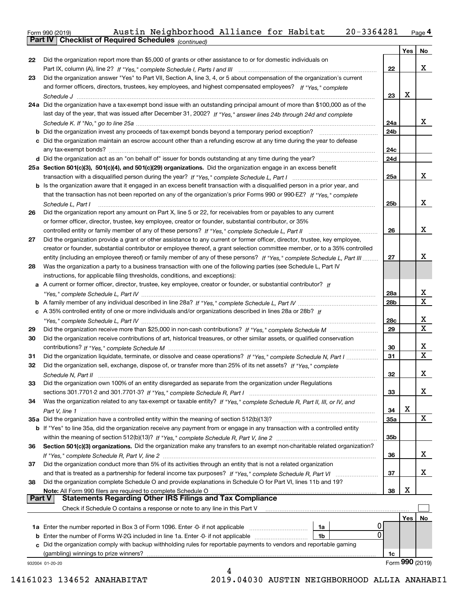Form 990 (2019) Austin Neighborhood Alliance for Habitat 20-3364281 <sub>Page</sub>4<br>**Part IV | Checklist of Required Schedules** <sub>(continued)</sub>

|        | Parl IV I<br>Criecklist of Required Scriedules (continued)                                                                         |            |     |                  |
|--------|------------------------------------------------------------------------------------------------------------------------------------|------------|-----|------------------|
|        |                                                                                                                                    |            | Yes | No               |
| 22     | Did the organization report more than \$5,000 of grants or other assistance to or for domestic individuals on                      |            |     |                  |
|        |                                                                                                                                    | 22         |     | х                |
| 23     | Did the organization answer "Yes" to Part VII, Section A, line 3, 4, or 5 about compensation of the organization's current         |            |     |                  |
|        | and former officers, directors, trustees, key employees, and highest compensated employees? If "Yes," complete                     |            |     |                  |
|        |                                                                                                                                    | 23         | Х   |                  |
|        | 24a Did the organization have a tax-exempt bond issue with an outstanding principal amount of more than \$100,000 as of the        |            |     |                  |
|        | last day of the year, that was issued after December 31, 2002? If "Yes," answer lines 24b through 24d and complete                 |            |     | х                |
|        | <b>b</b> Did the organization invest any proceeds of tax-exempt bonds beyond a temporary period exception?                         | 24a<br>24b |     |                  |
|        | c Did the organization maintain an escrow account other than a refunding escrow at any time during the year to defease             |            |     |                  |
|        |                                                                                                                                    | 24с        |     |                  |
|        |                                                                                                                                    | 24d        |     |                  |
|        | 25a Section 501(c)(3), 501(c)(4), and 501(c)(29) organizations. Did the organization engage in an excess benefit                   |            |     |                  |
|        |                                                                                                                                    | 25a        |     | x                |
|        | b Is the organization aware that it engaged in an excess benefit transaction with a disqualified person in a prior year, and       |            |     |                  |
|        | that the transaction has not been reported on any of the organization's prior Forms 990 or 990-EZ? If "Yes," complete              |            |     |                  |
|        | Schedule L, Part I                                                                                                                 | 25b        |     | x                |
| 26     | Did the organization report any amount on Part X, line 5 or 22, for receivables from or payables to any current                    |            |     |                  |
|        | or former officer, director, trustee, key employee, creator or founder, substantial contributor, or 35%                            |            |     |                  |
|        |                                                                                                                                    | 26         |     | x                |
| 27     | Did the organization provide a grant or other assistance to any current or former officer, director, trustee, key employee,        |            |     |                  |
|        | creator or founder, substantial contributor or employee thereof, a grant selection committee member, or to a 35% controlled        |            |     |                  |
|        | entity (including an employee thereof) or family member of any of these persons? If "Yes," complete Schedule L, Part III           | 27         |     | x                |
| 28     | Was the organization a party to a business transaction with one of the following parties (see Schedule L, Part IV                  |            |     |                  |
|        | instructions, for applicable filing thresholds, conditions, and exceptions):                                                       |            |     |                  |
|        | a A current or former officer, director, trustee, key employee, creator or founder, or substantial contributor? If                 |            |     |                  |
|        |                                                                                                                                    | 28a        |     | x<br>$\mathbf X$ |
|        |                                                                                                                                    | 28b        |     |                  |
|        | c A 35% controlled entity of one or more individuals and/or organizations described in lines 28a or 28b? If                        | 28c        |     | x                |
| 29     |                                                                                                                                    | 29         |     | X                |
| 30     | Did the organization receive contributions of art, historical treasures, or other similar assets, or qualified conservation        |            |     |                  |
|        |                                                                                                                                    | 30         |     | x                |
| 31     | Did the organization liquidate, terminate, or dissolve and cease operations? If "Yes," complete Schedule N, Part I                 | 31         |     | X                |
| 32     | Did the organization sell, exchange, dispose of, or transfer more than 25% of its net assets? If "Yes," complete                   |            |     |                  |
|        | Schedule N. Part II                                                                                                                | 32         |     | х                |
| 33     | Did the organization own 100% of an entity disregarded as separate from the organization under Regulations                         |            |     |                  |
|        |                                                                                                                                    | 33         |     | x                |
| 34     | Was the organization related to any tax-exempt or taxable entity? If "Yes," complete Schedule R, Part II, III, or IV, and          |            |     |                  |
|        |                                                                                                                                    | 34         | X   |                  |
|        | 35a Did the organization have a controlled entity within the meaning of section 512(b)(13)?                                        | 35a        |     | X                |
|        | <b>b</b> If "Yes" to line 35a, did the organization receive any payment from or engage in any transaction with a controlled entity |            |     |                  |
|        |                                                                                                                                    | 35b        |     |                  |
| 36     | Section 501(c)(3) organizations. Did the organization make any transfers to an exempt non-charitable related organization?         |            |     |                  |
|        |                                                                                                                                    | 36         |     | х                |
| 37     | Did the organization conduct more than 5% of its activities through an entity that is not a related organization                   |            |     |                  |
|        |                                                                                                                                    | 37         |     | x                |
| 38     | Did the organization complete Schedule O and provide explanations in Schedule O for Part VI, lines 11b and 19?                     |            | х   |                  |
| Part V | Note: All Form 990 filers are required to complete Schedule O<br><b>Statements Regarding Other IRS Filings and Tax Compliance</b>  | 38         |     |                  |
|        | Check if Schedule O contains a response or note to any line in this Part V                                                         |            |     |                  |
|        |                                                                                                                                    |            | Yes | No               |
|        | 1a                                                                                                                                 |            |     |                  |
|        | 0<br><b>b</b> Enter the number of Forms W-2G included in line 1a. Enter -0- if not applicable <i>manumumumum</i><br>1b             |            |     |                  |
|        | c Did the organization comply with backup withholding rules for reportable payments to vendors and reportable gaming               |            |     |                  |
|        | (gambling) winnings to prize winners?                                                                                              | 1c         |     |                  |
|        | 932004 01-20-20                                                                                                                    |            |     | Form 990 (2019)  |
|        | 4                                                                                                                                  |            |     |                  |

 <sup>14161023 134652</sup> ANAHABITAT 2019.04030 AUSTIN NEIGHBORHOOD ALLIA ANAHABI1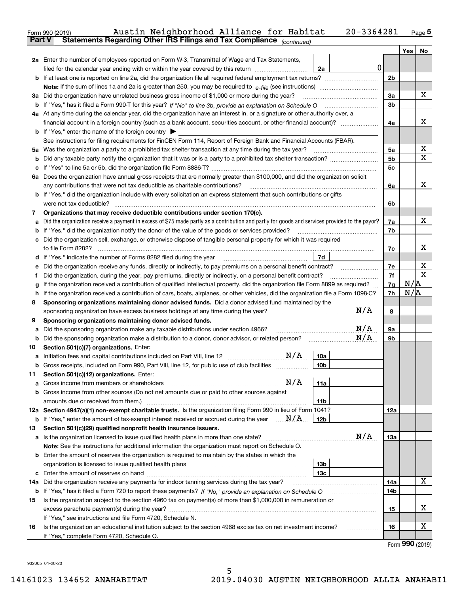|               | Austin Neighborhood Alliance for Habitat<br>Form 990 (2019)                                                                                     | 20-3364281        |                |            | <u>Page</u> 5                       |
|---------------|-------------------------------------------------------------------------------------------------------------------------------------------------|-------------------|----------------|------------|-------------------------------------|
| <b>Part V</b> | Statements Regarding Other IRS Filings and Tax Compliance (continued)                                                                           |                   |                |            |                                     |
|               | 2a Enter the number of employees reported on Form W-3, Transmittal of Wage and Tax Statements,                                                  |                   |                | <b>Yes</b> | No                                  |
|               | filed for the calendar year ending with or within the year covered by this return                                                               | $\mathbf 0$<br>2a |                |            |                                     |
|               |                                                                                                                                                 |                   | 2 <sub>b</sub> |            |                                     |
|               |                                                                                                                                                 |                   |                |            |                                     |
|               | 3a Did the organization have unrelated business gross income of \$1,000 or more during the year?                                                |                   | 3a             |            | х                                   |
|               |                                                                                                                                                 |                   | 3 <sub>b</sub> |            |                                     |
|               | 4a At any time during the calendar year, did the organization have an interest in, or a signature or other authority over, a                    |                   |                |            |                                     |
|               | financial account in a foreign country (such as a bank account, securities account, or other financial account)?                                |                   | 4a             |            | х                                   |
|               | <b>b</b> If "Yes," enter the name of the foreign country $\blacktriangleright$                                                                  |                   |                |            |                                     |
|               | See instructions for filing requirements for FinCEN Form 114, Report of Foreign Bank and Financial Accounts (FBAR).                             |                   |                |            |                                     |
|               |                                                                                                                                                 |                   | 5a             |            | х                                   |
| b             |                                                                                                                                                 |                   | 5 <sub>b</sub> |            | Χ                                   |
|               |                                                                                                                                                 |                   | 5с             |            |                                     |
|               | 6a Does the organization have annual gross receipts that are normally greater than \$100,000, and did the organization solicit                  |                   |                |            |                                     |
|               |                                                                                                                                                 |                   | 6a             |            | х                                   |
|               | <b>b</b> If "Yes," did the organization include with every solicitation an express statement that such contributions or gifts                   |                   |                |            |                                     |
|               | were not tax deductible?                                                                                                                        |                   | 6b             |            |                                     |
| 7             | Organizations that may receive deductible contributions under section 170(c).                                                                   |                   |                |            |                                     |
| а             | Did the organization receive a payment in excess of \$75 made partly as a contribution and partly for goods and services provided to the payor? |                   | 7a             |            | х                                   |
| b             | If "Yes," did the organization notify the donor of the value of the goods or services provided?                                                 |                   | 7b             |            |                                     |
|               | c Did the organization sell, exchange, or otherwise dispose of tangible personal property for which it was required                             |                   |                |            |                                     |
|               |                                                                                                                                                 |                   | 7c             |            | x                                   |
|               |                                                                                                                                                 | 7d                |                |            |                                     |
| е             | Did the organization receive any funds, directly or indirectly, to pay premiums on a personal benefit contract?                                 |                   | 7e             |            | X                                   |
| f             | Did the organization, during the year, pay premiums, directly or indirectly, on a personal benefit contract?                                    |                   | 7f             |            | х                                   |
| g             | If the organization received a contribution of qualified intellectual property, did the organization file Form 8899 as required?                |                   | 7g             | N/R        |                                     |
| h.            | If the organization received a contribution of cars, boats, airplanes, or other vehicles, did the organization file a Form 1098-C?              |                   | 7h             | N/R        |                                     |
| 8             | Sponsoring organizations maintaining donor advised funds. Did a donor advised fund maintained by the                                            |                   |                |            |                                     |
|               | sponsoring organization have excess business holdings at any time during the year?                                                              | N/A               | 8              |            |                                     |
| 9             | Sponsoring organizations maintaining donor advised funds.                                                                                       |                   |                |            |                                     |
| а             | Did the sponsoring organization make any taxable distributions under section 4966?                                                              | N/A               | 9а             |            |                                     |
|               |                                                                                                                                                 | N/A               | 9b             |            |                                     |
| 10            | Section 501(c)(7) organizations. Enter:                                                                                                         |                   |                |            |                                     |
|               | N/A<br>a Initiation fees and capital contributions included on Part VIII, line 12 [111] [11] [12] [11] [12] [11] [12]                           | 10a               |                |            |                                     |
|               | Gross receipts, included on Form 990, Part VIII, line 12, for public use of club facilities                                                     | 10 <sub>b</sub>   |                |            |                                     |
| 11            | Section 501(c)(12) organizations. Enter:                                                                                                        |                   |                |            |                                     |
| а             | N/A<br>Gross income from members or shareholders                                                                                                | 11a               |                |            |                                     |
|               | b Gross income from other sources (Do not net amounts due or paid to other sources against                                                      |                   |                |            |                                     |
|               |                                                                                                                                                 | 11b               |                |            |                                     |
|               | 12a Section 4947(a)(1) non-exempt charitable trusts. Is the organization filing Form 990 in lieu of Form 1041?                                  |                   | 12a            |            |                                     |
|               | <b>b</b> If "Yes," enter the amount of tax-exempt interest received or accrued during the year $\ldots \mathbf{N}/\mathbf{A}$ .                 | 12 <sub>b</sub>   |                |            |                                     |
| 13            | Section 501(c)(29) qualified nonprofit health insurance issuers.                                                                                |                   |                |            |                                     |
| a             | Is the organization licensed to issue qualified health plans in more than one state?                                                            | N/A               | 13a            |            |                                     |
|               | Note: See the instructions for additional information the organization must report on Schedule O.                                               |                   |                |            |                                     |
|               | <b>b</b> Enter the amount of reserves the organization is required to maintain by the states in which the                                       |                   |                |            |                                     |
|               |                                                                                                                                                 | 13b               |                |            |                                     |
|               |                                                                                                                                                 | 13 <sub>c</sub>   |                |            |                                     |
|               | 14a Did the organization receive any payments for indoor tanning services during the tax year?                                                  |                   | 14a            |            | x                                   |
|               | <b>b</b> If "Yes," has it filed a Form 720 to report these payments? If "No," provide an explanation on Schedule O                              |                   | 14b            |            |                                     |
| 15            | Is the organization subject to the section 4960 tax on payment(s) of more than \$1,000,000 in remuneration or                                   |                   |                |            |                                     |
|               |                                                                                                                                                 |                   | 15             |            | х                                   |
|               | If "Yes," see instructions and file Form 4720, Schedule N.                                                                                      |                   |                |            |                                     |
| 16            | Is the organization an educational institution subject to the section 4968 excise tax on net investment income?                                 |                   | 16             |            | х                                   |
|               | If "Yes," complete Form 4720, Schedule O.                                                                                                       |                   |                |            |                                     |
|               |                                                                                                                                                 |                   |                |            | $F_{\text{arm}}$ QQ $\Omega$ (2010) |

Form (2019) **990**

932005 01-20-20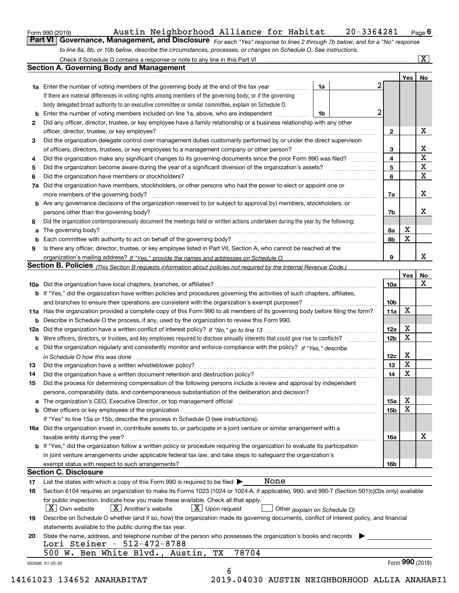| Form 990 (2019) |  |  |
|-----------------|--|--|
|                 |  |  |

# Form 990 (2019) Austin Neighborhood Alliance for Habitat 20-3364281 <sub>Page</sub> 6<br>**Part VI Governance, Management, and Disclosure** For each "Yes" response to lines 2 through 7b below, and for

*For each "Yes" response to lines 2 through 7b below, and for a "No" response to line 8a, 8b, or 10b below, describe the circumstances, processes, or changes on Schedule O. See instructions.*

|    | <b>1a</b> Enter the number of voting members of the governing body at the end of the tax year                                                                                                                                  | 1a | 2                       |     | Yes   No                |
|----|--------------------------------------------------------------------------------------------------------------------------------------------------------------------------------------------------------------------------------|----|-------------------------|-----|-------------------------|
|    | If there are material differences in voting rights among members of the governing body, or if the governing                                                                                                                    |    |                         |     |                         |
|    | body delegated broad authority to an executive committee or similar committee, explain on Schedule O.                                                                                                                          |    |                         |     |                         |
| b  | Enter the number of voting members included on line 1a, above, who are independent                                                                                                                                             | 1b | 2                       |     |                         |
| 2  | Did any officer, director, trustee, or key employee have a family relationship or a business relationship with any other                                                                                                       |    |                         |     |                         |
|    | officer, director, trustee, or key employee?                                                                                                                                                                                   |    | $\mathbf{2}$            |     | X                       |
| З  | Did the organization delegate control over management duties customarily performed by or under the direct supervision                                                                                                          |    |                         |     |                         |
|    | of officers, directors, trustees, or key employees to a management company or other person?                                                                                                                                    |    | 3                       |     | X                       |
| 4  | Did the organization make any significant changes to its governing documents since the prior Form 990 was filed?                                                                                                               |    | $\overline{\mathbf{4}}$ |     | $\overline{\mathbf{x}}$ |
| 5  |                                                                                                                                                                                                                                |    | 5                       |     | $\overline{\mathbf{x}}$ |
| 6  | Did the organization have members or stockholders?                                                                                                                                                                             |    | 6                       |     | $\mathbf x$             |
| 7a | Did the organization have members, stockholders, or other persons who had the power to elect or appoint one or                                                                                                                 |    |                         |     |                         |
|    |                                                                                                                                                                                                                                |    | 7a                      |     | X                       |
|    | <b>b</b> Are any governance decisions of the organization reserved to (or subject to approval by) members, stockholders, or                                                                                                    |    |                         |     |                         |
|    | persons other than the governing body?                                                                                                                                                                                         |    | 7b                      |     | х                       |
| 8  | Did the organization contemporaneously document the meetings held or written actions undertaken during the year by the following:                                                                                              |    |                         |     |                         |
| a  |                                                                                                                                                                                                                                |    | 8а                      | X   |                         |
| b  |                                                                                                                                                                                                                                |    | 8b                      | X   |                         |
| 9  | Is there any officer, director, trustee, or key employee listed in Part VII, Section A, who cannot be reached at the                                                                                                           |    |                         |     |                         |
|    |                                                                                                                                                                                                                                |    | 9                       |     | X                       |
|    | Section B. Policies (This Section B requests information about policies not required by the Internal Revenue Code.)                                                                                                            |    |                         |     |                         |
|    |                                                                                                                                                                                                                                |    |                         | Yes | No                      |
|    |                                                                                                                                                                                                                                |    | 10a                     |     | X                       |
|    | <b>b</b> If "Yes," did the organization have written policies and procedures governing the activities of such chapters, affiliates,                                                                                            |    |                         |     |                         |
|    |                                                                                                                                                                                                                                |    | 10 <sub>b</sub>         |     |                         |
|    | 11a Has the organization provided a complete copy of this Form 990 to all members of its governing body before filing the form?                                                                                                |    | 11a                     | X   |                         |
|    | <b>b</b> Describe in Schedule O the process, if any, used by the organization to review this Form 990.                                                                                                                         |    |                         |     |                         |
|    |                                                                                                                                                                                                                                |    | 12a                     | X   |                         |
|    |                                                                                                                                                                                                                                |    | 12 <sub>b</sub>         | х   |                         |
|    | c Did the organization regularly and consistently monitor and enforce compliance with the policy? If "Yes," describe                                                                                                           |    |                         |     |                         |
|    | in Schedule O how this was done manufactured and continuum control of the Schedule O how this was done manufactured and continuum control of the Schedule O how this was done                                                  |    | 12c                     | X   |                         |
| 13 |                                                                                                                                                                                                                                |    | 13                      | X   |                         |
| 14 |                                                                                                                                                                                                                                |    | 14                      | X   |                         |
| 15 | Did the process for determining compensation of the following persons include a review and approval by independent                                                                                                             |    |                         |     |                         |
|    | persons, comparability data, and contemporaneous substantiation of the deliberation and decision?                                                                                                                              |    |                         |     |                         |
|    | a The organization's CEO, Executive Director, or top management official manufactured content content of the organization's CEO, Executive Director, or top management official manufactured content of the state of the state |    | 15a                     | X   |                         |
|    |                                                                                                                                                                                                                                |    | 15b                     | X   |                         |
|    | If "Yes" to line 15a or 15b, describe the process in Schedule O (see instructions).                                                                                                                                            |    |                         |     |                         |
|    | 16a Did the organization invest in, contribute assets to, or participate in a joint venture or similar arrangement with a                                                                                                      |    |                         |     |                         |
|    | taxable entity during the year?                                                                                                                                                                                                |    | 16a                     |     | X                       |
|    | b If "Yes," did the organization follow a written policy or procedure requiring the organization to evaluate its participation                                                                                                 |    |                         |     |                         |
|    | in joint venture arrangements under applicable federal tax law, and take steps to safeguard the organization's                                                                                                                 |    |                         |     |                         |
|    |                                                                                                                                                                                                                                |    | 16b                     |     |                         |
|    | <b>Section C. Disclosure</b>                                                                                                                                                                                                   |    |                         |     |                         |
| 17 | None<br>List the states with which a copy of this Form 990 is required to be filed $\blacktriangleright$                                                                                                                       |    |                         |     |                         |
| 18 | Section 6104 requires an organization to make its Forms 1023 (1024 or 1024-A, if applicable), 990, and 990-T (Section 501(c)(3)s only) available                                                                               |    |                         |     |                         |
|    | for public inspection. Indicate how you made these available. Check all that apply.                                                                                                                                            |    |                         |     |                         |
|    | $\vert X \vert$ Another's website<br>$\lfloor x \rfloor$ Upon request<br>$\mid$ $\rm X \mid$ Own website<br>Other (explain on Schedule O)                                                                                      |    |                         |     |                         |
| 19 | Describe on Schedule O whether (and if so, how) the organization made its governing documents, conflict of interest policy, and financial                                                                                      |    |                         |     |                         |
|    | statements available to the public during the tax year.                                                                                                                                                                        |    |                         |     |                         |
| 20 | State the name, address, and telephone number of the person who possesses the organization's books and records                                                                                                                 |    |                         |     |                         |
|    | Lori Steiner - 512-472-8788                                                                                                                                                                                                    |    |                         |     |                         |
|    | 78704<br>500 W. Ben White Blvd., Austin,<br>ТX                                                                                                                                                                                 |    |                         |     |                         |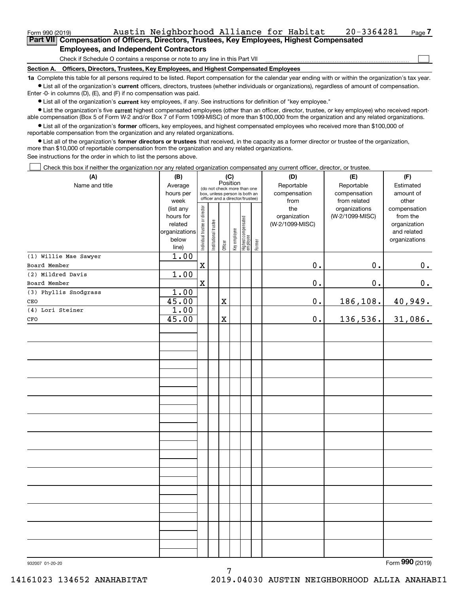| Form 990 (2019)                                                                                    |  | Austin Neighborhood Alliance for Habitat                                     |  |  |  | 20-3364281 | $_{Page}$ $7$ |  |  |  |
|----------------------------------------------------------------------------------------------------|--|------------------------------------------------------------------------------|--|--|--|------------|---------------|--|--|--|
| <b>Part VIII Compensation of Officers, Directors, Trustees, Key Employees, Highest Compensated</b> |  |                                                                              |  |  |  |            |               |  |  |  |
|                                                                                                    |  | <b>Employees, and Independent Contractors</b>                                |  |  |  |            |               |  |  |  |
|                                                                                                    |  | Check if Schedule O contains a response or note to any line in this Part VII |  |  |  |            |               |  |  |  |

**Section A. Officers, Directors, Trustees, Key Employees, and Highest Compensated Employees**

**1a**  Complete this table for all persons required to be listed. Report compensation for the calendar year ending with or within the organization's tax year. **•** List all of the organization's current officers, directors, trustees (whether individuals or organizations), regardless of amount of compensation. Enter -0- in columns (D), (E), and (F) if no compensation was paid.

 $\bullet$  List all of the organization's  $\,$ current key employees, if any. See instructions for definition of "key employee."

**•** List the organization's five current highest compensated employees (other than an officer, director, trustee, or key employee) who received reportable compensation (Box 5 of Form W-2 and/or Box 7 of Form 1099-MISC) of more than \$100,000 from the organization and any related organizations.

**•** List all of the organization's former officers, key employees, and highest compensated employees who received more than \$100,000 of reportable compensation from the organization and any related organizations.

**former directors or trustees**  ¥ List all of the organization's that received, in the capacity as a former director or trustee of the organization, more than \$10,000 of reportable compensation from the organization and any related organizations.

See instructions for the order in which to list the persons above.

Check this box if neither the organization nor any related organization compensated any current officer, director, or trustee.  $\mathcal{L}^{\text{max}}$ 

| (A)                   | (B)<br>(C)           |                                |                                                                                                             |             |              |                                   |        | (D)                        | (E)                        | (F)                    |
|-----------------------|----------------------|--------------------------------|-------------------------------------------------------------------------------------------------------------|-------------|--------------|-----------------------------------|--------|----------------------------|----------------------------|------------------------|
| Name and title        | Average<br>hours per |                                | Position<br>(do not check more than one<br>box, unless person is both an<br>officer and a director/trustee) |             |              |                                   |        | Reportable<br>compensation | Reportable<br>compensation | Estimated<br>amount of |
|                       | week                 |                                |                                                                                                             |             |              |                                   |        | from                       | from related               | other                  |
|                       | (list any            |                                |                                                                                                             |             |              |                                   |        | the                        | organizations              | compensation           |
|                       | hours for            |                                |                                                                                                             |             |              |                                   |        | organization               | (W-2/1099-MISC)            | from the               |
|                       | related              |                                |                                                                                                             |             |              |                                   |        | (W-2/1099-MISC)            |                            | organization           |
|                       | organizations        |                                |                                                                                                             |             |              |                                   |        |                            |                            | and related            |
|                       | below                | Individual trustee or director | Institutional trustee                                                                                       |             | Key employee | Highest compensated<br>  employee | Former |                            |                            | organizations          |
|                       | line)                |                                |                                                                                                             | Officer     |              |                                   |        |                            |                            |                        |
| (1) Willie Mae Sawyer | 1.00                 |                                |                                                                                                             |             |              |                                   |        |                            |                            |                        |
| Board Member          |                      | $\mathbf X$                    |                                                                                                             |             |              |                                   |        | 0.                         | 0.                         | $0_{\cdot}$            |
| (2) Mildred Davis     | 1.00                 |                                |                                                                                                             |             |              |                                   |        |                            |                            |                        |
| Board Member          |                      | $\mathbf X$                    |                                                                                                             |             |              |                                   |        | $0$ .                      | $0$ .                      | 0.                     |
| (3) Phyllis Snodgrass | 1.00                 |                                |                                                                                                             |             |              |                                   |        |                            |                            |                        |
| CEO                   | 45.00                |                                |                                                                                                             | $\mathbf X$ |              |                                   |        | 0.                         | 186,108.                   | 40,949.                |
| (4) Lori Steiner      | 1.00                 |                                |                                                                                                             |             |              |                                   |        |                            |                            |                        |
| CFO                   | 45.00                |                                |                                                                                                             | $\mathbf X$ |              |                                   |        | $0$ .                      | 136,536.                   | 31,086.                |
|                       |                      |                                |                                                                                                             |             |              |                                   |        |                            |                            |                        |
|                       |                      |                                |                                                                                                             |             |              |                                   |        |                            |                            |                        |
|                       |                      |                                |                                                                                                             |             |              |                                   |        |                            |                            |                        |
|                       |                      |                                |                                                                                                             |             |              |                                   |        |                            |                            |                        |
|                       |                      |                                |                                                                                                             |             |              |                                   |        |                            |                            |                        |
|                       |                      |                                |                                                                                                             |             |              |                                   |        |                            |                            |                        |
|                       |                      |                                |                                                                                                             |             |              |                                   |        |                            |                            |                        |
|                       |                      |                                |                                                                                                             |             |              |                                   |        |                            |                            |                        |
|                       |                      |                                |                                                                                                             |             |              |                                   |        |                            |                            |                        |
|                       |                      |                                |                                                                                                             |             |              |                                   |        |                            |                            |                        |
|                       |                      |                                |                                                                                                             |             |              |                                   |        |                            |                            |                        |
|                       |                      |                                |                                                                                                             |             |              |                                   |        |                            |                            |                        |
|                       |                      |                                |                                                                                                             |             |              |                                   |        |                            |                            |                        |
|                       |                      |                                |                                                                                                             |             |              |                                   |        |                            |                            |                        |
|                       |                      |                                |                                                                                                             |             |              |                                   |        |                            |                            |                        |
|                       |                      |                                |                                                                                                             |             |              |                                   |        |                            |                            |                        |
|                       |                      |                                |                                                                                                             |             |              |                                   |        |                            |                            |                        |
|                       |                      |                                |                                                                                                             |             |              |                                   |        |                            |                            | $\Omega$               |

7

Form (2019) **990**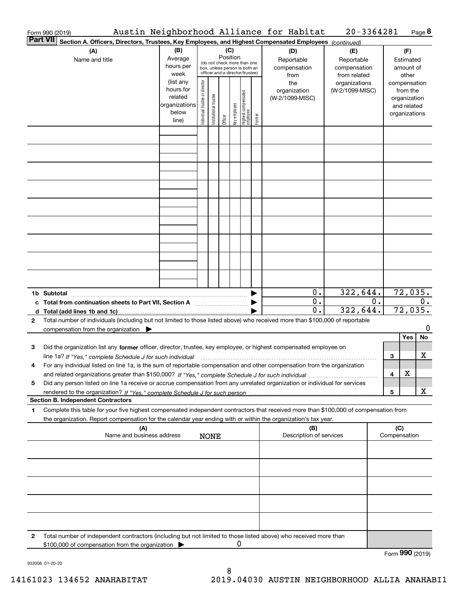|                 | Austin Neighborhood Alliance for Habitat<br>Form 990 (2019)                                                                                                                                                                                            |                                                                      |                                |                       |                 |              |                                                                                                 |        |                                           | 20-3364281                                        |    |                                                                          | Page 8  |
|-----------------|--------------------------------------------------------------------------------------------------------------------------------------------------------------------------------------------------------------------------------------------------------|----------------------------------------------------------------------|--------------------------------|-----------------------|-----------------|--------------|-------------------------------------------------------------------------------------------------|--------|-------------------------------------------|---------------------------------------------------|----|--------------------------------------------------------------------------|---------|
| <b>Part VII</b> | Section A. Officers, Directors, Trustees, Key Employees, and Highest Compensated Employees (continued)                                                                                                                                                 |                                                                      |                                |                       |                 |              |                                                                                                 |        |                                           |                                                   |    |                                                                          |         |
|                 | (A)<br>Name and title                                                                                                                                                                                                                                  | (B)<br>Average<br>hours per<br>week                                  |                                |                       | (C)<br>Position |              | (do not check more than one<br>box, unless person is both an<br>officer and a director/trustee) |        | (D)<br>Reportable<br>compensation<br>from | (E)<br>Reportable<br>compensation<br>from related |    | (F)<br>Estimated<br>amount of<br>other                                   |         |
|                 |                                                                                                                                                                                                                                                        | (list any<br>hours for<br>related<br>organizations<br>below<br>line) | Individual trustee or director | Institutional trustee | Officer         | Key employee | Highest compensated<br>  employee                                                               | Former | the<br>organization<br>(W-2/1099-MISC)    | organizations<br>(W-2/1099-MISC)                  |    | compensation<br>from the<br>organization<br>and related<br>organizations |         |
|                 |                                                                                                                                                                                                                                                        |                                                                      |                                |                       |                 |              |                                                                                                 |        |                                           |                                                   |    |                                                                          |         |
|                 |                                                                                                                                                                                                                                                        |                                                                      |                                |                       |                 |              |                                                                                                 |        |                                           |                                                   |    |                                                                          |         |
|                 |                                                                                                                                                                                                                                                        |                                                                      |                                |                       |                 |              |                                                                                                 |        |                                           |                                                   |    |                                                                          |         |
|                 |                                                                                                                                                                                                                                                        |                                                                      |                                |                       |                 |              |                                                                                                 |        |                                           |                                                   |    |                                                                          |         |
|                 |                                                                                                                                                                                                                                                        |                                                                      |                                |                       |                 |              |                                                                                                 |        |                                           |                                                   |    |                                                                          |         |
|                 |                                                                                                                                                                                                                                                        |                                                                      |                                |                       |                 |              |                                                                                                 |        |                                           |                                                   |    |                                                                          |         |
|                 |                                                                                                                                                                                                                                                        |                                                                      |                                |                       |                 |              |                                                                                                 |        | 0.                                        | 322,644.                                          |    | 72,035.                                                                  |         |
|                 | c Total from continuation sheets to Part VII, Section A                                                                                                                                                                                                |                                                                      |                                |                       |                 |              |                                                                                                 |        | 0.<br>0.                                  | 322,644.                                          | 0. | 0.<br>72,035.                                                            |         |
| $\mathbf{2}$    | Total number of individuals (including but not limited to those listed above) who received more than \$100,000 of reportable<br>compensation from the organization $\blacktriangleright$                                                               |                                                                      |                                |                       |                 |              |                                                                                                 |        |                                           |                                                   |    | Yes                                                                      | 0<br>No |
| 3               | Did the organization list any former officer, director, trustee, key employee, or highest compensated employee on<br>line 1a? If "Yes," complete Schedule J for such individual manumanamental contents and the new manumanamental                     |                                                                      |                                |                       |                 |              |                                                                                                 |        |                                           |                                                   | 3  |                                                                          | х       |
|                 | For any individual listed on line 1a, is the sum of reportable compensation and other compensation from the organization                                                                                                                               |                                                                      |                                |                       |                 |              |                                                                                                 |        |                                           |                                                   | 4  | X                                                                        |         |
| 5               | Did any person listed on line 1a receive or accrue compensation from any unrelated organization or individual for services<br><b>Section B. Independent Contractors</b>                                                                                |                                                                      |                                |                       |                 |              |                                                                                                 |        |                                           |                                                   | 5  |                                                                          | х       |
| 1               | Complete this table for your five highest compensated independent contractors that received more than \$100,000 of compensation from<br>the organization. Report compensation for the calendar year ending with or within the organization's tax year. |                                                                      |                                |                       |                 |              |                                                                                                 |        |                                           |                                                   |    |                                                                          |         |
|                 | (A)<br>Name and business address                                                                                                                                                                                                                       |                                                                      |                                | <b>NONE</b>           |                 |              |                                                                                                 |        | (B)<br>Description of services            |                                                   |    | (C)<br>Compensation                                                      |         |
|                 |                                                                                                                                                                                                                                                        |                                                                      |                                |                       |                 |              |                                                                                                 |        |                                           |                                                   |    |                                                                          |         |
|                 |                                                                                                                                                                                                                                                        |                                                                      |                                |                       |                 |              |                                                                                                 |        |                                           |                                                   |    |                                                                          |         |
|                 |                                                                                                                                                                                                                                                        |                                                                      |                                |                       |                 |              |                                                                                                 |        |                                           |                                                   |    |                                                                          |         |
|                 |                                                                                                                                                                                                                                                        |                                                                      |                                |                       |                 |              |                                                                                                 |        |                                           |                                                   |    |                                                                          |         |
| 2               | Total number of independent contractors (including but not limited to those listed above) who received more than<br>\$100,000 of compensation from the organization                                                                                    |                                                                      |                                |                       |                 | 0            |                                                                                                 |        |                                           |                                                   |    | റററ                                                                      |         |

932008 01-20-20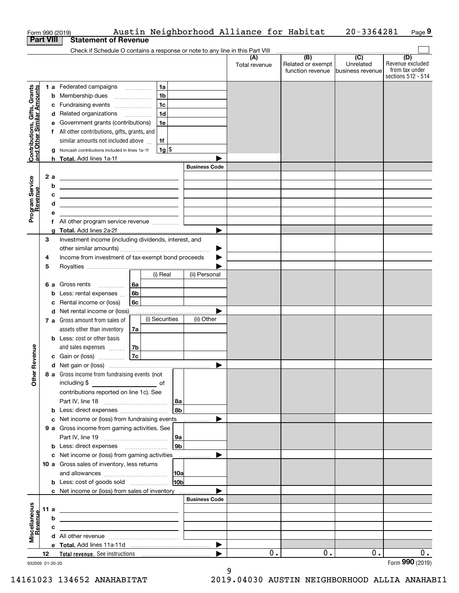|                                                           |    |      | Form 990 (2019)                                                                                                        |                |                       | Austin Neighborhood Alliance for Habitat |                                              | 20-3364281                                      | Page 9                                                          |
|-----------------------------------------------------------|----|------|------------------------------------------------------------------------------------------------------------------------|----------------|-----------------------|------------------------------------------|----------------------------------------------|-------------------------------------------------|-----------------------------------------------------------------|
| <b>Part VIII</b>                                          |    |      | <b>Statement of Revenue</b>                                                                                            |                |                       |                                          |                                              |                                                 |                                                                 |
|                                                           |    |      | Check if Schedule O contains a response or note to any line in this Part VIII                                          |                |                       |                                          |                                              |                                                 |                                                                 |
|                                                           |    |      |                                                                                                                        |                |                       | (A)<br>Total revenue                     | (B)<br>Related or exempt<br>function revenue | $\overline{C}$<br>Unrelated<br>business revenue | (D)<br>Revenue excluded<br>from tax under<br>sections 512 - 514 |
|                                                           |    |      | 1 a Federated campaigns                                                                                                | 1a             |                       |                                          |                                              |                                                 |                                                                 |
| Contributions, Gifts, Grants<br>and Other Similar Amounts |    |      | <b>b</b> Membership dues                                                                                               | 1 <sub>b</sub> |                       |                                          |                                              |                                                 |                                                                 |
|                                                           |    |      | c Fundraising events                                                                                                   | 1 <sub>c</sub> |                       |                                          |                                              |                                                 |                                                                 |
|                                                           |    |      | d Related organizations                                                                                                | 1 <sub>d</sub> |                       |                                          |                                              |                                                 |                                                                 |
|                                                           |    |      | e Government grants (contributions)                                                                                    | 1e             |                       |                                          |                                              |                                                 |                                                                 |
|                                                           |    |      | f All other contributions, gifts, grants, and                                                                          |                |                       |                                          |                                              |                                                 |                                                                 |
|                                                           |    |      | similar amounts not included above                                                                                     | 1f             |                       |                                          |                                              |                                                 |                                                                 |
|                                                           |    |      | g Noncash contributions included in lines 1a-1f                                                                        | $1g$ \$        |                       |                                          |                                              |                                                 |                                                                 |
|                                                           |    |      |                                                                                                                        |                |                       |                                          |                                              |                                                 |                                                                 |
|                                                           |    |      |                                                                                                                        |                | <b>Business Code</b>  |                                          |                                              |                                                 |                                                                 |
|                                                           |    | 2a   | <u> 1989 - Johann Stoff, deutscher Stoffen und der Stoffen und der Stoffen und der Stoffen und der Stoffen und der</u> |                |                       |                                          |                                              |                                                 |                                                                 |
|                                                           |    | b    | <u> 1989 - Johann Barn, amerikansk politiker (d. 1989)</u>                                                             |                |                       |                                          |                                              |                                                 |                                                                 |
|                                                           |    | с    | <u> 1989 - Johann Barn, amerikansk politiker (d. 1989)</u>                                                             |                |                       |                                          |                                              |                                                 |                                                                 |
|                                                           |    | d    | <u> 1989 - Johann Stein, mars an de Brasilia (b. 1989)</u>                                                             |                |                       |                                          |                                              |                                                 |                                                                 |
| Program Service<br>Revenue                                |    | е    |                                                                                                                        |                |                       |                                          |                                              |                                                 |                                                                 |
|                                                           |    |      | f All other program service revenue                                                                                    |                |                       |                                          |                                              |                                                 |                                                                 |
|                                                           |    | a    |                                                                                                                        |                |                       |                                          |                                              |                                                 |                                                                 |
|                                                           | 3  |      | Investment income (including dividends, interest, and                                                                  |                |                       |                                          |                                              |                                                 |                                                                 |
|                                                           |    |      |                                                                                                                        |                | ▶                     |                                          |                                              |                                                 |                                                                 |
|                                                           | 4  |      | Income from investment of tax-exempt bond proceeds                                                                     |                |                       |                                          |                                              |                                                 |                                                                 |
|                                                           | 5  |      |                                                                                                                        |                |                       |                                          |                                              |                                                 |                                                                 |
|                                                           |    |      |                                                                                                                        | (i) Real       | (ii) Personal         |                                          |                                              |                                                 |                                                                 |
|                                                           |    |      | <b>6 a</b> Gross rents<br>l 6a                                                                                         |                |                       |                                          |                                              |                                                 |                                                                 |
|                                                           |    |      | <b>b</b> Less: rental expenses<br>6b                                                                                   |                |                       |                                          |                                              |                                                 |                                                                 |
|                                                           |    |      | c Rental income or (loss)<br>6с                                                                                        |                |                       |                                          |                                              |                                                 |                                                                 |
|                                                           |    |      | d Net rental income or (loss)                                                                                          |                |                       |                                          |                                              |                                                 |                                                                 |
|                                                           |    |      | 7 a Gross amount from sales of                                                                                         | (i) Securities | (ii) Other            |                                          |                                              |                                                 |                                                                 |
|                                                           |    |      | assets other than inventory<br>7a                                                                                      |                |                       |                                          |                                              |                                                 |                                                                 |
|                                                           |    |      | <b>b</b> Less: cost or other basis                                                                                     |                |                       |                                          |                                              |                                                 |                                                                 |
| evenue                                                    |    |      | 7b<br>and sales expenses                                                                                               |                |                       |                                          |                                              |                                                 |                                                                 |
|                                                           |    |      | 7c<br>c Gain or (loss)                                                                                                 |                |                       |                                          |                                              |                                                 |                                                                 |
| Œ<br>Other                                                |    |      | 8 a Gross income from fundraising events (not                                                                          |                |                       |                                          |                                              |                                                 |                                                                 |
|                                                           |    |      | including \$<br><u>of</u> of                                                                                           |                |                       |                                          |                                              |                                                 |                                                                 |
|                                                           |    |      | contributions reported on line 1c). See                                                                                |                |                       |                                          |                                              |                                                 |                                                                 |
|                                                           |    |      |                                                                                                                        | 8a             |                       |                                          |                                              |                                                 |                                                                 |
|                                                           |    |      | <b>b</b> Less: direct expenses <b>constants b</b>                                                                      | l 8b           |                       |                                          |                                              |                                                 |                                                                 |
|                                                           |    |      | c Net income or (loss) from fundraising events                                                                         |                |                       |                                          |                                              |                                                 |                                                                 |
|                                                           |    |      | 9 a Gross income from gaming activities. See                                                                           |                |                       |                                          |                                              |                                                 |                                                                 |
|                                                           |    |      |                                                                                                                        | 9a<br> 9b      |                       |                                          |                                              |                                                 |                                                                 |
|                                                           |    |      | <b>b</b> Less: direct expenses <b>manually</b>                                                                         |                | ▶                     |                                          |                                              |                                                 |                                                                 |
|                                                           |    |      | c Net income or (loss) from gaming activities<br>10 a Gross sales of inventory, less returns                           |                | .                     |                                          |                                              |                                                 |                                                                 |
|                                                           |    |      |                                                                                                                        | 10a            |                       |                                          |                                              |                                                 |                                                                 |
|                                                           |    |      | <b>b</b> Less: cost of goods sold                                                                                      | 10b            |                       |                                          |                                              |                                                 |                                                                 |
|                                                           |    |      |                                                                                                                        |                |                       |                                          |                                              |                                                 |                                                                 |
|                                                           |    |      | c Net income or (loss) from sales of inventory                                                                         |                | <b>Business Code</b>  |                                          |                                              |                                                 |                                                                 |
|                                                           |    | 11 a |                                                                                                                        |                |                       |                                          |                                              |                                                 |                                                                 |
|                                                           |    | b    | <u> 1989 - Andrea Stadt Britain, amerikansk politiker (</u>                                                            |                |                       |                                          |                                              |                                                 |                                                                 |
| Miscellaneous<br>Revenue                                  |    | c    | <u> 1989 - Johann Barbara, martxa eta idazlea (h. 1989).</u>                                                           |                |                       |                                          |                                              |                                                 |                                                                 |
|                                                           |    |      |                                                                                                                        |                |                       |                                          |                                              |                                                 |                                                                 |
|                                                           |    |      |                                                                                                                        |                | $\blacktriangleright$ |                                          |                                              |                                                 |                                                                 |
|                                                           | 12 |      |                                                                                                                        |                | ▶                     | 0.                                       | 0.                                           | 0.                                              | 0.                                                              |
| 932009 01-20-20                                           |    |      |                                                                                                                        |                |                       |                                          |                                              |                                                 | Form 990 (2019)                                                 |

9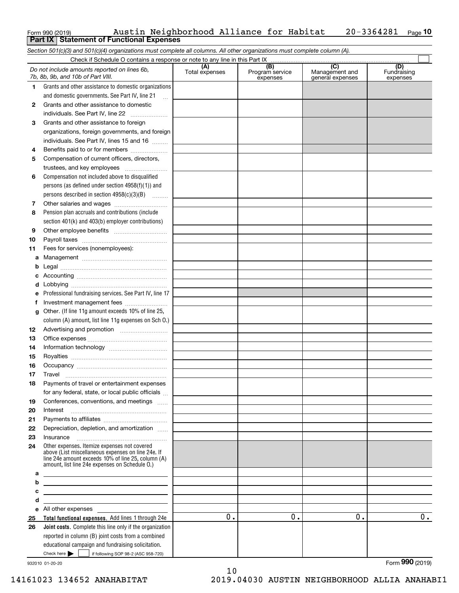| Form 990 (2019) |                                                   | Austin Neighborhood Alliance for Habitat |  | $20 - 3364281$ Page 10 |  |
|-----------------|---------------------------------------------------|------------------------------------------|--|------------------------|--|
|                 | <b>Part IX   Statement of Functional Expenses</b> |                                          |  |                        |  |

*Section 501(c)(3) and 501(c)(4) organizations must complete all columns. All other organizations must complete column (A).*

|          | Check if Schedule O contains a response or note to any line in this Part IX                                                                                |                       |                                    |                                           |                                |
|----------|------------------------------------------------------------------------------------------------------------------------------------------------------------|-----------------------|------------------------------------|-------------------------------------------|--------------------------------|
|          | Do not include amounts reported on lines 6b,<br>7b, 8b, 9b, and 10b of Part VIII.                                                                          | (A)<br>Total expenses | (B)<br>Program service<br>expenses | (C)<br>Management and<br>general expenses | (D)<br>Fundraising<br>expenses |
| 1.       | Grants and other assistance to domestic organizations                                                                                                      |                       |                                    |                                           |                                |
|          | and domestic governments. See Part IV, line 21                                                                                                             |                       |                                    |                                           |                                |
| 2        | Grants and other assistance to domestic                                                                                                                    |                       |                                    |                                           |                                |
|          | individuals. See Part IV, line 22<br>$\overline{\phantom{a}}$                                                                                              |                       |                                    |                                           |                                |
| 3        | Grants and other assistance to foreign                                                                                                                     |                       |                                    |                                           |                                |
|          | organizations, foreign governments, and foreign                                                                                                            |                       |                                    |                                           |                                |
|          | individuals. See Part IV, lines 15 and 16                                                                                                                  |                       |                                    |                                           |                                |
| 4        | Benefits paid to or for members                                                                                                                            |                       |                                    |                                           |                                |
| 5        | Compensation of current officers, directors,                                                                                                               |                       |                                    |                                           |                                |
|          | trustees, and key employees                                                                                                                                |                       |                                    |                                           |                                |
| 6        | Compensation not included above to disqualified                                                                                                            |                       |                                    |                                           |                                |
|          | persons (as defined under section 4958(f)(1)) and                                                                                                          |                       |                                    |                                           |                                |
|          | persons described in section 4958(c)(3)(B)                                                                                                                 |                       |                                    |                                           |                                |
| 7        |                                                                                                                                                            |                       |                                    |                                           |                                |
| 8        | Pension plan accruals and contributions (include                                                                                                           |                       |                                    |                                           |                                |
|          | section 401(k) and 403(b) employer contributions)                                                                                                          |                       |                                    |                                           |                                |
| 9        |                                                                                                                                                            |                       |                                    |                                           |                                |
| 10       |                                                                                                                                                            |                       |                                    |                                           |                                |
| 11       | Fees for services (nonemployees):                                                                                                                          |                       |                                    |                                           |                                |
| а        |                                                                                                                                                            |                       |                                    |                                           |                                |
| b        |                                                                                                                                                            |                       |                                    |                                           |                                |
| с        |                                                                                                                                                            |                       |                                    |                                           |                                |
| d        |                                                                                                                                                            |                       |                                    |                                           |                                |
| е        | Professional fundraising services. See Part IV, line 17                                                                                                    |                       |                                    |                                           |                                |
| f        | Investment management fees                                                                                                                                 |                       |                                    |                                           |                                |
| g        | Other. (If line 11g amount exceeds 10% of line 25,                                                                                                         |                       |                                    |                                           |                                |
|          | column (A) amount, list line 11g expenses on Sch O.)                                                                                                       |                       |                                    |                                           |                                |
| 12       |                                                                                                                                                            |                       |                                    |                                           |                                |
| 13       |                                                                                                                                                            |                       |                                    |                                           |                                |
| 14       |                                                                                                                                                            |                       |                                    |                                           |                                |
| 15       |                                                                                                                                                            |                       |                                    |                                           |                                |
| 16       |                                                                                                                                                            |                       |                                    |                                           |                                |
| 17       | Travel                                                                                                                                                     |                       |                                    |                                           |                                |
| 18       | Payments of travel or entertainment expenses                                                                                                               |                       |                                    |                                           |                                |
|          | for any federal, state, or local public officials                                                                                                          |                       |                                    |                                           |                                |
| 19       | Conferences, conventions, and meetings                                                                                                                     |                       |                                    |                                           |                                |
| 20       | Interest                                                                                                                                                   |                       |                                    |                                           |                                |
| 21       |                                                                                                                                                            |                       |                                    |                                           |                                |
| 22       | Depreciation, depletion, and amortization                                                                                                                  |                       |                                    |                                           |                                |
| 23<br>24 | Insurance<br>Other expenses. Itemize expenses not covered                                                                                                  |                       |                                    |                                           |                                |
|          | above (List miscellaneous expenses on line 24e. If<br>line 24e amount exceeds 10% of line 25, column (A)<br>amount, list line 24e expenses on Schedule O.) |                       |                                    |                                           |                                |
| а        | <u> 1980 - Johann Barn, mars ann an t-Amhain an t-Amhain an t-Amhain an t-Amhain an t-Amhain an t-Amhain an t-Amh</u>                                      |                       |                                    |                                           |                                |
| b        | <u> 1989 - Johann Stein, marwolaethau a bhann an t-Amhainn an t-Amhainn an t-Amhainn an t-Amhainn an t-Amhainn an</u>                                      |                       |                                    |                                           |                                |
| с        | <u> 1989 - Johann Barn, mars ann an t-Amhain ann an t-Amhain an t-Amhain an t-Amhain an t-Amhain an t-Amhain an t-</u>                                     |                       |                                    |                                           |                                |
| d        | <u> 1989 - Johann Barbara, martin amerikan basar dan berasal dalam basa dalam basar dalam basar dalam basar dala</u>                                       |                       |                                    |                                           |                                |
| е        | All other expenses and the state of the state of the state of the state of the state of the state of the state                                             |                       |                                    |                                           |                                |
| 25       | Total functional expenses. Add lines 1 through 24e                                                                                                         | 0.                    | 0.                                 | 0.                                        | 0.                             |
| 26       | Joint costs. Complete this line only if the organization                                                                                                   |                       |                                    |                                           |                                |
|          | reported in column (B) joint costs from a combined                                                                                                         |                       |                                    |                                           |                                |
|          | educational campaign and fundraising solicitation.                                                                                                         |                       |                                    |                                           |                                |
|          | Check here $\blacktriangleright$<br>if following SOP 98-2 (ASC 958-720)                                                                                    |                       |                                    |                                           | Form 990 (2019)                |
|          | 932010 01-20-20                                                                                                                                            |                       |                                    |                                           |                                |

932010 01-20-20

10 14161023 134652 ANAHABITAT 2019.04030 AUSTIN NEIGHBORHOOD ALLIA ANAHABI1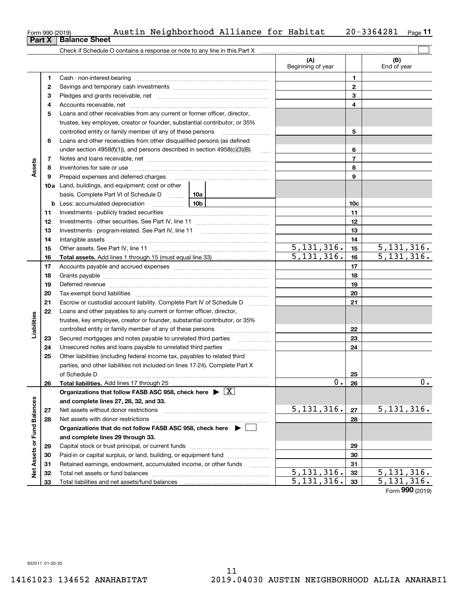| Form 990 (2019) |  | Austin Neighborhood Alliance for Habitat |  | $20 - 3364281$ Page 11 |  |
|-----------------|--|------------------------------------------|--|------------------------|--|
|                 |  |                                          |  |                        |  |

|                             |          |                                                                                                                                                                                                                                                                                                                                                                                                                                                                                             | (A)<br>Beginning of year  |                 | (B)<br>End of year       |
|-----------------------------|----------|---------------------------------------------------------------------------------------------------------------------------------------------------------------------------------------------------------------------------------------------------------------------------------------------------------------------------------------------------------------------------------------------------------------------------------------------------------------------------------------------|---------------------------|-----------------|--------------------------|
|                             | 1        |                                                                                                                                                                                                                                                                                                                                                                                                                                                                                             |                           | 1               |                          |
|                             | 2        |                                                                                                                                                                                                                                                                                                                                                                                                                                                                                             |                           | $\mathbf{2}$    |                          |
|                             | 3        |                                                                                                                                                                                                                                                                                                                                                                                                                                                                                             |                           | 3               |                          |
|                             | 4        |                                                                                                                                                                                                                                                                                                                                                                                                                                                                                             |                           | 4               |                          |
|                             | 5        | Loans and other receivables from any current or former officer, director,                                                                                                                                                                                                                                                                                                                                                                                                                   |                           |                 |                          |
|                             |          | trustee, key employee, creator or founder, substantial contributor, or 35%                                                                                                                                                                                                                                                                                                                                                                                                                  |                           |                 |                          |
|                             |          | controlled entity or family member of any of these persons                                                                                                                                                                                                                                                                                                                                                                                                                                  |                           | 5               |                          |
|                             | 6        | Loans and other receivables from other disqualified persons (as defined                                                                                                                                                                                                                                                                                                                                                                                                                     |                           |                 |                          |
|                             |          | under section $4958(f)(1)$ , and persons described in section $4958(c)(3)(B)$                                                                                                                                                                                                                                                                                                                                                                                                               | <b>Section</b>            | 6               |                          |
|                             | 7        |                                                                                                                                                                                                                                                                                                                                                                                                                                                                                             |                           | $\overline{7}$  |                          |
| Assets                      | 8        |                                                                                                                                                                                                                                                                                                                                                                                                                                                                                             |                           | 8               |                          |
|                             | 9        | Prepaid expenses and deferred charges                                                                                                                                                                                                                                                                                                                                                                                                                                                       |                           | 9               |                          |
|                             |          | <b>10a</b> Land, buildings, and equipment: cost or other                                                                                                                                                                                                                                                                                                                                                                                                                                    |                           |                 |                          |
|                             |          | basis. Complete Part VI of Schedule D  10a                                                                                                                                                                                                                                                                                                                                                                                                                                                  |                           |                 |                          |
|                             |          | <u>10</u> b<br><b>b</b> Less: accumulated depreciation                                                                                                                                                                                                                                                                                                                                                                                                                                      |                           | 10 <sub>c</sub> |                          |
|                             | 11       |                                                                                                                                                                                                                                                                                                                                                                                                                                                                                             |                           | 11              |                          |
|                             | 12       |                                                                                                                                                                                                                                                                                                                                                                                                                                                                                             |                           | 12              |                          |
|                             | 13       |                                                                                                                                                                                                                                                                                                                                                                                                                                                                                             |                           | 13              |                          |
|                             | 14       |                                                                                                                                                                                                                                                                                                                                                                                                                                                                                             |                           | 14              |                          |
|                             | 15       |                                                                                                                                                                                                                                                                                                                                                                                                                                                                                             | 5, 131, 316.              | 15              | 5, 131, 316.             |
|                             | 16       |                                                                                                                                                                                                                                                                                                                                                                                                                                                                                             | $\overline{5,131,316}$ .  | 16              | $\overline{5,131,316}$ . |
|                             | 17       |                                                                                                                                                                                                                                                                                                                                                                                                                                                                                             |                           | 17              |                          |
|                             | 18       |                                                                                                                                                                                                                                                                                                                                                                                                                                                                                             |                           | 18              |                          |
|                             | 19       | Deferred revenue manual contracts and contracts are all the contracts and contracts are contracted and contracts are contracted and contract are contracted and contract are contracted and contract are contracted and contra                                                                                                                                                                                                                                                              |                           | 19              |                          |
|                             | 20       |                                                                                                                                                                                                                                                                                                                                                                                                                                                                                             |                           | 20              |                          |
|                             | 21       | Escrow or custodial account liability. Complete Part IV of Schedule D                                                                                                                                                                                                                                                                                                                                                                                                                       | 1.1.1.1.1.1.1.1.1         | 21              |                          |
|                             | 22       | Loans and other payables to any current or former officer, director,                                                                                                                                                                                                                                                                                                                                                                                                                        |                           |                 |                          |
|                             |          | trustee, key employee, creator or founder, substantial contributor, or 35%                                                                                                                                                                                                                                                                                                                                                                                                                  |                           |                 |                          |
| Liabilities                 |          | controlled entity or family member of any of these persons                                                                                                                                                                                                                                                                                                                                                                                                                                  |                           | 22              |                          |
|                             | 23<br>24 | Secured mortgages and notes payable to unrelated third parties                                                                                                                                                                                                                                                                                                                                                                                                                              |                           | 23<br>24        |                          |
|                             | 25       | Other liabilities (including federal income tax, payables to related third                                                                                                                                                                                                                                                                                                                                                                                                                  |                           |                 |                          |
|                             |          | parties, and other liabilities not included on lines 17-24). Complete Part X                                                                                                                                                                                                                                                                                                                                                                                                                |                           |                 |                          |
|                             |          | of Schedule D                                                                                                                                                                                                                                                                                                                                                                                                                                                                               |                           | 25              |                          |
|                             | 26       | $\begin{minipage}{0.5\textwidth} \begin{tabular}{ l l l } \hline & \multicolumn{1}{ l l } \hline & \multicolumn{1}{ l } \multicolumn{1}{ l } \hline \multicolumn{1}{ l } \multicolumn{1}{ l } \multicolumn{1}{ l } \multicolumn{1}{ l } \multicolumn{1}{ l } \multicolumn{1}{ l } \multicolumn{1}{ l } \multicolumn{1}{ l } \multicolumn{1}{ l } \multicolumn{1}{ l } \multicolumn{1}{ l } \multicolumn{1}{ l } \multicolumn{1}{ l } \multic$<br>Total liabilities. Add lines 17 through 25 | $\overline{\mathbf{0}}$ . | 26              | U                        |
|                             |          | Organizations that follow FASB ASC 958, check here $\triangleright \lfloor X \rfloor$                                                                                                                                                                                                                                                                                                                                                                                                       |                           |                 |                          |
|                             |          | and complete lines 27, 28, 32, and 33.                                                                                                                                                                                                                                                                                                                                                                                                                                                      |                           |                 |                          |
|                             | 27       |                                                                                                                                                                                                                                                                                                                                                                                                                                                                                             | 5,131,316.                | 27              | 5,131,316.               |
|                             | 28       |                                                                                                                                                                                                                                                                                                                                                                                                                                                                                             |                           | 28              |                          |
|                             |          | Organizations that do not follow FASB ASC 958, check here $\blacktriangleright$                                                                                                                                                                                                                                                                                                                                                                                                             |                           |                 |                          |
|                             |          | and complete lines 29 through 33.                                                                                                                                                                                                                                                                                                                                                                                                                                                           |                           |                 |                          |
|                             | 29       |                                                                                                                                                                                                                                                                                                                                                                                                                                                                                             |                           | 29              |                          |
|                             | 30       | Paid-in or capital surplus, or land, building, or equipment fund                                                                                                                                                                                                                                                                                                                                                                                                                            |                           | 30              |                          |
|                             | 31       | Retained earnings, endowment, accumulated income, or other funds                                                                                                                                                                                                                                                                                                                                                                                                                            |                           | 31              |                          |
| Net Assets or Fund Balances | 32       |                                                                                                                                                                                                                                                                                                                                                                                                                                                                                             | 5, 131, 316.              | 32              | 5, 131, 316.             |
|                             | 33       |                                                                                                                                                                                                                                                                                                                                                                                                                                                                                             | $\overline{5,131},316.$   | 33              | 5,131,316.               |

Form (2019) **990**

| Form 990 (2019)               |  |  |
|-------------------------------|--|--|
| <b>Part X   Balance Sheet</b> |  |  |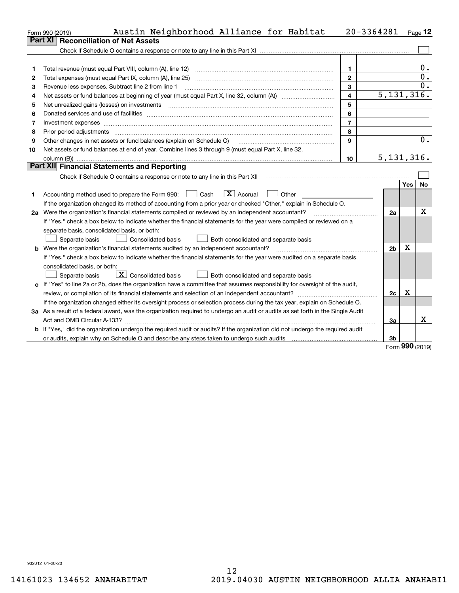|    | Austin Neighborhood Alliance for Habitat<br>Form 990 (2019)                                                                     |                | $20 - 3364281$          |            | $P_{\text{aqe}}$ 12 |
|----|---------------------------------------------------------------------------------------------------------------------------------|----------------|-------------------------|------------|---------------------|
|    | <b>Reconciliation of Net Assets</b><br>Part XI                                                                                  |                |                         |            |                     |
|    |                                                                                                                                 |                |                         |            |                     |
|    |                                                                                                                                 |                |                         |            |                     |
| 1  | Total revenue (must equal Part VIII, column (A), line 12)                                                                       | 1              |                         |            | 0.                  |
| 2  |                                                                                                                                 | $\mathbf{2}$   |                         |            | $\overline{0}$ .    |
| з  | Revenue less expenses. Subtract line 2 from line 1                                                                              | 3              |                         |            | Ο.                  |
| 4  |                                                                                                                                 | 4              | $\overline{5,131},316.$ |            |                     |
| 5  |                                                                                                                                 | 5              |                         |            |                     |
| 6  |                                                                                                                                 | 6              |                         |            |                     |
| 7  | Investment expenses www.communication.com/www.communication.com/www.communication.com/www.com                                   | $\overline{7}$ |                         |            |                     |
| 8  | Prior period adjustments                                                                                                        | 8              |                         |            |                     |
| 9  | Other changes in net assets or fund balances (explain on Schedule O)                                                            | 9              |                         |            | 0.                  |
| 10 | Net assets or fund balances at end of year. Combine lines 3 through 9 (must equal Part X, line 32,                              |                |                         |            |                     |
|    |                                                                                                                                 | 10             | 5,131,316.              |            |                     |
|    | Part XII Financial Statements and Reporting                                                                                     |                |                         |            |                     |
|    |                                                                                                                                 |                |                         |            |                     |
|    |                                                                                                                                 |                |                         | Yes        | No                  |
| 1. | $\boxed{\mathbf{X}}$ Accrual<br>Accounting method used to prepare the Form 990: <u>I</u> Cash<br>Other                          |                |                         |            |                     |
|    | If the organization changed its method of accounting from a prior year or checked "Other," explain in Schedule O.               |                |                         |            |                     |
|    | 2a Were the organization's financial statements compiled or reviewed by an independent accountant?                              |                | 2a                      |            | x                   |
|    | If "Yes," check a box below to indicate whether the financial statements for the year were compiled or reviewed on a            |                |                         |            |                     |
|    | separate basis, consolidated basis, or both:                                                                                    |                |                         |            |                     |
|    | Separate basis<br>Consolidated basis<br>Both consolidated and separate basis                                                    |                |                         |            |                     |
|    | <b>b</b> Were the organization's financial statements audited by an independent accountant?                                     |                | 2 <sub>b</sub>          | х          |                     |
|    | If "Yes," check a box below to indicate whether the financial statements for the year were audited on a separate basis,         |                |                         |            |                     |
|    | consolidated basis, or both:                                                                                                    |                |                         |            |                     |
|    | $\overline{X}$ Consolidated basis<br>Separate basis<br>Both consolidated and separate basis                                     |                |                         |            |                     |
|    | c If "Yes" to line 2a or 2b, does the organization have a committee that assumes responsibility for oversight of the audit,     |                |                         |            |                     |
|    |                                                                                                                                 |                | 2c                      | х          |                     |
|    | If the organization changed either its oversight process or selection process during the tax year, explain on Schedule O.       |                |                         |            |                     |
|    | 3a As a result of a federal award, was the organization required to undergo an audit or audits as set forth in the Single Audit |                |                         |            |                     |
|    |                                                                                                                                 |                | 3a                      |            | х                   |
|    | b If "Yes," did the organization undergo the required audit or audits? If the organization did not undergo the required audit   |                |                         |            |                     |
|    | or audits, explain why on Schedule O and describe any steps taken to undergo such audits                                        |                | 3b                      | <b>nnn</b> |                     |

Form (2019) **990**

932012 01-20-20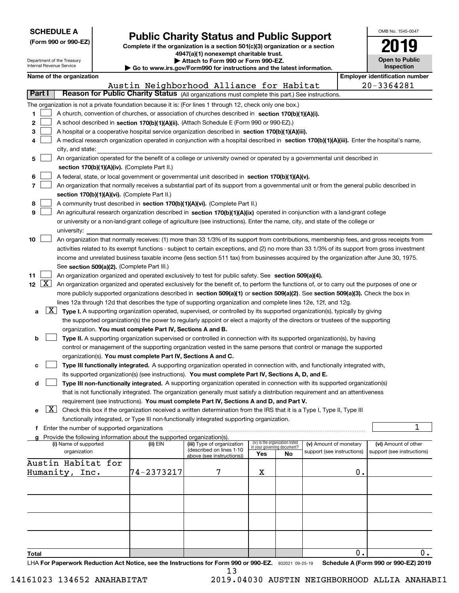| (Form 990 or 990-EZ) |  |
|----------------------|--|

# **Public Charity Status and Public Support**

**Complete if the organization is a section 501(c)(3) organization or a section 4947(a)(1) nonexempt charitable trust. | Attach to Form 990 or Form 990-EZ.** 

| OMB No. 1545-0047                   |
|-------------------------------------|
| 2019                                |
| <b>Open to Public</b><br>Inspection |

| Department of the Treasury<br>Internal Revenue Service |                                               |                          |  | Attach to Form 990 or Form 990-EZ.<br>Go to www.irs.gov/Form990 for instructions and the latest information. |                                                                                                                                               |     |                                 |                                                      | <b>Open to Public</b><br><b>Inspection</b> |                                       |
|--------------------------------------------------------|-----------------------------------------------|--------------------------|--|--------------------------------------------------------------------------------------------------------------|-----------------------------------------------------------------------------------------------------------------------------------------------|-----|---------------------------------|------------------------------------------------------|--------------------------------------------|---------------------------------------|
|                                                        |                                               | Name of the organization |  |                                                                                                              |                                                                                                                                               |     |                                 |                                                      |                                            | <b>Employer identification number</b> |
|                                                        |                                               |                          |  |                                                                                                              | Austin Neighborhood Alliance for Habitat                                                                                                      |     |                                 |                                                      |                                            | 20-3364281                            |
| Part I                                                 |                                               |                          |  |                                                                                                              | Reason for Public Charity Status (All organizations must complete this part.) See instructions.                                               |     |                                 |                                                      |                                            |                                       |
|                                                        |                                               |                          |  |                                                                                                              | The organization is not a private foundation because it is: (For lines 1 through 12, check only one box.)                                     |     |                                 |                                                      |                                            |                                       |
| 1                                                      |                                               |                          |  |                                                                                                              | A church, convention of churches, or association of churches described in section 170(b)(1)(A)(i).                                            |     |                                 |                                                      |                                            |                                       |
| 2                                                      |                                               |                          |  |                                                                                                              | A school described in section 170(b)(1)(A)(ii). (Attach Schedule E (Form 990 or 990-EZ).)                                                     |     |                                 |                                                      |                                            |                                       |
| 3                                                      |                                               |                          |  |                                                                                                              | A hospital or a cooperative hospital service organization described in section 170(b)(1)(A)(iii).                                             |     |                                 |                                                      |                                            |                                       |
| 4                                                      |                                               |                          |  |                                                                                                              | A medical research organization operated in conjunction with a hospital described in section 170(b)(1)(A)(iii). Enter the hospital's name,    |     |                                 |                                                      |                                            |                                       |
|                                                        |                                               | city, and state:         |  |                                                                                                              |                                                                                                                                               |     |                                 |                                                      |                                            |                                       |
| 5                                                      |                                               |                          |  |                                                                                                              | An organization operated for the benefit of a college or university owned or operated by a governmental unit described in                     |     |                                 |                                                      |                                            |                                       |
|                                                        | section 170(b)(1)(A)(iv). (Complete Part II.) |                          |  |                                                                                                              |                                                                                                                                               |     |                                 |                                                      |                                            |                                       |
| 6                                                      |                                               |                          |  |                                                                                                              | A federal, state, or local government or governmental unit described in section 170(b)(1)(A)(v).                                              |     |                                 |                                                      |                                            |                                       |
| $\overline{7}$                                         |                                               |                          |  |                                                                                                              | An organization that normally receives a substantial part of its support from a governmental unit or from the general public described in     |     |                                 |                                                      |                                            |                                       |
|                                                        |                                               |                          |  | section 170(b)(1)(A)(vi). (Complete Part II.)                                                                |                                                                                                                                               |     |                                 |                                                      |                                            |                                       |
| 8                                                      |                                               |                          |  |                                                                                                              | A community trust described in section 170(b)(1)(A)(vi). (Complete Part II.)                                                                  |     |                                 |                                                      |                                            |                                       |
| 9                                                      |                                               |                          |  |                                                                                                              | An agricultural research organization described in section 170(b)(1)(A)(ix) operated in conjunction with a land-grant college                 |     |                                 |                                                      |                                            |                                       |
|                                                        |                                               |                          |  |                                                                                                              | or university or a non-land-grant college of agriculture (see instructions). Enter the name, city, and state of the college or                |     |                                 |                                                      |                                            |                                       |
|                                                        |                                               | university:              |  |                                                                                                              |                                                                                                                                               |     |                                 |                                                      |                                            |                                       |
| 10                                                     |                                               |                          |  |                                                                                                              | An organization that normally receives: (1) more than 33 1/3% of its support from contributions, membership fees, and gross receipts from     |     |                                 |                                                      |                                            |                                       |
|                                                        |                                               |                          |  |                                                                                                              | activities related to its exempt functions - subject to certain exceptions, and (2) no more than 33 1/3% of its support from gross investment |     |                                 |                                                      |                                            |                                       |
|                                                        |                                               |                          |  |                                                                                                              | income and unrelated business taxable income (less section 511 tax) from businesses acquired by the organization after June 30, 1975.         |     |                                 |                                                      |                                            |                                       |
|                                                        |                                               |                          |  | See section 509(a)(2). (Complete Part III.)                                                                  |                                                                                                                                               |     |                                 |                                                      |                                            |                                       |
| 11                                                     |                                               |                          |  |                                                                                                              | An organization organized and operated exclusively to test for public safety. See section 509(a)(4).                                          |     |                                 |                                                      |                                            |                                       |
| $12 \mid X \mid$                                       |                                               |                          |  |                                                                                                              | An organization organized and operated exclusively for the benefit of, to perform the functions of, or to carry out the purposes of one or    |     |                                 |                                                      |                                            |                                       |
|                                                        |                                               |                          |  |                                                                                                              | more publicly supported organizations described in section 509(a)(1) or section 509(a)(2). See section 509(a)(3). Check the box in            |     |                                 |                                                      |                                            |                                       |
|                                                        |                                               |                          |  |                                                                                                              | lines 12a through 12d that describes the type of supporting organization and complete lines 12e, 12f, and 12g.                                |     |                                 |                                                      |                                            |                                       |
| a                                                      | $\lfloor x \rfloor$                           |                          |  |                                                                                                              | Type I. A supporting organization operated, supervised, or controlled by its supported organization(s), typically by giving                   |     |                                 |                                                      |                                            |                                       |
|                                                        |                                               |                          |  |                                                                                                              | the supported organization(s) the power to regularly appoint or elect a majority of the directors or trustees of the supporting               |     |                                 |                                                      |                                            |                                       |
|                                                        |                                               |                          |  | organization. You must complete Part IV, Sections A and B.                                                   |                                                                                                                                               |     |                                 |                                                      |                                            |                                       |
| b                                                      |                                               |                          |  |                                                                                                              | Type II. A supporting organization supervised or controlled in connection with its supported organization(s), by having                       |     |                                 |                                                      |                                            |                                       |
|                                                        |                                               |                          |  |                                                                                                              | control or management of the supporting organization vested in the same persons that control or manage the supported                          |     |                                 |                                                      |                                            |                                       |
|                                                        |                                               |                          |  | organization(s). You must complete Part IV, Sections A and C.                                                |                                                                                                                                               |     |                                 |                                                      |                                            |                                       |
| с                                                      |                                               |                          |  |                                                                                                              | Type III functionally integrated. A supporting organization operated in connection with, and functionally integrated with,                    |     |                                 |                                                      |                                            |                                       |
|                                                        |                                               |                          |  |                                                                                                              | its supported organization(s) (see instructions). You must complete Part IV, Sections A, D, and E.                                            |     |                                 |                                                      |                                            |                                       |
| d                                                      |                                               |                          |  |                                                                                                              | Type III non-functionally integrated. A supporting organization operated in connection with its supported organization(s)                     |     |                                 |                                                      |                                            |                                       |
|                                                        |                                               |                          |  |                                                                                                              | that is not functionally integrated. The organization generally must satisfy a distribution requirement and an attentiveness                  |     |                                 |                                                      |                                            |                                       |
|                                                        |                                               |                          |  |                                                                                                              | requirement (see instructions). You must complete Part IV, Sections A and D, and Part V.                                                      |     |                                 |                                                      |                                            |                                       |
| е                                                      | X                                             |                          |  |                                                                                                              | Check this box if the organization received a written determination from the IRS that it is a Type I, Type II, Type III                       |     |                                 |                                                      |                                            |                                       |
|                                                        |                                               |                          |  |                                                                                                              | functionally integrated, or Type III non-functionally integrated supporting organization.                                                     |     |                                 |                                                      |                                            |                                       |
| f.                                                     |                                               |                          |  |                                                                                                              |                                                                                                                                               |     |                                 |                                                      |                                            | 1                                     |
| a                                                      |                                               |                          |  | Provide the following information about the supported organization(s).                                       |                                                                                                                                               |     | (iv) Is the organization listed |                                                      |                                            |                                       |
|                                                        |                                               | (i) Name of supported    |  | (ii) EIN                                                                                                     | (iii) Type of organization<br>(described on lines 1-10                                                                                        |     | in your governing document?     | (v) Amount of monetary<br>support (see instructions) |                                            | (vi) Amount of other                  |
|                                                        |                                               | organization             |  |                                                                                                              | above (see instructions))                                                                                                                     | Yes | No                              |                                                      |                                            | support (see instructions)            |
|                                                        |                                               | Austin Habitat for       |  |                                                                                                              |                                                                                                                                               |     |                                 |                                                      |                                            |                                       |
|                                                        |                                               | Humanity, Inc.           |  | 74-2373217                                                                                                   | 7                                                                                                                                             | x   |                                 |                                                      | 0.                                         |                                       |
|                                                        |                                               |                          |  |                                                                                                              |                                                                                                                                               |     |                                 |                                                      |                                            |                                       |
|                                                        |                                               |                          |  |                                                                                                              |                                                                                                                                               |     |                                 |                                                      |                                            |                                       |
|                                                        |                                               |                          |  |                                                                                                              |                                                                                                                                               |     |                                 |                                                      |                                            |                                       |
|                                                        |                                               |                          |  |                                                                                                              |                                                                                                                                               |     |                                 |                                                      |                                            |                                       |
|                                                        |                                               |                          |  |                                                                                                              |                                                                                                                                               |     |                                 |                                                      |                                            |                                       |
|                                                        |                                               |                          |  |                                                                                                              |                                                                                                                                               |     |                                 |                                                      |                                            |                                       |
|                                                        |                                               |                          |  |                                                                                                              |                                                                                                                                               |     |                                 |                                                      |                                            |                                       |
| Total                                                  |                                               |                          |  |                                                                                                              |                                                                                                                                               |     |                                 |                                                      | 0.                                         | 0.                                    |
|                                                        |                                               |                          |  |                                                                                                              |                                                                                                                                               |     |                                 |                                                      |                                            |                                       |

**Total**

LHA For Paperwork Reduction Act Notice, see the Instructions for Form 990 or 990-EZ. 932021 09-25-19 Schedule A (Form 990 or 990-EZ) 2019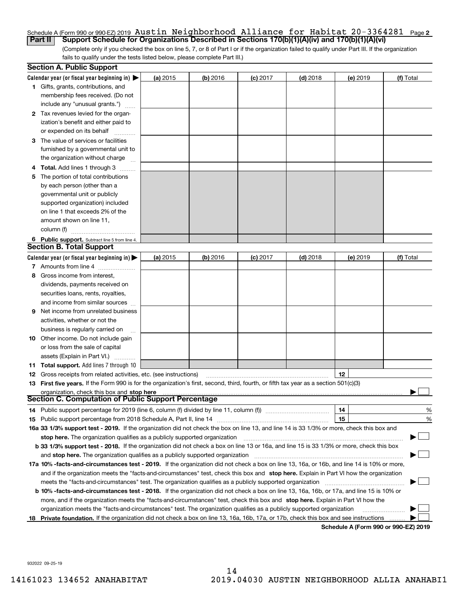### <u>Schedule A (Form 990 or 990-EZ) 2019 <code>Austin Neighborhood</code> <code>Alliance for Habltat 20–3364281 Page 2</code></u> **Part II Support Schedule for Organizations Described in Sections 170(b)(1)(A)(iv) and 170(b)(1)(A)(vi)** Austin Neighborhood Alliance for Habitat 20-3364281

(Complete only if you checked the box on line 5, 7, or 8 of Part I or if the organization failed to qualify under Part III. If the organization fails to qualify under the tests listed below, please complete Part III.)

|    | <b>Section A. Public Support</b>                                                                                                               |          |            |            |            |                                      |           |
|----|------------------------------------------------------------------------------------------------------------------------------------------------|----------|------------|------------|------------|--------------------------------------|-----------|
|    | Calendar year (or fiscal year beginning in) $\blacktriangleright$                                                                              | (a) 2015 | $(b)$ 2016 | $(c)$ 2017 | $(d)$ 2018 | (e) 2019                             | (f) Total |
|    | <b>1</b> Gifts, grants, contributions, and                                                                                                     |          |            |            |            |                                      |           |
|    | membership fees received. (Do not                                                                                                              |          |            |            |            |                                      |           |
|    | include any "unusual grants.")                                                                                                                 |          |            |            |            |                                      |           |
|    | <b>2</b> Tax revenues levied for the organ-                                                                                                    |          |            |            |            |                                      |           |
|    | ization's benefit and either paid to                                                                                                           |          |            |            |            |                                      |           |
|    | or expended on its behalf                                                                                                                      |          |            |            |            |                                      |           |
|    | 3 The value of services or facilities                                                                                                          |          |            |            |            |                                      |           |
|    | furnished by a governmental unit to                                                                                                            |          |            |            |            |                                      |           |
|    | the organization without charge                                                                                                                |          |            |            |            |                                      |           |
|    | 4 Total. Add lines 1 through 3                                                                                                                 |          |            |            |            |                                      |           |
| 5. | The portion of total contributions                                                                                                             |          |            |            |            |                                      |           |
|    | by each person (other than a                                                                                                                   |          |            |            |            |                                      |           |
|    | governmental unit or publicly                                                                                                                  |          |            |            |            |                                      |           |
|    | supported organization) included                                                                                                               |          |            |            |            |                                      |           |
|    | on line 1 that exceeds 2% of the                                                                                                               |          |            |            |            |                                      |           |
|    | amount shown on line 11,                                                                                                                       |          |            |            |            |                                      |           |
|    | column (f)                                                                                                                                     |          |            |            |            |                                      |           |
|    | 6 Public support. Subtract line 5 from line 4.                                                                                                 |          |            |            |            |                                      |           |
|    | <b>Section B. Total Support</b>                                                                                                                |          |            |            |            |                                      |           |
|    | Calendar year (or fiscal year beginning in)                                                                                                    | (a) 2015 | $(b)$ 2016 | $(c)$ 2017 | $(d)$ 2018 | (e) 2019                             | (f) Total |
|    | 7 Amounts from line 4                                                                                                                          |          |            |            |            |                                      |           |
|    | 8 Gross income from interest,                                                                                                                  |          |            |            |            |                                      |           |
|    | dividends, payments received on                                                                                                                |          |            |            |            |                                      |           |
|    | securities loans, rents, royalties,                                                                                                            |          |            |            |            |                                      |           |
|    | and income from similar sources                                                                                                                |          |            |            |            |                                      |           |
| 9. | Net income from unrelated business                                                                                                             |          |            |            |            |                                      |           |
|    | activities, whether or not the                                                                                                                 |          |            |            |            |                                      |           |
|    | business is regularly carried on                                                                                                               |          |            |            |            |                                      |           |
|    | <b>10</b> Other income. Do not include gain                                                                                                    |          |            |            |            |                                      |           |
|    | or loss from the sale of capital                                                                                                               |          |            |            |            |                                      |           |
|    | assets (Explain in Part VI.)                                                                                                                   |          |            |            |            |                                      |           |
|    | <b>11 Total support.</b> Add lines 7 through 10                                                                                                |          |            |            |            |                                      |           |
|    | <b>12</b> Gross receipts from related activities, etc. (see instructions)                                                                      |          |            |            |            | 12                                   |           |
|    | 13 First five years. If the Form 990 is for the organization's first, second, third, fourth, or fifth tax year as a section 501(c)(3)          |          |            |            |            |                                      |           |
|    | organization, check this box and stop here                                                                                                     |          |            |            |            |                                      |           |
|    | <b>Section C. Computation of Public Support Percentage</b>                                                                                     |          |            |            |            |                                      |           |
|    | 14 Public support percentage for 2019 (line 6, column (f) divided by line 11, column (f) <i>manumanomeron</i>                                  |          |            |            |            | 14                                   | %         |
|    |                                                                                                                                                |          |            |            |            | 15                                   | %         |
|    | 16a 33 1/3% support test - 2019. If the organization did not check the box on line 13, and line 14 is 33 1/3% or more, check this box and      |          |            |            |            |                                      |           |
|    | stop here. The organization qualifies as a publicly supported organization                                                                     |          |            |            |            |                                      |           |
|    | b 33 1/3% support test - 2018. If the organization did not check a box on line 13 or 16a, and line 15 is 33 1/3% or more, check this box       |          |            |            |            |                                      |           |
|    | and stop here. The organization qualifies as a publicly supported organization                                                                 |          |            |            |            |                                      |           |
|    | 17a 10% -facts-and-circumstances test - 2019. If the organization did not check a box on line 13, 16a, or 16b, and line 14 is 10% or more,     |          |            |            |            |                                      |           |
|    | and if the organization meets the "facts-and-circumstances" test, check this box and stop here. Explain in Part VI how the organization        |          |            |            |            |                                      |           |
|    | meets the "facts-and-circumstances" test. The organization qualifies as a publicly supported organization                                      |          |            |            |            |                                      |           |
|    | <b>b 10% -facts-and-circumstances test - 2018.</b> If the organization did not check a box on line 13, 16a, 16b, or 17a, and line 15 is 10% or |          |            |            |            |                                      |           |
|    | more, and if the organization meets the "facts-and-circumstances" test, check this box and stop here. Explain in Part VI how the               |          |            |            |            |                                      |           |
|    | organization meets the "facts-and-circumstances" test. The organization qualifies as a publicly supported organization                         |          |            |            |            |                                      |           |
|    | 18 Private foundation. If the organization did not check a box on line 13, 16a, 16b, 17a, or 17b, check this box and see instructions          |          |            |            |            | Schodule A (Form 000 or 000 F7) 2010 |           |

**Schedule A (Form 990 or 990-EZ) 2019**

932022 09-25-19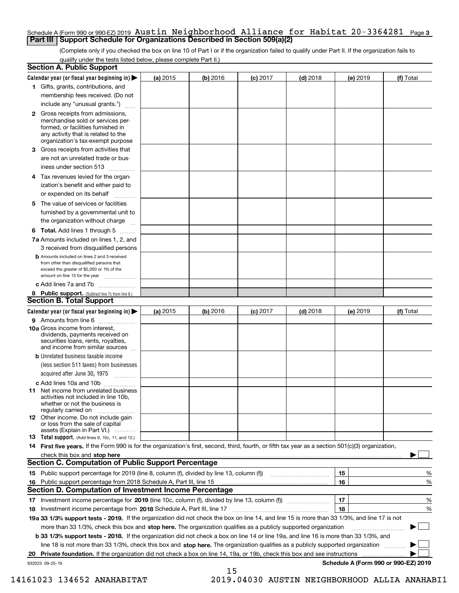# Schedule A (Form 990 or 990-EZ) 2019  $\,$  <code>Austin Neighborhood Alliance for Habitat 20-3364281  $\,$  Page 3</code> **Part III Support Schedule for Organizations Described in Section 509(a)(2)**

(Complete only if you checked the box on line 10 of Part I or if the organization failed to qualify under Part II. If the organization fails to qualify under the tests listed below, please complete Part II.)

|    | <b>Section A. Public Support</b>                                                                                                                                                                                               |          |            |            |            |          |                                      |
|----|--------------------------------------------------------------------------------------------------------------------------------------------------------------------------------------------------------------------------------|----------|------------|------------|------------|----------|--------------------------------------|
|    | Calendar year (or fiscal year beginning in) $\blacktriangleright$                                                                                                                                                              | (a) 2015 | $(b)$ 2016 | $(c)$ 2017 | $(d)$ 2018 | (e) 2019 | (f) Total                            |
|    | 1 Gifts, grants, contributions, and                                                                                                                                                                                            |          |            |            |            |          |                                      |
|    | membership fees received. (Do not                                                                                                                                                                                              |          |            |            |            |          |                                      |
|    | include any "unusual grants.")                                                                                                                                                                                                 |          |            |            |            |          |                                      |
|    | 2 Gross receipts from admissions,<br>merchandise sold or services per-<br>formed, or facilities furnished in<br>any activity that is related to the<br>organization's tax-exempt purpose                                       |          |            |            |            |          |                                      |
|    | 3 Gross receipts from activities that<br>are not an unrelated trade or bus-                                                                                                                                                    |          |            |            |            |          |                                      |
|    | iness under section 513                                                                                                                                                                                                        |          |            |            |            |          |                                      |
|    | 4 Tax revenues levied for the organ-                                                                                                                                                                                           |          |            |            |            |          |                                      |
|    | ization's benefit and either paid to<br>or expended on its behalf<br>.                                                                                                                                                         |          |            |            |            |          |                                      |
|    | 5 The value of services or facilities                                                                                                                                                                                          |          |            |            |            |          |                                      |
|    | furnished by a governmental unit to                                                                                                                                                                                            |          |            |            |            |          |                                      |
|    | the organization without charge                                                                                                                                                                                                |          |            |            |            |          |                                      |
|    | <b>6 Total.</b> Add lines 1 through 5                                                                                                                                                                                          |          |            |            |            |          |                                      |
|    | 7a Amounts included on lines 1, 2, and                                                                                                                                                                                         |          |            |            |            |          |                                      |
|    | 3 received from disqualified persons<br><b>b</b> Amounts included on lines 2 and 3 received                                                                                                                                    |          |            |            |            |          |                                      |
|    | from other than disqualified persons that<br>exceed the greater of \$5,000 or 1% of the<br>amount on line 13 for the year                                                                                                      |          |            |            |            |          |                                      |
|    | c Add lines 7a and 7b                                                                                                                                                                                                          |          |            |            |            |          |                                      |
|    | 8 Public support. (Subtract line 7c from line 6.)<br><b>Section B. Total Support</b>                                                                                                                                           |          |            |            |            |          |                                      |
|    | Calendar year (or fiscal year beginning in) $\blacktriangleright$                                                                                                                                                              | (a) 2015 | (b) 2016   | $(c)$ 2017 | $(d)$ 2018 | (e) 2019 | (f) Total                            |
|    | 9 Amounts from line 6                                                                                                                                                                                                          |          |            |            |            |          |                                      |
|    | 10a Gross income from interest,<br>dividends, payments received on<br>securities loans, rents, royalties,<br>and income from similar sources                                                                                   |          |            |            |            |          |                                      |
|    | <b>b</b> Unrelated business taxable income<br>(less section 511 taxes) from businesses                                                                                                                                         |          |            |            |            |          |                                      |
|    | acquired after June 30, 1975                                                                                                                                                                                                   |          |            |            |            |          |                                      |
|    | c Add lines 10a and 10b<br>11 Net income from unrelated business<br>activities not included in line 10b,<br>whether or not the business is<br>regularly carried on                                                             |          |            |            |            |          |                                      |
|    | 12 Other income. Do not include gain<br>or loss from the sale of capital<br>assets (Explain in Part VI.)                                                                                                                       |          |            |            |            |          |                                      |
|    | <b>13</b> Total support. (Add lines 9, 10c, 11, and 12.)                                                                                                                                                                       |          |            |            |            |          |                                      |
|    | 14 First five years. If the Form 990 is for the organization's first, second, third, fourth, or fifth tax year as a section 501(c)(3) organization,                                                                            |          |            |            |            |          |                                      |
|    | check this box and stop here measurements are all the state of the state of the state of the state of the state of the state of the state of the state of the state of the state of the state of the state of the state of the |          |            |            |            |          |                                      |
|    | Section C. Computation of Public Support Percentage                                                                                                                                                                            |          |            |            |            |          |                                      |
|    | 15 Public support percentage for 2019 (line 8, column (f), divided by line 13, column (f))                                                                                                                                     |          |            |            |            | 15       | %                                    |
|    | 16 Public support percentage from 2018 Schedule A, Part III, line 15                                                                                                                                                           |          |            |            |            | 16       | %                                    |
|    | <b>Section D. Computation of Investment Income Percentage</b>                                                                                                                                                                  |          |            |            |            |          |                                      |
|    | 17 Investment income percentage for 2019 (line 10c, column (f), divided by line 13, column (f))<br><b>18</b> Investment income percentage from <b>2018</b> Schedule A, Part III, line 17                                       |          |            |            |            | 17<br>18 | %<br>%                               |
|    | 19a 33 1/3% support tests - 2019. If the organization did not check the box on line 14, and line 15 is more than 33 1/3%, and line 17 is not                                                                                   |          |            |            |            |          |                                      |
|    | more than 33 1/3%, check this box and stop here. The organization qualifies as a publicly supported organization                                                                                                               |          |            |            |            |          | ▶                                    |
|    | b 33 1/3% support tests - 2018. If the organization did not check a box on line 14 or line 19a, and line 16 is more than 33 1/3%, and                                                                                          |          |            |            |            |          |                                      |
|    | line 18 is not more than 33 1/3%, check this box and stop here. The organization qualifies as a publicly supported organization                                                                                                |          |            |            |            |          |                                      |
| 20 | <b>Private foundation.</b> If the organization did not check a box on line 14, 19a, or 19b, check this box and see instructions                                                                                                |          |            |            |            |          |                                      |
|    | 932023 09-25-19                                                                                                                                                                                                                |          |            |            |            |          | Schedule A (Form 990 or 990-EZ) 2019 |
|    |                                                                                                                                                                                                                                |          | 15         |            |            |          |                                      |

 <sup>14161023 134652</sup> ANAHABITAT 2019.04030 AUSTIN NEIGHBORHOOD ALLIA ANAHABI1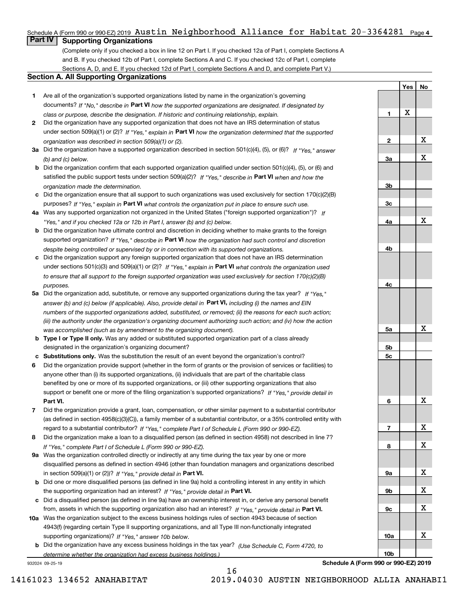# Schedule A (Form 990 or 990-EZ) 2019  $\,$  Austin <code>Neighborhood</code> <code>Alliance for Habitat 20-3364281</code>  $\,$  Page 4  $\,$

**Part IV Supporting Organizations**

(Complete only if you checked a box in line 12 on Part I. If you checked 12a of Part I, complete Sections A and B. If you checked 12b of Part I, complete Sections A and C. If you checked 12c of Part I, complete Sections A, D, and E. If you checked 12d of Part I, complete Sections A and D, and complete Part V.)

## **Section A. All Supporting Organizations**

- **1** Are all of the organization's supported organizations listed by name in the organization's governing documents? If "No," describe in **Part VI** how the supported organizations are designated. If designated by *class or purpose, describe the designation. If historic and continuing relationship, explain.*
- **2** Did the organization have any supported organization that does not have an IRS determination of status under section 509(a)(1) or (2)? If "Yes," explain in Part VI how the organization determined that the supported *organization was described in section 509(a)(1) or (2).*
- **3a** Did the organization have a supported organization described in section 501(c)(4), (5), or (6)? If "Yes," answer *(b) and (c) below.*
- **b** Did the organization confirm that each supported organization qualified under section 501(c)(4), (5), or (6) and satisfied the public support tests under section 509(a)(2)? If "Yes," describe in **Part VI** when and how the *organization made the determination.*
- **c**Did the organization ensure that all support to such organizations was used exclusively for section 170(c)(2)(B) purposes? If "Yes," explain in **Part VI** what controls the organization put in place to ensure such use.
- **4a***If* Was any supported organization not organized in the United States ("foreign supported organization")? *"Yes," and if you checked 12a or 12b in Part I, answer (b) and (c) below.*
- **b** Did the organization have ultimate control and discretion in deciding whether to make grants to the foreign supported organization? If "Yes," describe in **Part VI** how the organization had such control and discretion *despite being controlled or supervised by or in connection with its supported organizations.*
- **c** Did the organization support any foreign supported organization that does not have an IRS determination under sections 501(c)(3) and 509(a)(1) or (2)? If "Yes," explain in **Part VI** what controls the organization used *to ensure that all support to the foreign supported organization was used exclusively for section 170(c)(2)(B) purposes.*
- **5a** Did the organization add, substitute, or remove any supported organizations during the tax year? If "Yes," answer (b) and (c) below (if applicable). Also, provide detail in **Part VI,** including (i) the names and EIN *numbers of the supported organizations added, substituted, or removed; (ii) the reasons for each such action; (iii) the authority under the organization's organizing document authorizing such action; and (iv) how the action was accomplished (such as by amendment to the organizing document).*
- **b** Type I or Type II only. Was any added or substituted supported organization part of a class already designated in the organization's organizing document?
- **cSubstitutions only.**  Was the substitution the result of an event beyond the organization's control?
- **6** Did the organization provide support (whether in the form of grants or the provision of services or facilities) to **Part VI.** *If "Yes," provide detail in* support or benefit one or more of the filing organization's supported organizations? anyone other than (i) its supported organizations, (ii) individuals that are part of the charitable class benefited by one or more of its supported organizations, or (iii) other supporting organizations that also
- **7**Did the organization provide a grant, loan, compensation, or other similar payment to a substantial contributor *If "Yes," complete Part I of Schedule L (Form 990 or 990-EZ).* regard to a substantial contributor? (as defined in section 4958(c)(3)(C)), a family member of a substantial contributor, or a 35% controlled entity with
- **8** Did the organization make a loan to a disqualified person (as defined in section 4958) not described in line 7? *If "Yes," complete Part I of Schedule L (Form 990 or 990-EZ).*
- **9a** Was the organization controlled directly or indirectly at any time during the tax year by one or more in section 509(a)(1) or (2))? If "Yes," *provide detail in* <code>Part VI.</code> disqualified persons as defined in section 4946 (other than foundation managers and organizations described
- **b**the supporting organization had an interest? If "Yes," provide detail in P**art VI**. Did one or more disqualified persons (as defined in line 9a) hold a controlling interest in any entity in which
- **c**Did a disqualified person (as defined in line 9a) have an ownership interest in, or derive any personal benefit from, assets in which the supporting organization also had an interest? If "Yes," provide detail in P**art VI.**
- **10a** Was the organization subject to the excess business holdings rules of section 4943 because of section supporting organizations)? If "Yes," answer 10b below. 4943(f) (regarding certain Type II supporting organizations, and all Type III non-functionally integrated
- **b** Did the organization have any excess business holdings in the tax year? (Use Schedule C, Form 4720, to *determine whether the organization had excess business holdings.)*

16

932024 09-25-19

**Schedule A (Form 990 or 990-EZ) 2019**

**Yes**

X

**1**

**2**

**3a**

**3b**

**3c**

**4a**

**4b**

**4c**

**5a**

**5b5c**

**6**

**7**

**8**

**9a**

**9b**

**9c**

**10a**

**10b**

**No**

X

X

X

X

X

X

X

X

X

X

X

14161023 134652 ANAHABITAT 2019.04030 AUSTIN NEIGHBORHOOD ALLIA ANAHABI1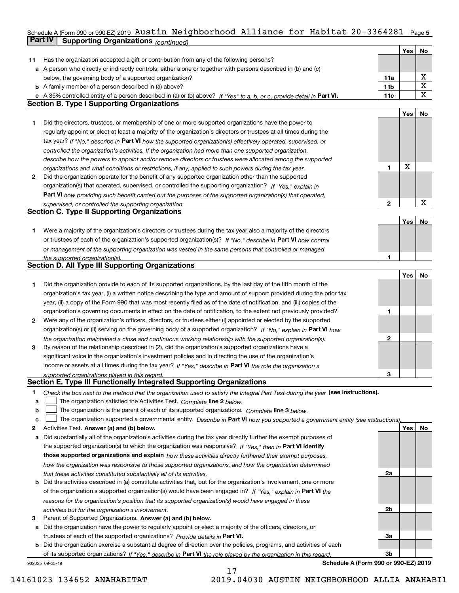### Schedule A (Form 990 or 990-EZ) 2019 <code>Austin Neighborhood</code> <code>Alliance for Habltat 20–3364281 Page 5</code> **Part IV Supporting Organizations** *(continued)* Austin Neighborhood Alliance for Habitat 20-3364281

|    |                                                                                                                                                                              |     | Yes | No          |
|----|------------------------------------------------------------------------------------------------------------------------------------------------------------------------------|-----|-----|-------------|
| 11 | Has the organization accepted a gift or contribution from any of the following persons?                                                                                      |     |     |             |
|    | a A person who directly or indirectly controls, either alone or together with persons described in (b) and (c)                                                               |     |     |             |
|    | below, the governing body of a supported organization?                                                                                                                       | 11a |     | х           |
|    | <b>b</b> A family member of a person described in (a) above?                                                                                                                 | 11b |     | X           |
|    | c A 35% controlled entity of a person described in (a) or (b) above? If "Yes" to a, b, or c, provide detail in Part VI.                                                      | 11c |     | $\mathbf X$ |
|    | <b>Section B. Type I Supporting Organizations</b>                                                                                                                            |     |     |             |
|    |                                                                                                                                                                              |     | Yes | No          |
| 1. | Did the directors, trustees, or membership of one or more supported organizations have the power to                                                                          |     |     |             |
|    | regularly appoint or elect at least a majority of the organization's directors or trustees at all times during the                                                           |     |     |             |
|    | tax year? If "No," describe in Part VI how the supported organization(s) effectively operated, supervised, or                                                                |     |     |             |
|    | controlled the organization's activities. If the organization had more than one supported organization,                                                                      |     |     |             |
|    |                                                                                                                                                                              |     |     |             |
|    | describe how the powers to appoint and/or remove directors or trustees were allocated among the supported                                                                    | 1   | X   |             |
| 2  | organizations and what conditions or restrictions, if any, applied to such powers during the tax year.                                                                       |     |     |             |
|    | Did the organization operate for the benefit of any supported organization other than the supported                                                                          |     |     |             |
|    | organization(s) that operated, supervised, or controlled the supporting organization? If "Yes," explain in                                                                   |     |     |             |
|    | Part VI how providing such benefit carried out the purposes of the supported organization(s) that operated,                                                                  |     |     | х           |
|    | supervised, or controlled the supporting organization.<br><b>Section C. Type II Supporting Organizations</b>                                                                 | 2   |     |             |
|    |                                                                                                                                                                              |     |     |             |
|    |                                                                                                                                                                              |     | Yes | No          |
| 1. | Were a majority of the organization's directors or trustees during the tax year also a majority of the directors                                                             |     |     |             |
|    | or trustees of each of the organization's supported organization(s)? If "No," describe in Part VI how control                                                                |     |     |             |
|    | or management of the supporting organization was vested in the same persons that controlled or managed                                                                       |     |     |             |
|    | the supported organization(s).<br><b>Section D. All Type III Supporting Organizations</b>                                                                                    | 1   |     |             |
|    |                                                                                                                                                                              |     |     |             |
|    |                                                                                                                                                                              |     | Yes | No          |
| 1. | Did the organization provide to each of its supported organizations, by the last day of the fifth month of the                                                               |     |     |             |
|    | organization's tax year, (i) a written notice describing the type and amount of support provided during the prior tax                                                        |     |     |             |
|    | year, (ii) a copy of the Form 990 that was most recently filed as of the date of notification, and (iii) copies of the                                                       |     |     |             |
|    | organization's governing documents in effect on the date of notification, to the extent not previously provided?                                                             | 1   |     |             |
| 2  | Were any of the organization's officers, directors, or trustees either (i) appointed or elected by the supported                                                             |     |     |             |
|    | organization(s) or (ii) serving on the governing body of a supported organization? If "No," explain in Part VI how                                                           |     |     |             |
|    | the organization maintained a close and continuous working relationship with the supported organization(s).                                                                  | 2   |     |             |
| 3  | By reason of the relationship described in (2), did the organization's supported organizations have a                                                                        |     |     |             |
|    | significant voice in the organization's investment policies and in directing the use of the organization's                                                                   |     |     |             |
|    | income or assets at all times during the tax year? If "Yes," describe in Part VI the role the organization's                                                                 |     |     |             |
|    | supported organizations played in this regard.<br>Section E. Type III Functionally Integrated Supporting Organizations                                                       | З   |     |             |
|    |                                                                                                                                                                              |     |     |             |
| 1  | Check the box next to the method that the organization used to satisfy the Integral Part Test during the year (see instructions).                                            |     |     |             |
| a  | The organization satisfied the Activities Test. Complete line 2 below.                                                                                                       |     |     |             |
| b  | The organization is the parent of each of its supported organizations. Complete line 3 below.                                                                                |     |     |             |
| c  | The organization supported a governmental entity. Describe in Part VI how you supported a government entity (see instructions),                                              |     | Yes |             |
| 2  | Activities Test. Answer (a) and (b) below.                                                                                                                                   |     |     | No          |
| а  | Did substantially all of the organization's activities during the tax year directly further the exempt purposes of                                                           |     |     |             |
|    | the supported organization(s) to which the organization was responsive? If "Yes," then in Part VI identify                                                                   |     |     |             |
|    | those supported organizations and explain how these activities directly furthered their exempt purposes,                                                                     |     |     |             |
|    | how the organization was responsive to those supported organizations, and how the organization determined                                                                    | 2a  |     |             |
|    | that these activities constituted substantially all of its activities.                                                                                                       |     |     |             |
|    | <b>b</b> Did the activities described in (a) constitute activities that, but for the organization's involvement, one or more                                                 |     |     |             |
|    | of the organization's supported organization(s) would have been engaged in? If "Yes," explain in Part VI the                                                                 |     |     |             |
|    | reasons for the organization's position that its supported organization(s) would have engaged in these                                                                       |     |     |             |
|    | activities but for the organization's involvement.                                                                                                                           | 2b  |     |             |
| з  | Parent of Supported Organizations. Answer (a) and (b) below.                                                                                                                 |     |     |             |
|    | a Did the organization have the power to regularly appoint or elect a majority of the officers, directors, or                                                                |     |     |             |
|    | trustees of each of the supported organizations? Provide details in Part VI.                                                                                                 | За  |     |             |
|    | <b>b</b> Did the organization exercise a substantial degree of direction over the policies, programs, and activities of each                                                 | Зb  |     |             |
|    | of its supported organizations? If "Yes," describe in Part VI the role played by the organization in this regard.<br>Schedule A (Form 990 or 990-EZ) 2019<br>932025 09-25-19 |     |     |             |
|    |                                                                                                                                                                              |     |     |             |

17 14161023 134652 ANAHABITAT 2019.04030 AUSTIN NEIGHBORHOOD ALLIA ANAHABI1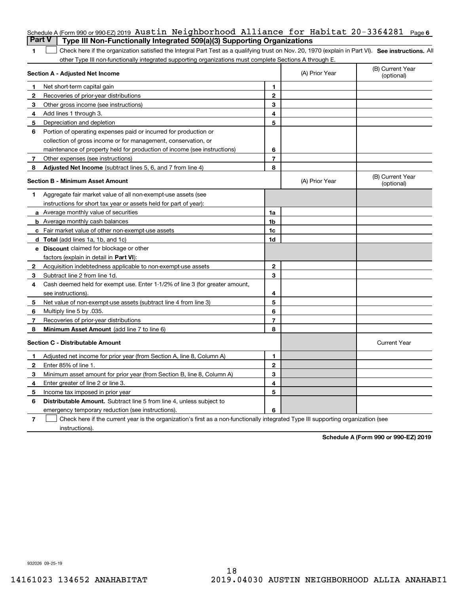| <b>Part V</b> | Schedule A (Form 990 or 990-EZ) 2019 Austin Neighborhood Alliance for Habitat 20-3364281<br>Type III Non-Functionally Integrated 509(a)(3) Supporting Organizations |                |                | Page 6                         |
|---------------|---------------------------------------------------------------------------------------------------------------------------------------------------------------------|----------------|----------------|--------------------------------|
| 1             | Check here if the organization satisfied the Integral Part Test as a qualifying trust on Nov. 20, 1970 (explain in Part VI). See instructions. Al                   |                |                |                                |
|               | other Type III non-functionally integrated supporting organizations must complete Sections A through E.                                                             |                |                |                                |
|               | <b>Section A - Adjusted Net Income</b>                                                                                                                              |                | (A) Prior Year | (B) Current Year<br>(optional) |
| 1             | Net short-term capital gain                                                                                                                                         | 1              |                |                                |
| 2             | Recoveries of prior-year distributions                                                                                                                              | $\mathbf{2}$   |                |                                |
| 3             | Other gross income (see instructions)                                                                                                                               | 3              |                |                                |
| 4             | Add lines 1 through 3.                                                                                                                                              | 4              |                |                                |
| 5             | Depreciation and depletion                                                                                                                                          | 5              |                |                                |
| 6             | Portion of operating expenses paid or incurred for production or                                                                                                    |                |                |                                |
|               | collection of gross income or for management, conservation, or                                                                                                      |                |                |                                |
|               | maintenance of property held for production of income (see instructions)                                                                                            | 6              |                |                                |
| 7             | Other expenses (see instructions)                                                                                                                                   | $\overline{7}$ |                |                                |
| 8             | Adjusted Net Income (subtract lines 5, 6, and 7 from line 4)                                                                                                        | 8              |                |                                |
|               | <b>Section B - Minimum Asset Amount</b>                                                                                                                             |                | (A) Prior Year | (B) Current Year<br>(optional) |
| 1             | Aggregate fair market value of all non-exempt-use assets (see                                                                                                       |                |                |                                |
|               | instructions for short tax year or assets held for part of year):                                                                                                   |                |                |                                |
|               | a Average monthly value of securities                                                                                                                               | 1a             |                |                                |
|               | <b>b</b> Average monthly cash balances                                                                                                                              | 1b             |                |                                |
|               | <b>c</b> Fair market value of other non-exempt-use assets                                                                                                           | 1c             |                |                                |
|               | d Total (add lines 1a, 1b, and 1c)                                                                                                                                  | 1d             |                |                                |
|               | e Discount claimed for blockage or other                                                                                                                            |                |                |                                |
|               | factors (explain in detail in Part VI):                                                                                                                             |                |                |                                |
| 2             | Acquisition indebtedness applicable to non-exempt-use assets                                                                                                        | $\mathbf{2}$   |                |                                |
| 3             | Subtract line 2 from line 1d.                                                                                                                                       | 3              |                |                                |
| 4             | Cash deemed held for exempt use. Enter 1-1/2% of line 3 (for greater amount,                                                                                        |                |                |                                |
|               | see instructions).                                                                                                                                                  | 4              |                |                                |
| 5             | Net value of non-exempt-use assets (subtract line 4 from line 3)                                                                                                    | 5              |                |                                |
| 6             | Multiply line 5 by .035.                                                                                                                                            | 6              |                |                                |
| 7             | Recoveries of prior-year distributions                                                                                                                              | $\overline{7}$ |                |                                |
| 8             | Minimum Asset Amount (add line 7 to line 6)                                                                                                                         | 8              |                |                                |
|               | <b>Section C - Distributable Amount</b>                                                                                                                             |                |                | <b>Current Year</b>            |
|               | Adjusted net income for prior year (from Section A, line 8, Column A)                                                                                               | 1              |                |                                |
| 2             | Enter 85% of line 1.                                                                                                                                                | 2              |                |                                |
| 3             | Minimum asset amount for prior year (from Section B, line 8, Column A)                                                                                              | 3              |                |                                |
| 4             | Enter greater of line 2 or line 3.                                                                                                                                  | 4              |                |                                |
| 5             | Income tax imposed in prior year                                                                                                                                    | 5              |                |                                |
| 6             | Distributable Amount. Subtract line 5 from line 4, unless subject to                                                                                                |                |                |                                |
|               | emergency temporary reduction (see instructions).                                                                                                                   | 6              |                |                                |
| 7             | Check here if the current year is the organization's first as a non-functionally integrated Type III supporting organization (see                                   |                |                |                                |

instructions).

**Schedule A (Form 990 or 990-EZ) 2019**

932026 09-25-19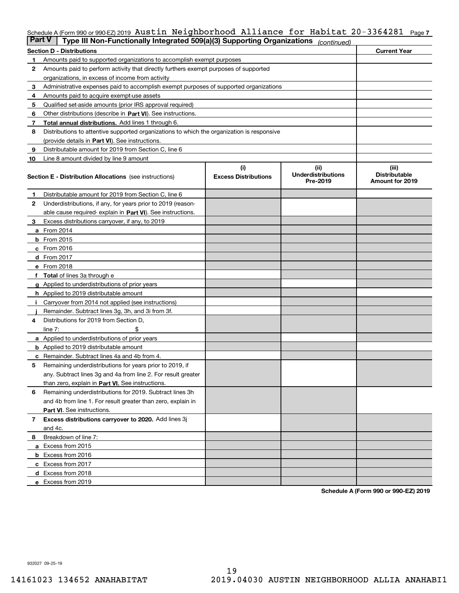# Schedule A (Form 990 or 990-EZ) 2019  $\,$  <code>Austin Neighborhood Alliance for Habitat 20-3364281  $\,$  Page 7</code>

| <b>Part V</b> | Type III Non-Functionally Integrated 509(a)(3) Supporting Organizations                    |                                    | (continued)                                   |                                                  |  |  |  |  |
|---------------|--------------------------------------------------------------------------------------------|------------------------------------|-----------------------------------------------|--------------------------------------------------|--|--|--|--|
|               | <b>Section D - Distributions</b>                                                           |                                    |                                               | <b>Current Year</b>                              |  |  |  |  |
| 1             | Amounts paid to supported organizations to accomplish exempt purposes                      |                                    |                                               |                                                  |  |  |  |  |
| 2             | Amounts paid to perform activity that directly furthers exempt purposes of supported       |                                    |                                               |                                                  |  |  |  |  |
|               | organizations, in excess of income from activity                                           |                                    |                                               |                                                  |  |  |  |  |
| 3             | Administrative expenses paid to accomplish exempt purposes of supported organizations      |                                    |                                               |                                                  |  |  |  |  |
| 4             | Amounts paid to acquire exempt-use assets                                                  |                                    |                                               |                                                  |  |  |  |  |
| 5             | Qualified set-aside amounts (prior IRS approval required)                                  |                                    |                                               |                                                  |  |  |  |  |
| 6             | Other distributions (describe in Part VI). See instructions.                               |                                    |                                               |                                                  |  |  |  |  |
| 7             | Total annual distributions. Add lines 1 through 6.                                         |                                    |                                               |                                                  |  |  |  |  |
| 8             | Distributions to attentive supported organizations to which the organization is responsive |                                    |                                               |                                                  |  |  |  |  |
|               | (provide details in Part VI). See instructions.                                            |                                    |                                               |                                                  |  |  |  |  |
| 9             | Distributable amount for 2019 from Section C, line 6                                       |                                    |                                               |                                                  |  |  |  |  |
| 10            | Line 8 amount divided by line 9 amount                                                     |                                    |                                               |                                                  |  |  |  |  |
|               | <b>Section E - Distribution Allocations</b> (see instructions)                             | (i)<br><b>Excess Distributions</b> | (ii)<br><b>Underdistributions</b><br>Pre-2019 | (iii)<br><b>Distributable</b><br>Amount for 2019 |  |  |  |  |
| 1.            | Distributable amount for 2019 from Section C, line 6                                       |                                    |                                               |                                                  |  |  |  |  |
| 2             | Underdistributions, if any, for years prior to 2019 (reason-                               |                                    |                                               |                                                  |  |  |  |  |
|               | able cause required-explain in Part VI). See instructions.                                 |                                    |                                               |                                                  |  |  |  |  |
| З             | Excess distributions carryover, if any, to 2019                                            |                                    |                                               |                                                  |  |  |  |  |
|               | <b>a</b> From 2014                                                                         |                                    |                                               |                                                  |  |  |  |  |
|               | <b>b</b> From 2015                                                                         |                                    |                                               |                                                  |  |  |  |  |
|               | $c$ From 2016                                                                              |                                    |                                               |                                                  |  |  |  |  |
|               | d From 2017                                                                                |                                    |                                               |                                                  |  |  |  |  |
|               | e From 2018                                                                                |                                    |                                               |                                                  |  |  |  |  |
|               | <b>Total</b> of lines 3a through e                                                         |                                    |                                               |                                                  |  |  |  |  |
|               | <b>g</b> Applied to underdistributions of prior years                                      |                                    |                                               |                                                  |  |  |  |  |
|               | <b>h</b> Applied to 2019 distributable amount                                              |                                    |                                               |                                                  |  |  |  |  |
|               | Carryover from 2014 not applied (see instructions)                                         |                                    |                                               |                                                  |  |  |  |  |
|               | Remainder. Subtract lines 3g, 3h, and 3i from 3f.                                          |                                    |                                               |                                                  |  |  |  |  |
| 4             | Distributions for 2019 from Section D,                                                     |                                    |                                               |                                                  |  |  |  |  |
|               | line $7:$                                                                                  |                                    |                                               |                                                  |  |  |  |  |
|               | <b>a</b> Applied to underdistributions of prior years                                      |                                    |                                               |                                                  |  |  |  |  |
|               | <b>b</b> Applied to 2019 distributable amount                                              |                                    |                                               |                                                  |  |  |  |  |
|               | <b>c</b> Remainder. Subtract lines 4a and 4b from 4.                                       |                                    |                                               |                                                  |  |  |  |  |
| 5             | Remaining underdistributions for years prior to 2019, if                                   |                                    |                                               |                                                  |  |  |  |  |
|               | any. Subtract lines 3g and 4a from line 2. For result greater                              |                                    |                                               |                                                  |  |  |  |  |
|               | than zero, explain in Part VI. See instructions.                                           |                                    |                                               |                                                  |  |  |  |  |
| 6             | Remaining underdistributions for 2019. Subtract lines 3h                                   |                                    |                                               |                                                  |  |  |  |  |
|               | and 4b from line 1. For result greater than zero, explain in                               |                                    |                                               |                                                  |  |  |  |  |
|               | Part VI. See instructions.                                                                 |                                    |                                               |                                                  |  |  |  |  |
| 7             | Excess distributions carryover to 2020. Add lines 3j                                       |                                    |                                               |                                                  |  |  |  |  |
|               | and 4c.                                                                                    |                                    |                                               |                                                  |  |  |  |  |
| 8             | Breakdown of line 7:                                                                       |                                    |                                               |                                                  |  |  |  |  |
|               | a Excess from 2015                                                                         |                                    |                                               |                                                  |  |  |  |  |
|               | <b>b</b> Excess from 2016                                                                  |                                    |                                               |                                                  |  |  |  |  |
|               | c Excess from 2017                                                                         |                                    |                                               |                                                  |  |  |  |  |
|               | d Excess from 2018                                                                         |                                    |                                               |                                                  |  |  |  |  |
|               | e Excess from 2019                                                                         |                                    |                                               |                                                  |  |  |  |  |

**Schedule A (Form 990 or 990-EZ) 2019**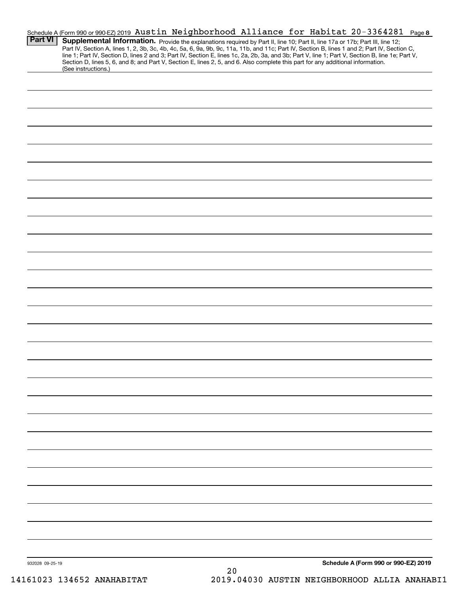| Schedule A (Form 990 or 990-EZ) 2019 Austin Neighborhood Alliance for Habitat 20-3364281 Page 8<br><b>Part VI</b><br>(See instructions.) | Supplemental Information. Provide the explanations required by Part II, line 10; Part II, line 17a or 17b; Part III, line 12;<br>Part IV, Section A, lines 1, 2, 3b, 3c, 4b, 4c, 5a, 6, 9a, 9b, 9c, 11a, 11b, and 11c; Part IV, Section B, lines 1 and 2; Part IV, Section C,<br>line 1; Part IV, Section D, lines 2 and 3; Part IV, Section E, lines 1c, 2a, 2b, 3a, and 3b; Part V, line 1; Part V, Section B, line 1e; Part V,<br>Section D, lines 5, 6, and 8; and Part V, Section E, lines 2, 5, and 6. Also complete this part for any additional information. |
|------------------------------------------------------------------------------------------------------------------------------------------|----------------------------------------------------------------------------------------------------------------------------------------------------------------------------------------------------------------------------------------------------------------------------------------------------------------------------------------------------------------------------------------------------------------------------------------------------------------------------------------------------------------------------------------------------------------------|
|                                                                                                                                          |                                                                                                                                                                                                                                                                                                                                                                                                                                                                                                                                                                      |
|                                                                                                                                          |                                                                                                                                                                                                                                                                                                                                                                                                                                                                                                                                                                      |
|                                                                                                                                          |                                                                                                                                                                                                                                                                                                                                                                                                                                                                                                                                                                      |
|                                                                                                                                          |                                                                                                                                                                                                                                                                                                                                                                                                                                                                                                                                                                      |
|                                                                                                                                          |                                                                                                                                                                                                                                                                                                                                                                                                                                                                                                                                                                      |
|                                                                                                                                          |                                                                                                                                                                                                                                                                                                                                                                                                                                                                                                                                                                      |
|                                                                                                                                          |                                                                                                                                                                                                                                                                                                                                                                                                                                                                                                                                                                      |
|                                                                                                                                          |                                                                                                                                                                                                                                                                                                                                                                                                                                                                                                                                                                      |
|                                                                                                                                          |                                                                                                                                                                                                                                                                                                                                                                                                                                                                                                                                                                      |
|                                                                                                                                          |                                                                                                                                                                                                                                                                                                                                                                                                                                                                                                                                                                      |
|                                                                                                                                          |                                                                                                                                                                                                                                                                                                                                                                                                                                                                                                                                                                      |
|                                                                                                                                          |                                                                                                                                                                                                                                                                                                                                                                                                                                                                                                                                                                      |
|                                                                                                                                          |                                                                                                                                                                                                                                                                                                                                                                                                                                                                                                                                                                      |
|                                                                                                                                          |                                                                                                                                                                                                                                                                                                                                                                                                                                                                                                                                                                      |
|                                                                                                                                          |                                                                                                                                                                                                                                                                                                                                                                                                                                                                                                                                                                      |
|                                                                                                                                          |                                                                                                                                                                                                                                                                                                                                                                                                                                                                                                                                                                      |
|                                                                                                                                          |                                                                                                                                                                                                                                                                                                                                                                                                                                                                                                                                                                      |
|                                                                                                                                          |                                                                                                                                                                                                                                                                                                                                                                                                                                                                                                                                                                      |
|                                                                                                                                          |                                                                                                                                                                                                                                                                                                                                                                                                                                                                                                                                                                      |
|                                                                                                                                          |                                                                                                                                                                                                                                                                                                                                                                                                                                                                                                                                                                      |
|                                                                                                                                          |                                                                                                                                                                                                                                                                                                                                                                                                                                                                                                                                                                      |
|                                                                                                                                          |                                                                                                                                                                                                                                                                                                                                                                                                                                                                                                                                                                      |
|                                                                                                                                          |                                                                                                                                                                                                                                                                                                                                                                                                                                                                                                                                                                      |
|                                                                                                                                          |                                                                                                                                                                                                                                                                                                                                                                                                                                                                                                                                                                      |
|                                                                                                                                          |                                                                                                                                                                                                                                                                                                                                                                                                                                                                                                                                                                      |
|                                                                                                                                          |                                                                                                                                                                                                                                                                                                                                                                                                                                                                                                                                                                      |
|                                                                                                                                          |                                                                                                                                                                                                                                                                                                                                                                                                                                                                                                                                                                      |
|                                                                                                                                          |                                                                                                                                                                                                                                                                                                                                                                                                                                                                                                                                                                      |
|                                                                                                                                          |                                                                                                                                                                                                                                                                                                                                                                                                                                                                                                                                                                      |
|                                                                                                                                          |                                                                                                                                                                                                                                                                                                                                                                                                                                                                                                                                                                      |
|                                                                                                                                          |                                                                                                                                                                                                                                                                                                                                                                                                                                                                                                                                                                      |
|                                                                                                                                          |                                                                                                                                                                                                                                                                                                                                                                                                                                                                                                                                                                      |
|                                                                                                                                          |                                                                                                                                                                                                                                                                                                                                                                                                                                                                                                                                                                      |
|                                                                                                                                          |                                                                                                                                                                                                                                                                                                                                                                                                                                                                                                                                                                      |
| 932028 09-25-19                                                                                                                          | Schedule A (Form 990 or 990-EZ) 2019                                                                                                                                                                                                                                                                                                                                                                                                                                                                                                                                 |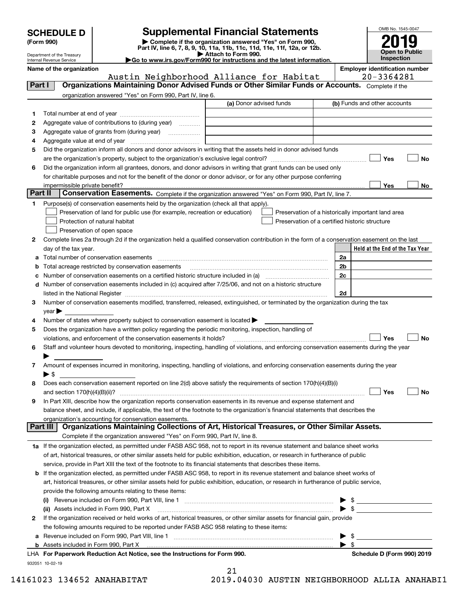| <b>SCHEDULE D</b> |  |
|-------------------|--|
|-------------------|--|

Department of the Treasury Internal Revenue Service

| (Form 990) |  |
|------------|--|
|------------|--|

# **Supplemental Financial Statements**

(Form 990)<br>
Pepartment of the Treasury<br>
Department of the Treasury<br>
Department of the Treasury<br>
Department of the Treasury<br> **Co to www.irs.gov/Form990 for instructions and the latest information.**<br> **Co to www.irs.gov/Form9** 

|  | ►Go to www.irs.gov/Form990 for instructions and the latest informati |  |  |  |
|--|----------------------------------------------------------------------|--|--|--|
|  |                                                                      |  |  |  |



|  |  | Name of the organization |
|--|--|--------------------------|
|--|--|--------------------------|

**Name of the organization Employer identification number**

|         | Austin Neighborhood Alliance for Habitat                                                                                                                                                                         | 20-3364281                                                                                                                 |
|---------|------------------------------------------------------------------------------------------------------------------------------------------------------------------------------------------------------------------|----------------------------------------------------------------------------------------------------------------------------|
| Part I  | Organizations Maintaining Donor Advised Funds or Other Similar Funds or Accounts. Complete if the                                                                                                                |                                                                                                                            |
|         | organization answered "Yes" on Form 990, Part IV, line 6.                                                                                                                                                        |                                                                                                                            |
|         | (a) Donor advised funds                                                                                                                                                                                          | (b) Funds and other accounts                                                                                               |
| 1       |                                                                                                                                                                                                                  |                                                                                                                            |
| 2       | Aggregate value of contributions to (during year)                                                                                                                                                                |                                                                                                                            |
| з       | Aggregate value of grants from (during year)                                                                                                                                                                     |                                                                                                                            |
| 4       |                                                                                                                                                                                                                  |                                                                                                                            |
| 5       | Did the organization inform all donors and donor advisors in writing that the assets held in donor advised funds                                                                                                 |                                                                                                                            |
|         |                                                                                                                                                                                                                  | Yes<br>No                                                                                                                  |
| 6       | Did the organization inform all grantees, donors, and donor advisors in writing that grant funds can be used only                                                                                                |                                                                                                                            |
|         | for charitable purposes and not for the benefit of the donor or donor advisor, or for any other purpose conferring                                                                                               |                                                                                                                            |
|         |                                                                                                                                                                                                                  | Yes<br>No                                                                                                                  |
| Part II | Conservation Easements. Complete if the organization answered "Yes" on Form 990, Part IV, line 7.                                                                                                                |                                                                                                                            |
| 1       | Purpose(s) of conservation easements held by the organization (check all that apply).                                                                                                                            |                                                                                                                            |
|         | Preservation of land for public use (for example, recreation or education)                                                                                                                                       | Preservation of a historically important land area                                                                         |
|         | Protection of natural habitat<br>Preservation of a certified historic structure                                                                                                                                  |                                                                                                                            |
|         | Preservation of open space                                                                                                                                                                                       |                                                                                                                            |
| 2       | Complete lines 2a through 2d if the organization held a qualified conservation contribution in the form of a conservation easement on the last                                                                   |                                                                                                                            |
|         | day of the tax year.                                                                                                                                                                                             | Held at the End of the Tax Year                                                                                            |
| а       | Total number of conservation easements                                                                                                                                                                           | 2a                                                                                                                         |
|         | Total acreage restricted by conservation easements                                                                                                                                                               | 2 <sub>b</sub>                                                                                                             |
| с       | Number of conservation easements on a certified historic structure included in (a) manufacture included in (a)                                                                                                   | 2c                                                                                                                         |
| d       | Number of conservation easements included in (c) acquired after 7/25/06, and not on a historic structure                                                                                                         |                                                                                                                            |
|         | listed in the National Register [1111] is a substitution of the National Begister [11] is a substitution of the                                                                                                  | 2d                                                                                                                         |
| З.      | Number of conservation easements modified, transferred, released, extinguished, or terminated by the organization during the tax                                                                                 |                                                                                                                            |
|         | vear                                                                                                                                                                                                             |                                                                                                                            |
| 4       | Number of states where property subject to conservation easement is located >                                                                                                                                    |                                                                                                                            |
| 5       | Does the organization have a written policy regarding the periodic monitoring, inspection, handling of                                                                                                           |                                                                                                                            |
|         | violations, and enforcement of the conservation easements it holds?<br>Staff and volunteer hours devoted to monitoring, inspecting, handling of violations, and enforcing conservation easements during the year | Yes<br>No                                                                                                                  |
| 6       |                                                                                                                                                                                                                  |                                                                                                                            |
| 7       | Amount of expenses incurred in monitoring, inspecting, handling of violations, and enforcing conservation easements during the year                                                                              |                                                                                                                            |
|         | $\blacktriangleright$ s                                                                                                                                                                                          |                                                                                                                            |
| 8       | Does each conservation easement reported on line 2(d) above satisfy the requirements of section 170(h)(4)(B)(i)                                                                                                  |                                                                                                                            |
|         |                                                                                                                                                                                                                  | Yes<br>No                                                                                                                  |
| 9       | In Part XIII, describe how the organization reports conservation easements in its revenue and expense statement and                                                                                              |                                                                                                                            |
|         | balance sheet, and include, if applicable, the text of the footnote to the organization's financial statements that describes the                                                                                |                                                                                                                            |
|         | organization's accounting for conservation easements.                                                                                                                                                            |                                                                                                                            |
|         | Organizations Maintaining Collections of Art, Historical Treasures, or Other Similar Assets.<br>Part III                                                                                                         |                                                                                                                            |
|         | Complete if the organization answered "Yes" on Form 990, Part IV, line 8.                                                                                                                                        |                                                                                                                            |
|         | 1a If the organization elected, as permitted under FASB ASC 958, not to report in its revenue statement and balance sheet works                                                                                  |                                                                                                                            |
|         | of art, historical treasures, or other similar assets held for public exhibition, education, or research in furtherance of public                                                                                |                                                                                                                            |
|         | service, provide in Part XIII the text of the footnote to its financial statements that describes these items.                                                                                                   |                                                                                                                            |
| b       | If the organization elected, as permitted under FASB ASC 958, to report in its revenue statement and balance sheet works of                                                                                      |                                                                                                                            |
|         | art, historical treasures, or other similar assets held for public exhibition, education, or research in furtherance of public service,                                                                          |                                                                                                                            |
|         | provide the following amounts relating to these items:                                                                                                                                                           |                                                                                                                            |
|         |                                                                                                                                                                                                                  |                                                                                                                            |
|         | (ii) Assets included in Form 990, Part X                                                                                                                                                                         | \$<br><u> 1989 - Jan Barbara Barat, prima prima prima prima prima prima prima prima prima prima prima prima prima prim</u> |
| 2       | If the organization received or held works of art, historical treasures, or other similar assets for financial gain, provide                                                                                     |                                                                                                                            |
|         | the following amounts required to be reported under FASB ASC 958 relating to these items:                                                                                                                        |                                                                                                                            |
| а       |                                                                                                                                                                                                                  | $\frac{1}{2}$                                                                                                              |
|         |                                                                                                                                                                                                                  | $\blacktriangleright$ s                                                                                                    |

932051 10-02-19 **For Paperwork Reduction Act Notice, see the Instructions for Form 990. Schedule D (Form 990) 2019** LHA

21 14161023 134652 ANAHABITAT 2019.04030 AUSTIN NEIGHBORHOOD ALLIA ANAHABI1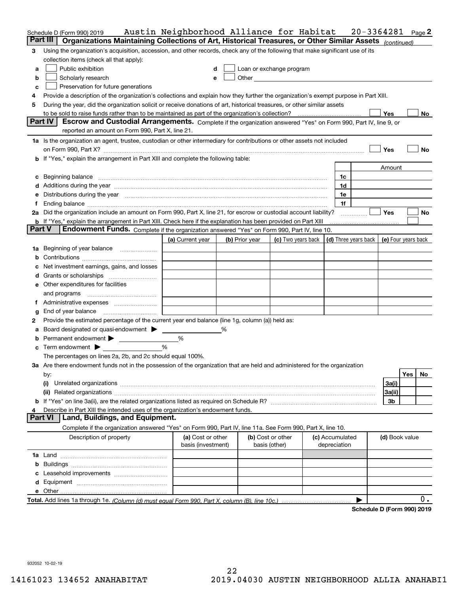|               | Schedule D (Form 990) 2019                                                                                                                                                                                                     | Austin Neighborhood Alliance for Habitat |   |                |                                    |                                 | 20-3364281                                                                  |                            |     | Page 2 |
|---------------|--------------------------------------------------------------------------------------------------------------------------------------------------------------------------------------------------------------------------------|------------------------------------------|---|----------------|------------------------------------|---------------------------------|-----------------------------------------------------------------------------|----------------------------|-----|--------|
|               | Part III<br>Organizations Maintaining Collections of Art, Historical Treasures, or Other Similar Assets (continued)                                                                                                            |                                          |   |                |                                    |                                 |                                                                             |                            |     |        |
| 3             | Using the organization's acquisition, accession, and other records, check any of the following that make significant use of its                                                                                                |                                          |   |                |                                    |                                 |                                                                             |                            |     |        |
|               | collection items (check all that apply):                                                                                                                                                                                       |                                          |   |                |                                    |                                 |                                                                             |                            |     |        |
| а             | Public exhibition                                                                                                                                                                                                              | d                                        |   |                | Loan or exchange program           |                                 |                                                                             |                            |     |        |
| b             | Scholarly research                                                                                                                                                                                                             | e                                        |   |                |                                    |                                 |                                                                             |                            |     |        |
| c             | Preservation for future generations                                                                                                                                                                                            |                                          |   |                |                                    |                                 |                                                                             |                            |     |        |
| 4             | Provide a description of the organization's collections and explain how they further the organization's exempt purpose in Part XIII.                                                                                           |                                          |   |                |                                    |                                 |                                                                             |                            |     |        |
| 5             | During the year, did the organization solicit or receive donations of art, historical treasures, or other similar assets                                                                                                       |                                          |   |                |                                    |                                 |                                                                             |                            |     |        |
|               |                                                                                                                                                                                                                                |                                          |   |                |                                    |                                 |                                                                             | Yes                        |     | No.    |
|               | Part IV<br>Escrow and Custodial Arrangements. Complete if the organization answered "Yes" on Form 990, Part IV, line 9, or                                                                                                     |                                          |   |                |                                    |                                 |                                                                             |                            |     |        |
|               | reported an amount on Form 990, Part X, line 21.                                                                                                                                                                               |                                          |   |                |                                    |                                 |                                                                             |                            |     |        |
|               | 1a Is the organization an agent, trustee, custodian or other intermediary for contributions or other assets not included                                                                                                       |                                          |   |                |                                    |                                 |                                                                             |                            |     |        |
|               |                                                                                                                                                                                                                                |                                          |   |                |                                    |                                 |                                                                             | Yes                        |     | No     |
|               | <b>b</b> If "Yes," explain the arrangement in Part XIII and complete the following table:                                                                                                                                      |                                          |   |                |                                    |                                 |                                                                             |                            |     |        |
|               |                                                                                                                                                                                                                                |                                          |   |                |                                    |                                 |                                                                             | Amount                     |     |        |
|               |                                                                                                                                                                                                                                |                                          |   |                |                                    | 1c                              |                                                                             |                            |     |        |
|               | c Beginning balance measurements and the contract of the contract of the contract of the contract of the contract of the contract of the contract of the contract of the contract of the contract of the contract of the contr |                                          |   |                |                                    | 1d                              |                                                                             |                            |     |        |
|               | d Additions during the year measurements are all an according to the year measurement of the year measurement of the state of the state of the state of the state of the state of the state of the state of the state of the s |                                          |   |                |                                    | 1e                              |                                                                             |                            |     |        |
|               | e Distributions during the year manufactured and an intervention of the year manufactured by the state of the state of the state of the state of the state of the state of the state of the state of the state of the state of |                                          |   |                |                                    | 1f                              |                                                                             |                            |     |        |
|               |                                                                                                                                                                                                                                |                                          |   |                |                                    |                                 |                                                                             | <b>Yes</b>                 |     |        |
|               | 2a Did the organization include an amount on Form 990, Part X, line 21, for escrow or custodial account liability?                                                                                                             |                                          |   |                |                                    |                                 |                                                                             |                            |     | No     |
| <b>Part V</b> | <b>b</b> If "Yes," explain the arrangement in Part XIII. Check here if the explanation has been provided on Part XIII<br>Endowment Funds. Complete if the organization answered "Yes" on Form 990, Part IV, line 10.           |                                          |   |                |                                    |                                 |                                                                             |                            |     |        |
|               |                                                                                                                                                                                                                                | (a) Current year                         |   |                |                                    |                                 | (c) Two years back $\vert$ (d) Three years back $\vert$ (e) Four years back |                            |     |        |
|               |                                                                                                                                                                                                                                |                                          |   | (b) Prior year |                                    |                                 |                                                                             |                            |     |        |
|               |                                                                                                                                                                                                                                |                                          |   |                |                                    |                                 |                                                                             |                            |     |        |
| b             |                                                                                                                                                                                                                                |                                          |   |                |                                    |                                 |                                                                             |                            |     |        |
| c             | Net investment earnings, gains, and losses                                                                                                                                                                                     |                                          |   |                |                                    |                                 |                                                                             |                            |     |        |
|               |                                                                                                                                                                                                                                |                                          |   |                |                                    |                                 |                                                                             |                            |     |        |
|               | <b>e</b> Other expenditures for facilities                                                                                                                                                                                     |                                          |   |                |                                    |                                 |                                                                             |                            |     |        |
|               |                                                                                                                                                                                                                                |                                          |   |                |                                    |                                 |                                                                             |                            |     |        |
|               |                                                                                                                                                                                                                                |                                          |   |                |                                    |                                 |                                                                             |                            |     |        |
| g             |                                                                                                                                                                                                                                |                                          |   |                |                                    |                                 |                                                                             |                            |     |        |
| 2             | Provide the estimated percentage of the current year end balance (line 1g, column (a)) held as:                                                                                                                                |                                          |   |                |                                    |                                 |                                                                             |                            |     |        |
|               | a Board designated or quasi-endowment > _____                                                                                                                                                                                  |                                          | ℅ |                |                                    |                                 |                                                                             |                            |     |        |
|               | <b>b</b> Permanent endowment <b>D</b>                                                                                                                                                                                          | %                                        |   |                |                                    |                                 |                                                                             |                            |     |        |
|               | $\mathbf c$ Term endowment $\blacktriangleright$                                                                                                                                                                               | $\frac{9}{6}$                            |   |                |                                    |                                 |                                                                             |                            |     |        |
|               | The percentages on lines 2a, 2b, and 2c should equal 100%.                                                                                                                                                                     |                                          |   |                |                                    |                                 |                                                                             |                            |     |        |
|               | 3a Are there endowment funds not in the possession of the organization that are held and administered for the organization                                                                                                     |                                          |   |                |                                    |                                 |                                                                             |                            |     |        |
|               | by:                                                                                                                                                                                                                            |                                          |   |                |                                    |                                 |                                                                             |                            | Yes | No     |
|               | (i)                                                                                                                                                                                                                            |                                          |   |                |                                    |                                 |                                                                             | 3a(i)                      |     |        |
|               |                                                                                                                                                                                                                                |                                          |   |                |                                    |                                 |                                                                             | 3a(ii)                     |     |        |
|               |                                                                                                                                                                                                                                |                                          |   |                |                                    |                                 |                                                                             | 3b                         |     |        |
| 4             | Describe in Part XIII the intended uses of the organization's endowment funds.                                                                                                                                                 |                                          |   |                |                                    |                                 |                                                                             |                            |     |        |
|               | Land, Buildings, and Equipment.<br><b>Part VI</b>                                                                                                                                                                              |                                          |   |                |                                    |                                 |                                                                             |                            |     |        |
|               | Complete if the organization answered "Yes" on Form 990, Part IV, line 11a. See Form 990, Part X, line 10.                                                                                                                     |                                          |   |                |                                    |                                 |                                                                             |                            |     |        |
|               | Description of property                                                                                                                                                                                                        | (a) Cost or other<br>basis (investment)  |   |                | (b) Cost or other<br>basis (other) | (c) Accumulated<br>depreciation |                                                                             | (d) Book value             |     |        |
|               |                                                                                                                                                                                                                                |                                          |   |                |                                    |                                 |                                                                             |                            |     |        |
|               |                                                                                                                                                                                                                                |                                          |   |                |                                    |                                 |                                                                             |                            |     |        |
|               |                                                                                                                                                                                                                                |                                          |   |                |                                    |                                 |                                                                             |                            |     |        |
|               |                                                                                                                                                                                                                                |                                          |   |                |                                    |                                 |                                                                             |                            |     |        |
|               |                                                                                                                                                                                                                                |                                          |   |                |                                    |                                 |                                                                             |                            |     |        |
|               |                                                                                                                                                                                                                                |                                          |   |                |                                    |                                 |                                                                             |                            |     | 0.     |
|               |                                                                                                                                                                                                                                |                                          |   |                |                                    |                                 |                                                                             | <b>D. (Fause 000) 0040</b> |     |        |

**Schedule D (Form 990) 2019**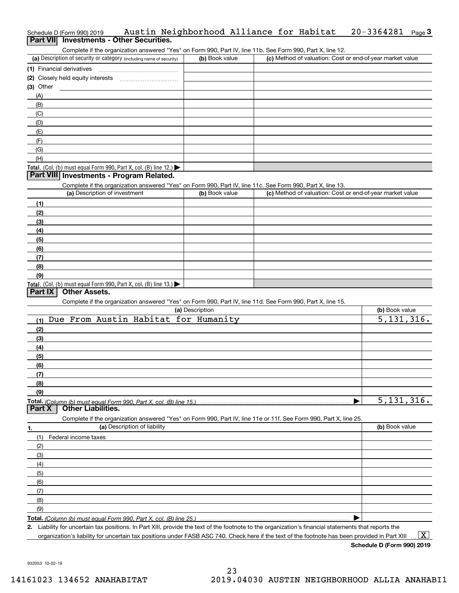# Schedule D (Form 990) 2019 Page **3Part VII Investments - Other Securities.** Austin Neighborhood Alliance for Habitat 20-3364281

Complete if the organization answered "Yes" on Form 990, Part IV, line 11b. See Form 990, Part X, line 12.

| (a) Description of security or category (including name of security)                   | (b) Book value | (c) Method of valuation: Cost or end-of-year market value |
|----------------------------------------------------------------------------------------|----------------|-----------------------------------------------------------|
| (1) Financial derivatives                                                              |                |                                                           |
| (2) Closely held equity interests                                                      |                |                                                           |
| $(3)$ Other                                                                            |                |                                                           |
| (A)                                                                                    |                |                                                           |
| (B)                                                                                    |                |                                                           |
| (C)                                                                                    |                |                                                           |
| (D)                                                                                    |                |                                                           |
| (E)                                                                                    |                |                                                           |
| (F)                                                                                    |                |                                                           |
| (G)                                                                                    |                |                                                           |
| (H)                                                                                    |                |                                                           |
| Total. (Col. (b) must equal Form 990, Part X, col. (B) line 12.) $\blacktriangleright$ |                |                                                           |

## **Part VIII Investments - Program Related.**

Complete if the organization answered "Yes" on Form 990, Part IV, line 11c. See Form 990, Part X, line 13.

| (a) Description of investment                                       | (b) Book value | (c) Method of valuation: Cost or end-of-year market value |
|---------------------------------------------------------------------|----------------|-----------------------------------------------------------|
| (1)                                                                 |                |                                                           |
| (2)                                                                 |                |                                                           |
| $\frac{1}{2}$                                                       |                |                                                           |
| (4)                                                                 |                |                                                           |
| (5)                                                                 |                |                                                           |
| (6)                                                                 |                |                                                           |
| (7)                                                                 |                |                                                           |
| (8)                                                                 |                |                                                           |
| (9)                                                                 |                |                                                           |
| Total. (Col. (b) must equal Form 990, Part X, col. (B) line $13.$ ) |                |                                                           |

## **Part IX Other Assets.**

Complete if the organization answered "Yes" on Form 990, Part IV, line 11d. See Form 990, Part X, line 15.

|        | Complete in the organization anowered in tool on nomin 550, narriv, line in the Ocen only 550, narry, line its    |                |
|--------|-------------------------------------------------------------------------------------------------------------------|----------------|
|        | (a) Description                                                                                                   | (b) Book value |
| (1)    | Due From Austin Habitat for Humanity                                                                              | 5,131,316.     |
| (2)    |                                                                                                                   |                |
| (3)    |                                                                                                                   |                |
| (4)    |                                                                                                                   |                |
| (5)    |                                                                                                                   |                |
| (6)    |                                                                                                                   |                |
| (7)    |                                                                                                                   |                |
| (8)    |                                                                                                                   |                |
| (9)    |                                                                                                                   |                |
|        |                                                                                                                   | 5,131,316.     |
|        | <b>Other Liabilities.</b>                                                                                         |                |
| Part X |                                                                                                                   |                |
|        | Complete if the organization answered "Yes" on Form 990, Part IV, line 11e or 11f. See Form 990, Part X, line 25. |                |
| 1.     | (a) Description of liability                                                                                      | (b) Book value |
| (1)    | Federal income taxes                                                                                              |                |
| (2)    |                                                                                                                   |                |
| (3)    |                                                                                                                   |                |
| (4)    |                                                                                                                   |                |
| (5)    |                                                                                                                   |                |
| (6)    |                                                                                                                   |                |
| (7)    |                                                                                                                   |                |
| (8)    |                                                                                                                   |                |
| (9)    |                                                                                                                   |                |

**Total.**  *(Column (b) must equal Form 990, Part X, col. (B) line 25.)* 

**2.** Liability for uncertain tax positions. In Part XIII, provide the text of the footnote to the organization's financial statements that reports the organization's liability for uncertain tax positions under FASB ASC 740. Check here if the text of the footnote has been provided in Part XIII

 $\boxed{\text{X}}$ 

**Schedule D (Form 990) 2019**

932053 10-02-19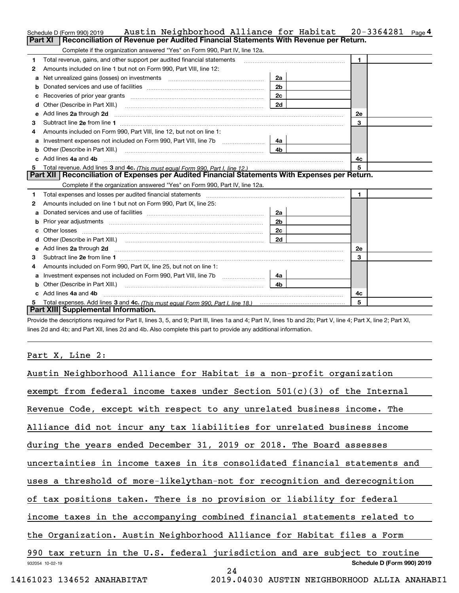|    | Austin Neighborhood Alliance for Habitat<br>Schedule D (Form 990) 2019                                                                                                                                                         |                | 20-3364281     | Page <sup>4</sup> |
|----|--------------------------------------------------------------------------------------------------------------------------------------------------------------------------------------------------------------------------------|----------------|----------------|-------------------|
|    | Reconciliation of Revenue per Audited Financial Statements With Revenue per Return.<br>Part XI                                                                                                                                 |                |                |                   |
|    | Complete if the organization answered "Yes" on Form 990, Part IV, line 12a.                                                                                                                                                    |                |                |                   |
| 1  | Total revenue, gains, and other support per audited financial statements                                                                                                                                                       |                | $\blacksquare$ |                   |
| 2  | Amounts included on line 1 but not on Form 990, Part VIII, line 12:                                                                                                                                                            |                |                |                   |
| a  | Net unrealized gains (losses) on investments [11] matter contracts and the unrealized gains (losses) on investments                                                                                                            |                |                |                   |
|    |                                                                                                                                                                                                                                |                |                |                   |
|    |                                                                                                                                                                                                                                | 2c             |                |                   |
| d  | Other (Describe in Part XIII.) <b>Construction Construction</b> Chern Construction Chern Chern Chern Chern Chern Chern                                                                                                         | 2d             |                |                   |
| е  | Add lines 2a through 2d <b>must be a constructed as the constant of the constant of the constant of the construction</b>                                                                                                       |                | <b>2e</b>      |                   |
| з  |                                                                                                                                                                                                                                |                | 3              |                   |
| 4  | Amounts included on Form 990, Part VIII, line 12, but not on line 1:                                                                                                                                                           |                |                |                   |
|    |                                                                                                                                                                                                                                | 4a l           |                |                   |
| b  |                                                                                                                                                                                                                                | 4 <sub>b</sub> |                |                   |
|    | c Add lines 4a and 4b                                                                                                                                                                                                          |                | 4c             |                   |
|    |                                                                                                                                                                                                                                |                | 5              |                   |
|    | Part XII   Reconciliation of Expenses per Audited Financial Statements With Expenses per Return.                                                                                                                               |                |                |                   |
|    | Complete if the organization answered "Yes" on Form 990, Part IV, line 12a.                                                                                                                                                    |                |                |                   |
| 1  | Total expenses and losses per audited financial statements [11] [12] manuscription and the statements [13] Total expenses and losses per audited financial statements [13] manuscription and the statements [13] manuscription |                | $\mathbf{1}$   |                   |
| 2  | Amounts included on line 1 but not on Form 990, Part IX, line 25:                                                                                                                                                              |                |                |                   |
| a  |                                                                                                                                                                                                                                |                |                |                   |
| b  |                                                                                                                                                                                                                                | 2a             |                |                   |
|    |                                                                                                                                                                                                                                | 2 <sub>b</sub> |                |                   |
| c. |                                                                                                                                                                                                                                | 2c             |                |                   |
|    |                                                                                                                                                                                                                                | 2d             |                |                   |
|    |                                                                                                                                                                                                                                |                | <b>2e</b>      |                   |
| з  |                                                                                                                                                                                                                                |                | 3              |                   |
| 4  | Amounts included on Form 990, Part IX, line 25, but not on line 1:                                                                                                                                                             |                |                |                   |
|    |                                                                                                                                                                                                                                | -4a l          |                |                   |
| b  |                                                                                                                                                                                                                                | 4b             |                |                   |
|    | c Add lines 4a and 4b                                                                                                                                                                                                          |                | 4c             |                   |
|    | Part XIII Supplemental Information.                                                                                                                                                                                            |                | 5              |                   |

Provide the descriptions required for Part II, lines 3, 5, and 9; Part III, lines 1a and 4; Part IV, lines 1b and 2b; Part V, line 4; Part X, line 2; Part XI, lines 2d and 4b; and Part XII, lines 2d and 4b. Also complete this part to provide any additional information.

# Part X, Line 2:

| Austin Neighborhood Alliance for Habitat is a non-profit organization      |
|----------------------------------------------------------------------------|
| exempt from federal income taxes under Section $501(c)(3)$ of the Internal |
| Revenue Code, except with respect to any unrelated business income. The    |
| Alliance did not incur any tax liabilities for unrelated business income   |
| during the years ended December 31, 2019 or 2018. The Board assesses       |
| uncertainties in income taxes in its consolidated financial statements and |
| uses a threshold of more-likelythan-not for recognition and derecognition  |
| of tax positions taken. There is no provision or liability for federal     |
| income taxes in the accompanying combined financial statements related to  |
| the Organization. Austin Neighborhood Alliance for Habitat files a Form    |
| 990 tax return in the U.S. federal jurisdiction and are subject to routine |
| Schedule D (Form 990) 2019<br>932054 10-02-19                              |
| 24<br>$74000$ $101550$ $1000$                                              |

14161023 134652 ANAHABITAT 2019.04030 AUSTIN NEIGHBORHOOD ALLIA ANAHABI1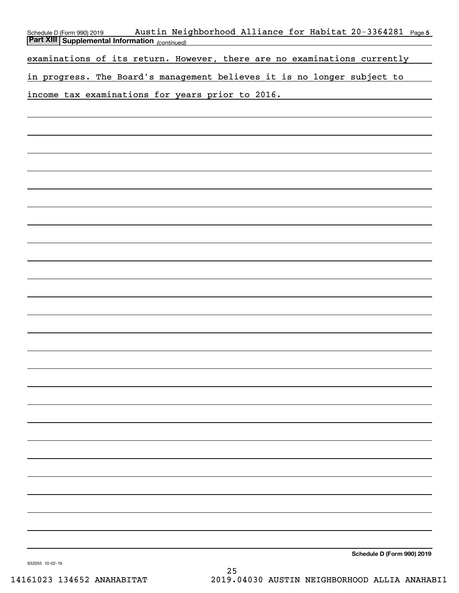| Austin Neighborhood Alliance for Habitat 20-3364281 Page 5<br>Schedule D (Form 990) 2019<br><b>Part XIII Supplemental Information</b> (continued) |
|---------------------------------------------------------------------------------------------------------------------------------------------------|
|                                                                                                                                                   |
| examinations of its return. However, there are no examinations currently                                                                          |
| in progress. The Board's management believes it is no longer subject to                                                                           |
| income tax examinations for years prior to 2016.                                                                                                  |
|                                                                                                                                                   |
|                                                                                                                                                   |
|                                                                                                                                                   |
|                                                                                                                                                   |
|                                                                                                                                                   |
|                                                                                                                                                   |
|                                                                                                                                                   |
|                                                                                                                                                   |
|                                                                                                                                                   |
|                                                                                                                                                   |
|                                                                                                                                                   |
|                                                                                                                                                   |
|                                                                                                                                                   |
|                                                                                                                                                   |
|                                                                                                                                                   |
|                                                                                                                                                   |
|                                                                                                                                                   |
|                                                                                                                                                   |
|                                                                                                                                                   |
|                                                                                                                                                   |
|                                                                                                                                                   |
|                                                                                                                                                   |
|                                                                                                                                                   |
|                                                                                                                                                   |
|                                                                                                                                                   |
|                                                                                                                                                   |
|                                                                                                                                                   |
|                                                                                                                                                   |
| Schedule D (Form 990) 2019                                                                                                                        |

932055 10-02-19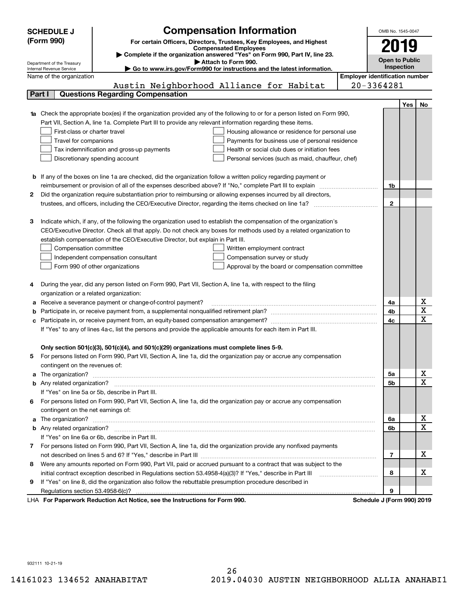|   | <b>SCHEDULE J</b>                                      | <b>Compensation Information</b>                                                                                                                                                                                                      |                                       | OMB No. 1545-0047     |     |                         |
|---|--------------------------------------------------------|--------------------------------------------------------------------------------------------------------------------------------------------------------------------------------------------------------------------------------------|---------------------------------------|-----------------------|-----|-------------------------|
|   | (Form 990)                                             | For certain Officers, Directors, Trustees, Key Employees, and Highest                                                                                                                                                                |                                       |                       |     |                         |
|   |                                                        | <b>Compensated Employees</b>                                                                                                                                                                                                         |                                       | 2019                  |     |                         |
|   |                                                        | Complete if the organization answered "Yes" on Form 990, Part IV, line 23.                                                                                                                                                           |                                       | <b>Open to Public</b> |     |                         |
|   | Department of the Treasury<br>Internal Revenue Service | Attach to Form 990.<br>Go to www.irs.gov/Form990 for instructions and the latest information.                                                                                                                                        |                                       | Inspection            |     |                         |
|   | Name of the organization                               |                                                                                                                                                                                                                                      | <b>Employer identification number</b> |                       |     |                         |
|   |                                                        | Austin Neighborhood Alliance for Habitat                                                                                                                                                                                             | $20 - 3364281$                        |                       |     |                         |
|   | Part I                                                 | <b>Questions Regarding Compensation</b>                                                                                                                                                                                              |                                       |                       |     |                         |
|   |                                                        |                                                                                                                                                                                                                                      |                                       |                       | Yes | No                      |
|   |                                                        | 1a Check the appropriate box(es) if the organization provided any of the following to or for a person listed on Form 990,                                                                                                            |                                       |                       |     |                         |
|   |                                                        | Part VII, Section A, line 1a. Complete Part III to provide any relevant information regarding these items.                                                                                                                           |                                       |                       |     |                         |
|   | First-class or charter travel                          | Housing allowance or residence for personal use                                                                                                                                                                                      |                                       |                       |     |                         |
|   | Travel for companions                                  | Payments for business use of personal residence                                                                                                                                                                                      |                                       |                       |     |                         |
|   |                                                        | Health or social club dues or initiation fees<br>Tax indemnification and gross-up payments                                                                                                                                           |                                       |                       |     |                         |
|   |                                                        | Discretionary spending account<br>Personal services (such as maid, chauffeur, chef)                                                                                                                                                  |                                       |                       |     |                         |
|   |                                                        |                                                                                                                                                                                                                                      |                                       |                       |     |                         |
|   |                                                        | <b>b</b> If any of the boxes on line 1a are checked, did the organization follow a written policy regarding payment or                                                                                                               |                                       |                       |     |                         |
|   |                                                        | reimbursement or provision of all of the expenses described above? If "No," complete Part III to explain                                                                                                                             |                                       | 1b                    |     |                         |
| 2 |                                                        | Did the organization require substantiation prior to reimbursing or allowing expenses incurred by all directors,                                                                                                                     |                                       |                       |     |                         |
|   |                                                        | trustees, and officers, including the CEO/Executive Director, regarding the items checked on line 1a?                                                                                                                                |                                       | $\mathbf{2}$          |     |                         |
|   |                                                        |                                                                                                                                                                                                                                      |                                       |                       |     |                         |
| З |                                                        | Indicate which, if any, of the following the organization used to establish the compensation of the organization's                                                                                                                   |                                       |                       |     |                         |
|   |                                                        | CEO/Executive Director. Check all that apply. Do not check any boxes for methods used by a related organization to                                                                                                                   |                                       |                       |     |                         |
|   |                                                        | establish compensation of the CEO/Executive Director, but explain in Part III.                                                                                                                                                       |                                       |                       |     |                         |
|   | Compensation committee                                 | Written employment contract                                                                                                                                                                                                          |                                       |                       |     |                         |
|   |                                                        | Independent compensation consultant<br>Compensation survey or study                                                                                                                                                                  |                                       |                       |     |                         |
|   |                                                        | Form 990 of other organizations<br>Approval by the board or compensation committee                                                                                                                                                   |                                       |                       |     |                         |
|   |                                                        |                                                                                                                                                                                                                                      |                                       |                       |     |                         |
|   |                                                        | During the year, did any person listed on Form 990, Part VII, Section A, line 1a, with respect to the filing                                                                                                                         |                                       |                       |     |                         |
|   | organization or a related organization:                |                                                                                                                                                                                                                                      |                                       |                       |     |                         |
|   |                                                        | Receive a severance payment or change-of-control payment?                                                                                                                                                                            |                                       | 4a                    |     | х                       |
|   |                                                        |                                                                                                                                                                                                                                      |                                       | 4b                    |     | $\overline{\mathbf{x}}$ |
|   |                                                        |                                                                                                                                                                                                                                      |                                       | 4 <sub>c</sub>        |     | $\mathbf X$             |
|   |                                                        | If "Yes" to any of lines 4a-c, list the persons and provide the applicable amounts for each item in Part III.                                                                                                                        |                                       |                       |     |                         |
|   |                                                        |                                                                                                                                                                                                                                      |                                       |                       |     |                         |
|   |                                                        | Only section 501(c)(3), 501(c)(4), and 501(c)(29) organizations must complete lines 5-9.                                                                                                                                             |                                       |                       |     |                         |
| 5 |                                                        | For persons listed on Form 990, Part VII, Section A, line 1a, did the organization pay or accrue any compensation                                                                                                                    |                                       |                       |     |                         |
|   | contingent on the revenues of:                         |                                                                                                                                                                                                                                      |                                       |                       |     |                         |
|   |                                                        | a The organization? <b>Entitled Strategies and Strategies and Strategies and Strategies and Strategies and Strategies and Strategies and Strategies and Strategies and Strategies and Strategies and Strategies and Strategies a</b> |                                       | 5a                    |     | х                       |
|   |                                                        |                                                                                                                                                                                                                                      |                                       | 5b                    |     | $\overline{\mathbf{x}}$ |
|   |                                                        | If "Yes" on line 5a or 5b, describe in Part III.                                                                                                                                                                                     |                                       |                       |     |                         |
|   |                                                        | 6 For persons listed on Form 990, Part VII, Section A, line 1a, did the organization pay or accrue any compensation                                                                                                                  |                                       |                       |     |                         |
|   | contingent on the net earnings of:                     |                                                                                                                                                                                                                                      |                                       |                       |     |                         |
|   |                                                        |                                                                                                                                                                                                                                      |                                       | 6a                    |     | х                       |
|   |                                                        |                                                                                                                                                                                                                                      |                                       | 6b                    |     | $\mathbf X$             |
|   |                                                        | If "Yes" on line 6a or 6b, describe in Part III.                                                                                                                                                                                     |                                       |                       |     |                         |
|   |                                                        | 7 For persons listed on Form 990, Part VII, Section A, line 1a, did the organization provide any nonfixed payments                                                                                                                   |                                       |                       |     |                         |
|   |                                                        |                                                                                                                                                                                                                                      |                                       | $\overline{7}$        |     | х                       |
| 8 |                                                        | Were any amounts reported on Form 990, Part VII, paid or accrued pursuant to a contract that was subject to the                                                                                                                      |                                       |                       |     |                         |
|   |                                                        |                                                                                                                                                                                                                                      |                                       | 8                     |     | х                       |
| 9 |                                                        | If "Yes" on line 8, did the organization also follow the rebuttable presumption procedure described in                                                                                                                               |                                       |                       |     |                         |
|   |                                                        |                                                                                                                                                                                                                                      |                                       | 9                     |     |                         |
|   |                                                        | LHA For Paperwork Reduction Act Notice, see the Instructions for Form 990.                                                                                                                                                           | Schedule J (Form 990) 2019            |                       |     |                         |

932111 10-21-19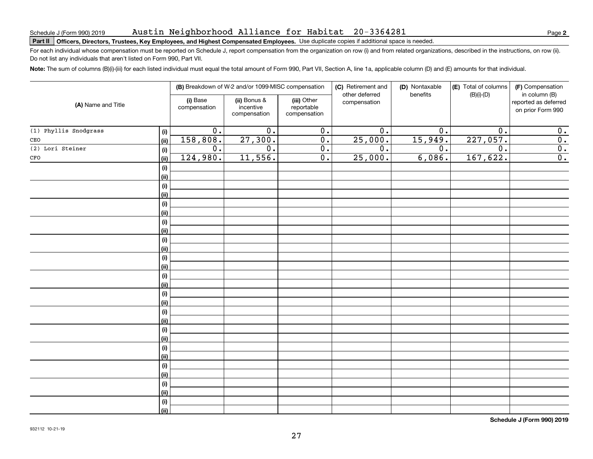# Austin Neighborhood Alliance for Habitat 20-3364281

# **Part II Officers, Directors, Trustees, Key Employees, and Highest Compensated Employees.**  Schedule J (Form 990) 2019 Page Use duplicate copies if additional space is needed.

For each individual whose compensation must be reported on Schedule J, report compensation from the organization on row (i) and from related organizations, described in the instructions, on row (ii). Do not list any individuals that aren't listed on Form 990, Part VII.

**Note:**  The sum of columns (B)(i)-(iii) for each listed individual must equal the total amount of Form 990, Part VII, Section A, line 1a, applicable column (D) and (E) amounts for that individual.

| (A) Name and Title    |             | (B) Breakdown of W-2 and/or 1099-MISC compensation |                                           |                                           | (C) Retirement and<br>other deferred | (D) Nontaxable<br>benefits | (E) Total of columns | (F) Compensation<br>in column (B)         |
|-----------------------|-------------|----------------------------------------------------|-------------------------------------------|-------------------------------------------|--------------------------------------|----------------------------|----------------------|-------------------------------------------|
|                       |             | (i) Base<br>compensation                           | (ii) Bonus &<br>incentive<br>compensation | (iii) Other<br>reportable<br>compensation | compensation                         |                            | $(B)(i)-(D)$         | reported as deferred<br>on prior Form 990 |
| (1) Phyllis Snodgrass | (i)         | $\overline{0}$ .                                   | $\overline{0}$ .                          | $\overline{0}$ .                          | $\overline{0}$ .                     | $\mathbf 0$ .              | 0.                   | 0.                                        |
| $\mathtt{CEO}$        | (ii)        | 158,808.                                           | 27,300.                                   | $\overline{0}$ .                          | 25,000.                              | 15,949.                    | 227,057.             | $\overline{0}$ .                          |
| (2) Lori Steiner      | (i)         | $\overline{0}$ .                                   | $\overline{0}$ .                          | $\overline{0}$ .                          | $\overline{0}$ .                     | $\overline{0}$ .           | 0.                   | $\overline{0}$ .                          |
| $\mathtt{CFO}$        | (ii)        | 124,980.                                           | 11,556.                                   | $\overline{0}$ .                          | 25,000.                              | 6,086.                     | 167,622.             | $\overline{0}$ .                          |
|                       | (i)         |                                                    |                                           |                                           |                                      |                            |                      |                                           |
|                       | (ii)        |                                                    |                                           |                                           |                                      |                            |                      |                                           |
|                       | $(\sf{i})$  |                                                    |                                           |                                           |                                      |                            |                      |                                           |
|                       | (ii)        |                                                    |                                           |                                           |                                      |                            |                      |                                           |
|                       | (i)         |                                                    |                                           |                                           |                                      |                            |                      |                                           |
|                       | (ii)        |                                                    |                                           |                                           |                                      |                            |                      |                                           |
|                       | (i)         |                                                    |                                           |                                           |                                      |                            |                      |                                           |
|                       | (ii)        |                                                    |                                           |                                           |                                      |                            |                      |                                           |
|                       | (i)         |                                                    |                                           |                                           |                                      |                            |                      |                                           |
|                       | (ii)        |                                                    |                                           |                                           |                                      |                            |                      |                                           |
|                       | (i)         |                                                    |                                           |                                           |                                      |                            |                      |                                           |
|                       | (ii)        |                                                    |                                           |                                           |                                      |                            |                      |                                           |
|                       | (i)<br>(ii) |                                                    |                                           |                                           |                                      |                            |                      |                                           |
|                       | (i)         |                                                    |                                           |                                           |                                      |                            |                      |                                           |
|                       | (i)         |                                                    |                                           |                                           |                                      |                            |                      |                                           |
|                       | (i)         |                                                    |                                           |                                           |                                      |                            |                      |                                           |
|                       | (ii)        |                                                    |                                           |                                           |                                      |                            |                      |                                           |
|                       | (i)         |                                                    |                                           |                                           |                                      |                            |                      |                                           |
|                       | (ii)        |                                                    |                                           |                                           |                                      |                            |                      |                                           |
|                       | (i)         |                                                    |                                           |                                           |                                      |                            |                      |                                           |
|                       | (ii)        |                                                    |                                           |                                           |                                      |                            |                      |                                           |
|                       | (i)         |                                                    |                                           |                                           |                                      |                            |                      |                                           |
|                       | (ii)        |                                                    |                                           |                                           |                                      |                            |                      |                                           |
|                       | $(\sf{i})$  |                                                    |                                           |                                           |                                      |                            |                      |                                           |
|                       | (ii)        |                                                    |                                           |                                           |                                      |                            |                      |                                           |
|                       | $(\sf{i})$  |                                                    |                                           |                                           |                                      |                            |                      |                                           |
|                       | (ii)        |                                                    |                                           |                                           |                                      |                            |                      |                                           |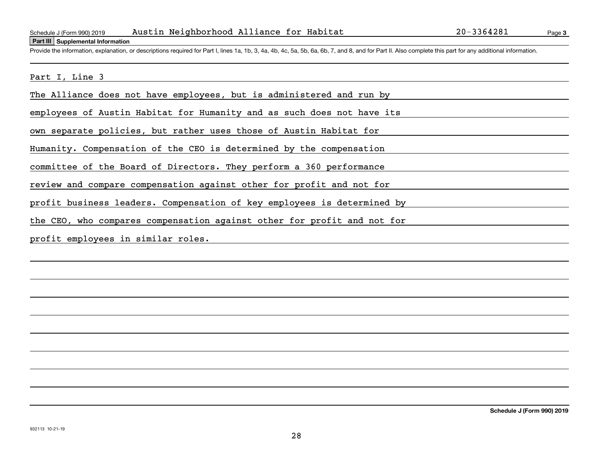### **Part III Supplemental Information**

Page 3

Schedule J (Form 990) 2019 Austin Neighborhood Alliance for Habitat 20-3364281<br>Part III Supplemental Information<br>Provide the information, explanation, or descriptions required for Part I, lines 1a, 1b, 3, 4a, 4b, 4c, 5a, 5

Part I, Line 3

The Alliance does not have employees, but is administered and run by

employees of Austin Habitat for Humanity and as such does not have its

own separate policies, but rather uses those of Austin Habitat for

Humanity. Compensation of the CEO is determined by the compensation

committee of the Board of Directors. They perform a 360 performance

review and compare compensation against other for profit and not for

profit business leaders. Compensation of key employees is determined by

the CEO, who compares compensation against other for profit and not for

profit employees in similar roles.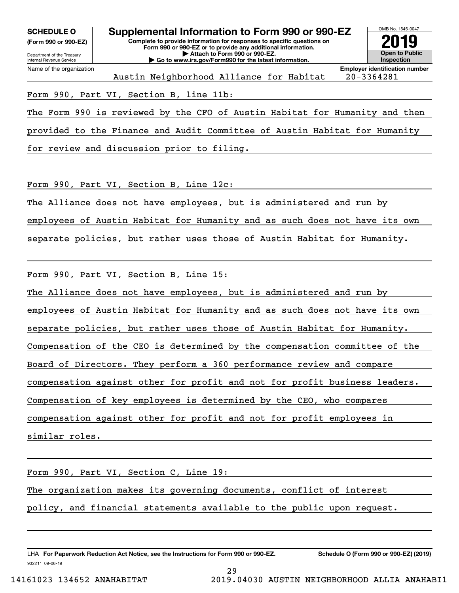**(Form 990 or 990-EZ)**



Austin Neighborhood Alliance for Habitat | 20-3364281

**Employer identification number**

# Form 990, Part VI, Section B, line 11b:

The Form 990 is reviewed by the CFO of Austin Habitat for Humanity and then

provided to the Finance and Audit Committee of Austin Habitat for Humanity

for review and discussion prior to filing.

Form 990, Part VI, Section B, Line 12c:

The Alliance does not have employees, but is administered and run by

employees of Austin Habitat for Humanity and as such does not have its own

separate policies, but rather uses those of Austin Habitat for Humanity.

Form 990, Part VI, Section B, Line 15:

The Alliance does not have employees, but is administered and run by employees of Austin Habitat for Humanity and as such does not have its own separate policies, but rather uses those of Austin Habitat for Humanity. Compensation of the CEO is determined by the compensation committee of the Board of Directors. They perform a 360 performance review and compare compensation against other for profit and not for profit business leaders. Compensation of key employees is determined by the CEO, who compares compensation against other for profit and not for profit employees in similar roles.

Form 990, Part VI, Section C, Line 19: The organization makes its governing documents, conflict of interest policy, and financial statements available to the public upon request.

29

932211 09-06-19 LHA For Paperwork Reduction Act Notice, see the Instructions for Form 990 or 990-EZ. Schedule O (Form 990 or 990-EZ) (2019)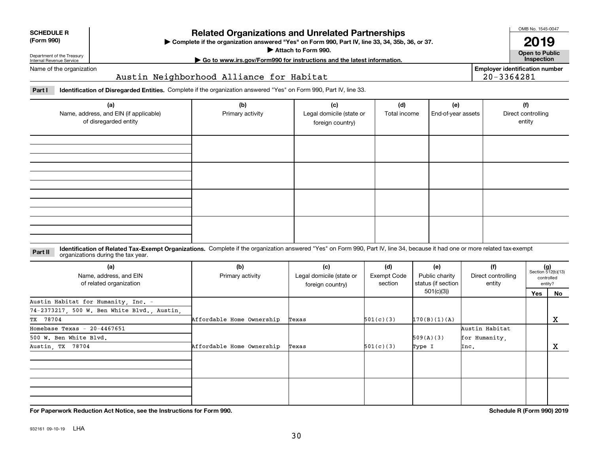# **Related Organizations and Unrelated Partnerships**

**Complete if the organization answered "Yes" on Form 990, Part IV, line 33, 34, 35b, 36, or 37.** |

# Department of the Treasury Internal Revenue Service Name of the organization

**SCHEDULE R (Form 990)**

# Austin Neighborhood Alliance for Habitat

**Part I Identification of Disregarded Entities.**  Complete if the organization answered "Yes" on Form 990, Part IV, line 33.

| (a)<br>Name, address, and EIN (if applicable)<br>of disregarded entity | (b)<br>Primary activity | (c)<br>Legal domicile (state or<br>foreign country) | (d)<br>Total income | (e)<br>End-of-year assets | (f)<br>Direct controlling<br>entity |
|------------------------------------------------------------------------|-------------------------|-----------------------------------------------------|---------------------|---------------------------|-------------------------------------|
|                                                                        |                         |                                                     |                     |                           |                                     |
|                                                                        |                         |                                                     |                     |                           |                                     |
|                                                                        |                         |                                                     |                     |                           |                                     |
|                                                                        |                         |                                                     |                     |                           |                                     |

### **Identification of Related Tax-Exempt Organizations.** Complete if the organization answered "Yes" on Form 990, Part IV, line 34, because it had one or more related tax-exempt **Part II** organizations during the tax year.

| (a)<br>Name, address, and EIN<br>of related organization | (b)<br>Primary activity   | (c)<br>Legal domicile (state or<br>foreign country) | (d)<br>Exempt Code<br>section | (e)<br>Public charity<br>status (if section | (f)<br>Direct controlling<br>entity |     | $(g)$<br>Section 512(b)(13)<br>controlled<br>entity? |
|----------------------------------------------------------|---------------------------|-----------------------------------------------------|-------------------------------|---------------------------------------------|-------------------------------------|-----|------------------------------------------------------|
|                                                          |                           |                                                     |                               | 501(c)(3))                                  |                                     | Yes | No.                                                  |
| Austin Habitat for Humanity, Inc. -                      |                           |                                                     |                               |                                             |                                     |     |                                                      |
| 74-2373217, 500 W. Ben White Blvd., Austin,              |                           |                                                     |                               |                                             |                                     |     |                                                      |
| TX 78704                                                 | Affordable Home Ownership | Texas                                               | 501(c)(3)                     | 170(B)(1)(A)                                |                                     |     | x                                                    |
| Homebase Texas - $20-4467651$                            |                           |                                                     |                               |                                             | Austin Habitat                      |     |                                                      |
| 500 W. Ben White Blvd.                                   |                           |                                                     |                               | 509(A)(3)                                   | for Humanity,                       |     |                                                      |
| Austin, TX 78704                                         | Affordable Home Ownership | Texas                                               | 501(c)(3)                     | Type I                                      | Inc.                                |     | х                                                    |
|                                                          |                           |                                                     |                               |                                             |                                     |     |                                                      |
|                                                          |                           |                                                     |                               |                                             |                                     |     |                                                      |
|                                                          |                           |                                                     |                               |                                             |                                     |     |                                                      |
|                                                          |                           |                                                     |                               |                                             |                                     |     |                                                      |

**For Paperwork Reduction Act Notice, see the Instructions for Form 990. Schedule R (Form 990) 2019**

OMB No. 1545-0047

**Open to Public 2019**

**Employer identification number**

20-3364281

| Attach to Form 990.                                                    | LV IJ             |
|------------------------------------------------------------------------|-------------------|
|                                                                        | Open to Publ      |
| Go to www.irs.gov/Form990 for instructions and the latest information. | <b>Inspection</b> |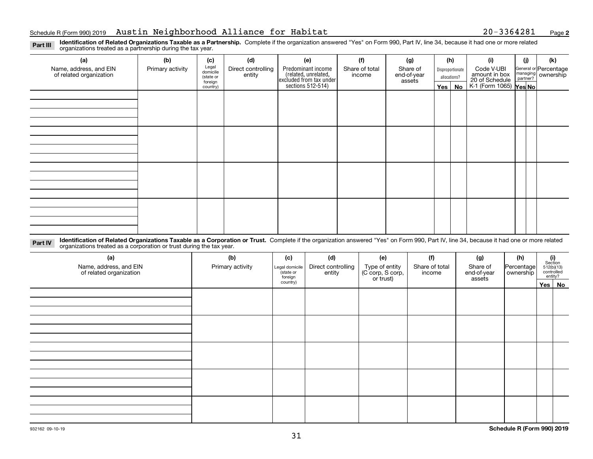**2**

**Identification of Related Organizations Taxable as a Partnership.** Complete if the organization answered "Yes" on Form 990, Part IV, line 34, because it had one or more related **Part III** organizations treated as a partnership during the tax year.

| (a)                     | (b)              | (c)                  | (d)                | (e)                                                                 | (f)            | (g)                   |                                  | (h)      | (i)                                               | (j) | (k)                |  |                       |
|-------------------------|------------------|----------------------|--------------------|---------------------------------------------------------------------|----------------|-----------------------|----------------------------------|----------|---------------------------------------------------|-----|--------------------|--|-----------------------|
| Name, address, and EIN  | Primary activity | Legal<br>domicile    | Direct controlling | Predominant income                                                  | Share of total | Share of              | Disproportionate<br>allocations? |          |                                                   |     | Code V-UBI         |  | General or Percentage |
| of related organization |                  | (state or<br>foreign | entity             | related, unrelated,<br>excluded from tax under<br>sections 512-514) | income         | end-of-year<br>assets |                                  |          | amount in box                                     |     | managing ownership |  |                       |
|                         |                  | country)             |                    |                                                                     |                |                       |                                  | Yes   No | 20 of Schedule Partner?<br>K-1 (Form 1065) Yes No |     |                    |  |                       |
|                         |                  |                      |                    |                                                                     |                |                       |                                  |          |                                                   |     |                    |  |                       |
|                         |                  |                      |                    |                                                                     |                |                       |                                  |          |                                                   |     |                    |  |                       |
|                         |                  |                      |                    |                                                                     |                |                       |                                  |          |                                                   |     |                    |  |                       |
|                         |                  |                      |                    |                                                                     |                |                       |                                  |          |                                                   |     |                    |  |                       |
|                         |                  |                      |                    |                                                                     |                |                       |                                  |          |                                                   |     |                    |  |                       |
|                         |                  |                      |                    |                                                                     |                |                       |                                  |          |                                                   |     |                    |  |                       |
|                         |                  |                      |                    |                                                                     |                |                       |                                  |          |                                                   |     |                    |  |                       |
|                         |                  |                      |                    |                                                                     |                |                       |                                  |          |                                                   |     |                    |  |                       |
|                         |                  |                      |                    |                                                                     |                |                       |                                  |          |                                                   |     |                    |  |                       |
|                         |                  |                      |                    |                                                                     |                |                       |                                  |          |                                                   |     |                    |  |                       |
|                         |                  |                      |                    |                                                                     |                |                       |                                  |          |                                                   |     |                    |  |                       |
|                         |                  |                      |                    |                                                                     |                |                       |                                  |          |                                                   |     |                    |  |                       |
|                         |                  |                      |                    |                                                                     |                |                       |                                  |          |                                                   |     |                    |  |                       |
|                         |                  |                      |                    |                                                                     |                |                       |                                  |          |                                                   |     |                    |  |                       |
|                         |                  |                      |                    |                                                                     |                |                       |                                  |          |                                                   |     |                    |  |                       |
|                         |                  |                      |                    |                                                                     |                |                       |                                  |          |                                                   |     |                    |  |                       |
|                         |                  |                      |                    |                                                                     |                |                       |                                  |          |                                                   |     |                    |  |                       |

**Identification of Related Organizations Taxable as a Corporation or Trust.** Complete if the organization answered "Yes" on Form 990, Part IV, line 34, because it had one or more related **Part IV** organizations treated as a corporation or trust during the tax year.

| (a)<br>Name, address, and EIN<br>of related organization | (b)<br>Primary activity | (c)<br>Legal domicile<br>state or<br>foreign | (d)<br>Direct controlling<br>entity | (e)<br>Type of entity<br>(C corp, S corp,<br>or trust) | (f)<br>Share of total<br>income | (g)<br>Share of<br>end-of-year<br>assets | (h)<br>Percentage<br>ownership | (i)<br>Section<br>$512(b)(13)$<br>controlled | entity? |  |  |
|----------------------------------------------------------|-------------------------|----------------------------------------------|-------------------------------------|--------------------------------------------------------|---------------------------------|------------------------------------------|--------------------------------|----------------------------------------------|---------|--|--|
|                                                          |                         | country)                                     |                                     |                                                        |                                 |                                          |                                |                                              | Yes No  |  |  |
|                                                          |                         |                                              |                                     |                                                        |                                 |                                          |                                |                                              |         |  |  |
|                                                          |                         |                                              |                                     |                                                        |                                 |                                          |                                |                                              |         |  |  |
|                                                          |                         |                                              |                                     |                                                        |                                 |                                          |                                |                                              |         |  |  |
|                                                          |                         |                                              |                                     |                                                        |                                 |                                          |                                |                                              |         |  |  |
|                                                          |                         |                                              |                                     |                                                        |                                 |                                          |                                |                                              |         |  |  |
|                                                          |                         |                                              |                                     |                                                        |                                 |                                          |                                |                                              |         |  |  |
|                                                          |                         |                                              |                                     |                                                        |                                 |                                          |                                |                                              |         |  |  |
|                                                          |                         |                                              |                                     |                                                        |                                 |                                          |                                |                                              |         |  |  |
|                                                          |                         |                                              |                                     |                                                        |                                 |                                          |                                |                                              |         |  |  |
|                                                          |                         |                                              |                                     |                                                        |                                 |                                          |                                |                                              |         |  |  |
|                                                          |                         |                                              |                                     |                                                        |                                 |                                          |                                |                                              |         |  |  |
|                                                          |                         |                                              |                                     |                                                        |                                 |                                          |                                |                                              |         |  |  |
|                                                          |                         |                                              |                                     |                                                        |                                 |                                          |                                |                                              |         |  |  |
|                                                          |                         |                                              |                                     |                                                        |                                 |                                          |                                |                                              |         |  |  |
|                                                          |                         |                                              |                                     |                                                        |                                 |                                          |                                |                                              |         |  |  |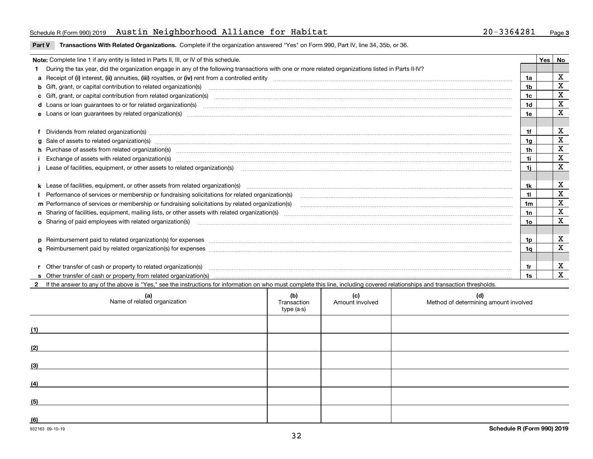# Schedule R(Form 990)2019 Austin Neighborhood Alliance for Habitat 20-3364281 <sub>Page</sub>

**Part V** T**ransactions With Related Organizations.** Complete if the organization answered "Yes" on Form 990, Part IV, line 34, 35b, or 36.

| Note: Complete line 1 if any entity is listed in Parts II, III, or IV of this schedule. |                                                                                                                                                                                                                                   |                |  |             |  |
|-----------------------------------------------------------------------------------------|-----------------------------------------------------------------------------------------------------------------------------------------------------------------------------------------------------------------------------------|----------------|--|-------------|--|
|                                                                                         | 1 During the tax year, did the organization engage in any of the following transactions with one or more related organizations listed in Parts II-IV?                                                                             |                |  |             |  |
|                                                                                         |                                                                                                                                                                                                                                   | 1a             |  | х           |  |
|                                                                                         | b Gift, grant, or capital contribution to related organization(s) manufactured content and contribution to related organization(s)                                                                                                | 1b             |  | X           |  |
|                                                                                         | c Gift, grant, or capital contribution from related organization(s) manufaction contribution from related organization(s) manufaction contribution from related organization(s) manufaction contribution from related organiza    | 1c             |  | X           |  |
|                                                                                         | d Loans or loan guarantees to or for related organization(s) committion contracts are constructed as a control or contract or contract or contract or contract or contract or contract or contract or contract or contract or     | 1 <sub>d</sub> |  | $\mathbf X$ |  |
|                                                                                         |                                                                                                                                                                                                                                   | 1e             |  | X           |  |
|                                                                                         |                                                                                                                                                                                                                                   |                |  |             |  |
|                                                                                         | f Dividends from related organization(s) material contents and content and content of the content of the content of the content of the content of the content of the content of the content of the content of the content of t    | 1f             |  | х           |  |
|                                                                                         | g Sale of assets to related organization(s) www.communicallycommunicallycommunicallycommunicallycommunicallycommunicallycommunicallycommunicallycommunicallycommunicallycommunicallycommunicallycommunicallycommunicallycommun    | 1a             |  | X           |  |
|                                                                                         | h Purchase of assets from related organization(s) manufactured and content to content the content of assets from related organization(s)                                                                                          | 1h             |  | х           |  |
|                                                                                         | Exchange of assets with related organization(s) www.communically.communically contract the contract of assets with related organization(s) www.communically.communically contract the contract of assets with related organiza    | 1i.            |  | X           |  |
|                                                                                         | Lease of facilities, equipment, or other assets to related organization(s) Chromomeron content in the set of facilities, equipment, or other assets to related organization(s) Chromomeron content in the set of the set of th    | 1i.            |  | $\mathbf X$ |  |
|                                                                                         |                                                                                                                                                                                                                                   |                |  |             |  |
|                                                                                         |                                                                                                                                                                                                                                   | 1k             |  | X           |  |
|                                                                                         |                                                                                                                                                                                                                                   |                |  | X           |  |
|                                                                                         | m Performance of services or membership or fundraising solicitations by related organization(s)                                                                                                                                   | 1m             |  | $\mathbf X$ |  |
|                                                                                         |                                                                                                                                                                                                                                   | 1n             |  | $\mathbf X$ |  |
|                                                                                         | <b>o</b> Sharing of paid employees with related organization(s)                                                                                                                                                                   | 1о             |  | X           |  |
|                                                                                         |                                                                                                                                                                                                                                   |                |  |             |  |
|                                                                                         |                                                                                                                                                                                                                                   | 1p.            |  | X           |  |
|                                                                                         |                                                                                                                                                                                                                                   | 1q             |  | X           |  |
|                                                                                         |                                                                                                                                                                                                                                   |                |  |             |  |
|                                                                                         | r Other transfer of cash or property to related organization(s)                                                                                                                                                                   | 1r             |  | X           |  |
|                                                                                         | r Other transfer of cash or property to related organization(s) www.community.com/www.community.com/www.communi<br>S Other transfer of cash or property from related organization(s) www.community.community.community.community. | 1s             |  | X           |  |
|                                                                                         | 2 If the answer to any of the above is "Yes." see the instructions for information on who must complete this line, including covered relationships and transaction thresholds.                                                    |                |  |             |  |

| (a)<br>Name of related organization | (b)<br>Transaction<br>type (a-s) | (c)<br>Amount involved | (d)<br>Method of determining amount involved |
|-------------------------------------|----------------------------------|------------------------|----------------------------------------------|
| (1)                                 |                                  |                        |                                              |
| (2)                                 |                                  |                        |                                              |
| (3)                                 |                                  |                        |                                              |
| (4)                                 |                                  |                        |                                              |
| (5)                                 |                                  |                        |                                              |
| (6)                                 |                                  |                        |                                              |

 $\overline{\phantom{a}}$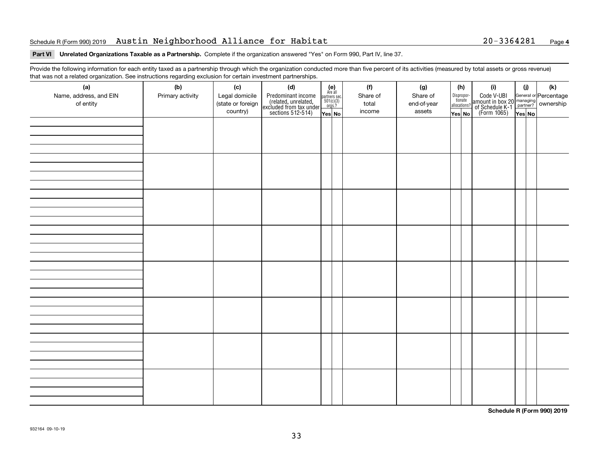# Schedule R(Form 990)2019 Austin Neighborhood Alliance for Habitat 20-3364281 <sub>Page</sub>

# **Part VI Unrelated Organizations Taxable as a Partnership. Complete if the organization answered "Yes" on Form 990, Part IV, line 37.**

Provide the following information for each entity taxed as a partnership through which the organization conducted more than five percent of its activities (measured by total assets or gross revenue) that was not a related organization. See instructions regarding exclusion for certain investment partnerships.

| (a)<br>Name, address, and EIN<br>of entity | ໍ່ວ່<br>(b)<br>Primary activity | (c)<br>Legal domicile<br>(state or foreign<br>country) | (d)<br>Predominant income<br>(related, unrelated,<br>excluded from tax under<br>sections 512-514) | (e)<br>Are all<br>partners sec.<br>$501(c)(3)$<br>orgs.?<br>Yes No | (f)<br>Share of<br>total<br>income | (g)<br>Share of<br>end-of-year<br>assets | Dispropor-<br>tionate<br>allocations?<br>Yes No | (h) | (i)<br>Code V-UBI<br>amount in box 20 managing<br>of Schedule K-1<br>(Form 1065)<br>$\overline{Yes}$ No | (i)<br>Yes No | (k) |
|--------------------------------------------|---------------------------------|--------------------------------------------------------|---------------------------------------------------------------------------------------------------|--------------------------------------------------------------------|------------------------------------|------------------------------------------|-------------------------------------------------|-----|---------------------------------------------------------------------------------------------------------|---------------|-----|
|                                            |                                 |                                                        |                                                                                                   |                                                                    |                                    |                                          |                                                 |     |                                                                                                         |               |     |
|                                            |                                 |                                                        |                                                                                                   |                                                                    |                                    |                                          |                                                 |     |                                                                                                         |               |     |
|                                            |                                 |                                                        |                                                                                                   |                                                                    |                                    |                                          |                                                 |     |                                                                                                         |               |     |
|                                            |                                 |                                                        |                                                                                                   |                                                                    |                                    |                                          |                                                 |     |                                                                                                         |               |     |
|                                            |                                 |                                                        |                                                                                                   |                                                                    |                                    |                                          |                                                 |     |                                                                                                         |               |     |
|                                            |                                 |                                                        |                                                                                                   |                                                                    |                                    |                                          |                                                 |     |                                                                                                         |               |     |
|                                            |                                 |                                                        |                                                                                                   |                                                                    |                                    |                                          |                                                 |     |                                                                                                         |               |     |
|                                            |                                 |                                                        |                                                                                                   |                                                                    |                                    |                                          |                                                 |     |                                                                                                         |               |     |

**Schedule R (Form 990) 2019**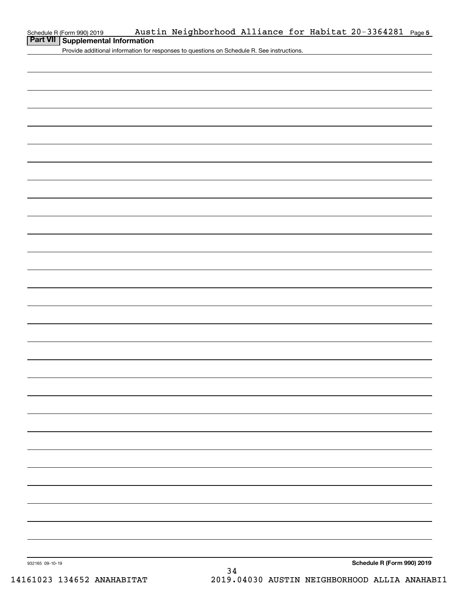| chedule R (Form 990) 2019 |  |  |
|---------------------------|--|--|
|---------------------------|--|--|

# **Part VII Supplemental Information**

Provide additional information for responses to questions on Schedule R. See instructions.